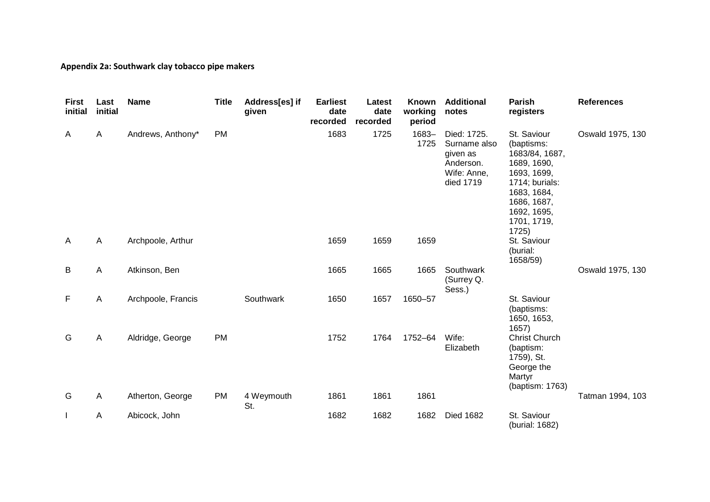#### **Appendix 2a: Southwark clay tobacco pipe makers**

| <b>First</b><br>initial | Last<br>initial | <b>Name</b>        | <b>Title</b> | Address[es] if<br>given | <b>Earliest</b><br>date<br>recorded | Latest<br>date<br>recorded | <b>Known</b><br>working<br>period | <b>Additional</b><br>notes                                                       | <b>Parish</b><br>registers                                                                                                                                       | <b>References</b> |
|-------------------------|-----------------|--------------------|--------------|-------------------------|-------------------------------------|----------------------------|-----------------------------------|----------------------------------------------------------------------------------|------------------------------------------------------------------------------------------------------------------------------------------------------------------|-------------------|
| A                       | $\mathsf{A}$    | Andrews, Anthony*  | <b>PM</b>    |                         | 1683                                | 1725                       | 1683-<br>1725                     | Died: 1725.<br>Surname also<br>given as<br>Anderson.<br>Wife: Anne,<br>died 1719 | St. Saviour<br>(baptisms:<br>1683/84, 1687,<br>1689, 1690,<br>1693, 1699,<br>1714; burials:<br>1683, 1684,<br>1686, 1687,<br>1692, 1695,<br>1701, 1719,<br>1725) | Oswald 1975, 130  |
| A                       | $\mathsf{A}$    | Archpoole, Arthur  |              |                         | 1659                                | 1659                       | 1659                              |                                                                                  | St. Saviour<br>(burial:<br>1658/59)                                                                                                                              |                   |
| В                       | A               | Atkinson, Ben      |              |                         | 1665                                | 1665                       | 1665                              | Southwark<br>(Surrey Q.<br>Sess.)                                                |                                                                                                                                                                  | Oswald 1975, 130  |
| F                       | A               | Archpoole, Francis |              | Southwark               | 1650                                | 1657                       | 1650-57                           |                                                                                  | St. Saviour<br>(baptisms:<br>1650, 1653,<br>1657)                                                                                                                |                   |
| G                       | A               | Aldridge, George   | <b>PM</b>    |                         | 1752                                | 1764                       | 1752-64                           | Wife:<br>Elizabeth                                                               | <b>Christ Church</b><br>(baptism:<br>1759), St.<br>George the<br>Martyr<br>(baptism: 1763)                                                                       |                   |
| G                       | $\overline{A}$  | Atherton, George   | <b>PM</b>    | 4 Weymouth<br>St.       | 1861                                | 1861                       | 1861                              |                                                                                  |                                                                                                                                                                  | Tatman 1994, 103  |
|                         | A               | Abicock, John      |              |                         | 1682                                | 1682                       | 1682                              | <b>Died 1682</b>                                                                 | St. Saviour<br>(burial: 1682)                                                                                                                                    |                   |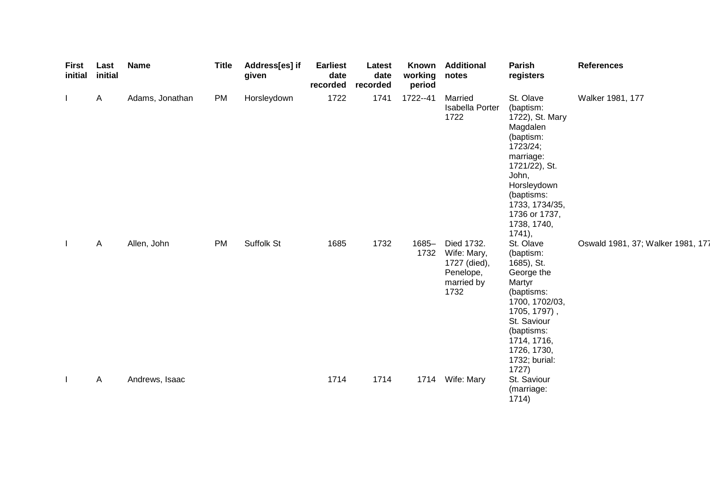| <b>First</b><br>initial | Last<br>initial | <b>Name</b>     | <b>Title</b> | Address[es] if<br>given | <b>Earliest</b><br>date<br>recorded | Latest<br>date<br>recorded | Known<br>working<br>period | <b>Additional</b><br>notes                                                   | Parish<br>registers                                                                                                                                                                                           | <b>References</b>                 |
|-------------------------|-----------------|-----------------|--------------|-------------------------|-------------------------------------|----------------------------|----------------------------|------------------------------------------------------------------------------|---------------------------------------------------------------------------------------------------------------------------------------------------------------------------------------------------------------|-----------------------------------|
|                         | $\mathsf{A}$    | Adams, Jonathan | <b>PM</b>    | Horsleydown             | 1722                                | 1741                       | 1722--41                   | Married<br>Isabella Porter<br>1722                                           | St. Olave<br>(baptism:<br>1722), St. Mary<br>Magdalen<br>(baptism:<br>1723/24;<br>marriage:<br>1721/22), St.<br>John,<br>Horsleydown<br>(baptisms:<br>1733, 1734/35,<br>1736 or 1737,<br>1738, 1740,<br>1741, | Walker 1981, 177                  |
|                         | Α               | Allen, John     | <b>PM</b>    | Suffolk St              | 1685                                | 1732                       | 1685-<br>1732              | Died 1732.<br>Wife: Mary,<br>1727 (died),<br>Penelope,<br>married by<br>1732 | St. Olave<br>(baptism:<br>1685), St.<br>George the<br>Martyr<br>(baptisms:<br>1700, 1702/03,<br>1705, 1797),<br>St. Saviour<br>(baptisms:<br>1714, 1716,<br>1726, 1730,<br>1732; burial:<br>1727)             | Oswald 1981, 37; Walker 1981, 177 |
|                         | Α               | Andrews, Isaac  |              |                         | 1714                                | 1714                       |                            | 1714 Wife: Mary                                                              | St. Saviour<br>(marriage:<br>1714)                                                                                                                                                                            |                                   |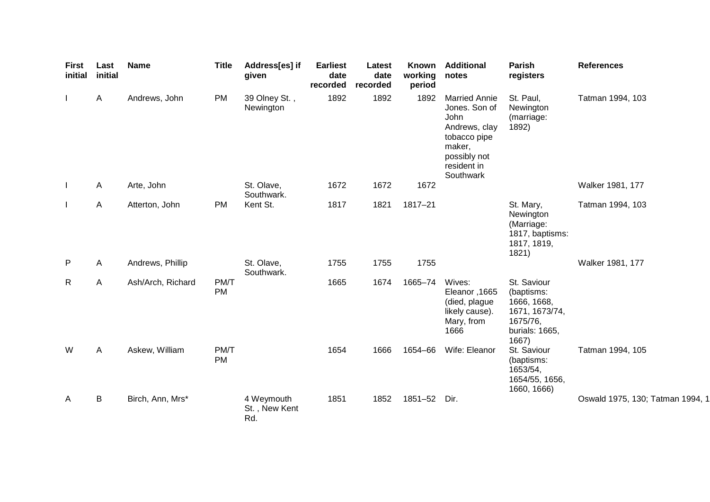| First<br>initial | Last<br>initial | <b>Name</b>       | <b>Title</b>      | Address[es] if<br>given            | <b>Earliest</b><br>date<br>recorded | Latest<br>date<br>recorded | Known<br>working<br>period | <b>Additional</b><br>notes                                                                                                           | <b>Parish</b><br>registers                                                                        | <b>References</b>                |
|------------------|-----------------|-------------------|-------------------|------------------------------------|-------------------------------------|----------------------------|----------------------------|--------------------------------------------------------------------------------------------------------------------------------------|---------------------------------------------------------------------------------------------------|----------------------------------|
|                  | $\mathsf{A}$    | Andrews, John     | <b>PM</b>         | 39 Olney St.,<br>Newington         | 1892                                | 1892                       | 1892                       | <b>Married Annie</b><br>Jones. Son of<br>John<br>Andrews, clay<br>tobacco pipe<br>maker,<br>possibly not<br>resident in<br>Southwark | St. Paul,<br>Newington<br>(marriage:<br>1892)                                                     | Tatman 1994, 103                 |
| J.               | A               | Arte, John        |                   | St. Olave,<br>Southwark.           | 1672                                | 1672                       | 1672                       |                                                                                                                                      |                                                                                                   | Walker 1981, 177                 |
|                  | A               | Atterton, John    | <b>PM</b>         | Kent St.                           | 1817                                | 1821                       | 1817-21                    |                                                                                                                                      | St. Mary,<br>Newington<br>(Marriage:<br>1817, baptisms:<br>1817, 1819,<br>1821)                   | Tatman 1994, 103                 |
| P                | A               | Andrews, Phillip  |                   | St. Olave,<br>Southwark.           | 1755                                | 1755                       | 1755                       |                                                                                                                                      |                                                                                                   | Walker 1981, 177                 |
| $\mathsf{R}$     | A               | Ash/Arch, Richard | PM/T<br><b>PM</b> |                                    | 1665                                | 1674                       | 1665-74                    | Wives:<br>Eleanor, 1665<br>(died, plague<br>likely cause).<br>Mary, from<br>1666                                                     | St. Saviour<br>(baptisms:<br>1666, 1668,<br>1671, 1673/74,<br>1675/76,<br>burials: 1665,<br>1667) |                                  |
| W                | A               | Askew, William    | PM/T<br><b>PM</b> |                                    | 1654                                | 1666                       | 1654-66                    | Wife: Eleanor                                                                                                                        | St. Saviour<br>(baptisms:<br>1653/54,<br>1654/55, 1656,<br>1660, 1666)                            | Tatman 1994, 105                 |
| A                | B               | Birch, Ann, Mrs*  |                   | 4 Weymouth<br>St., New Kent<br>Rd. | 1851                                | 1852                       | 1851-52                    | Dir.                                                                                                                                 |                                                                                                   | Oswald 1975, 130; Tatman 1994, 1 |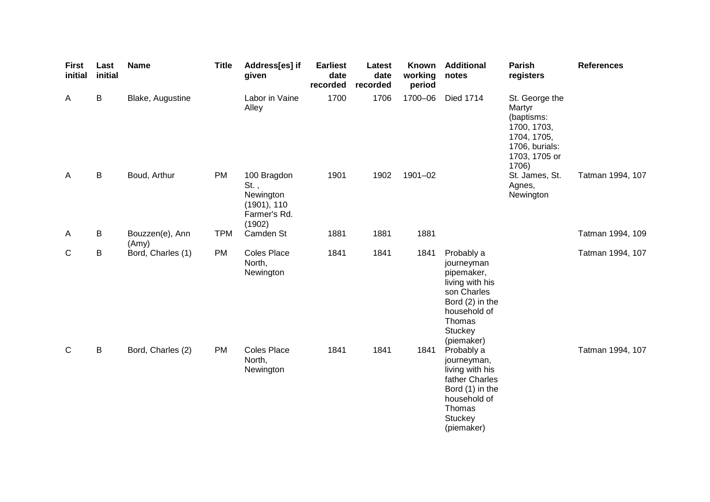| <b>First</b><br>initial | Last<br>initial | <b>Name</b>              | <b>Title</b> | Address[es] if<br>given                                                      | <b>Earliest</b><br>date<br>recorded | Latest<br>date<br>recorded | Known<br>working<br>period | <b>Additional</b><br>notes                                                                                                                     | <b>Parish</b><br>registers                                                                                       | <b>References</b> |
|-------------------------|-----------------|--------------------------|--------------|------------------------------------------------------------------------------|-------------------------------------|----------------------------|----------------------------|------------------------------------------------------------------------------------------------------------------------------------------------|------------------------------------------------------------------------------------------------------------------|-------------------|
| A                       | B               | Blake, Augustine         |              | Labor in Vaine<br>Alley                                                      | 1700                                | 1706                       | 1700-06                    | <b>Died 1714</b>                                                                                                                               | St. George the<br>Martyr<br>(baptisms:<br>1700, 1703,<br>1704, 1705,<br>1706, burials:<br>1703, 1705 or<br>1706) |                   |
| A                       | B               | Boud, Arthur             | <b>PM</b>    | 100 Bragdon<br>$St.$ ,<br>Newington<br>(1901), 110<br>Farmer's Rd.<br>(1902) | 1901                                | 1902                       | 1901-02                    |                                                                                                                                                | St. James, St.<br>Agnes,<br>Newington                                                                            | Tatman 1994, 107  |
| A                       | B               | Bouzzen(e), Ann<br>(Amy) | <b>TPM</b>   | Camden St                                                                    | 1881                                | 1881                       | 1881                       |                                                                                                                                                |                                                                                                                  | Tatman 1994, 109  |
| C                       | В               | Bord, Charles (1)        | <b>PM</b>    | <b>Coles Place</b><br>North,<br>Newington                                    | 1841                                | 1841                       | 1841                       | Probably a<br>journeyman<br>pipemaker,<br>living with his<br>son Charles<br>Bord (2) in the<br>household of<br>Thomas<br>Stuckey<br>(piemaker) |                                                                                                                  | Tatman 1994, 107  |
| $\mathsf{C}$            | $\sf B$         | Bord, Charles (2)        | <b>PM</b>    | <b>Coles Place</b><br>North,<br>Newington                                    | 1841                                | 1841                       | 1841                       | Probably a<br>journeyman,<br>living with his<br>father Charles<br>Bord (1) in the<br>household of<br>Thomas<br><b>Stuckey</b><br>(piemaker)    |                                                                                                                  | Tatman 1994, 107  |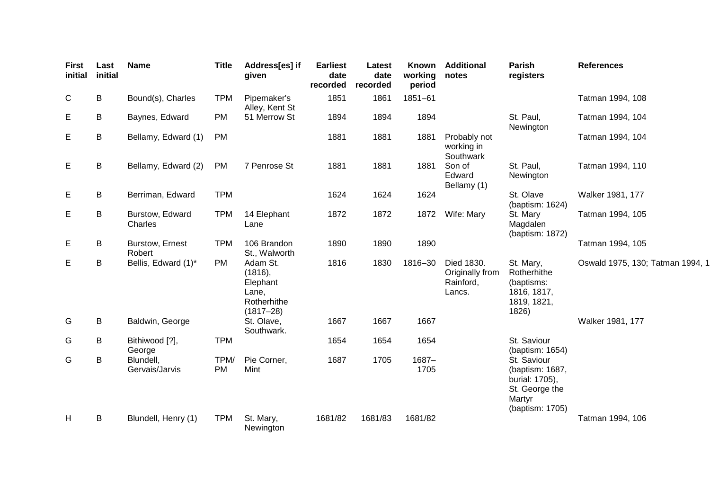| <b>First</b><br>initial | Last<br>initial | <b>Name</b>                 | <b>Title</b> | Address[es] if<br>given                                                  | <b>Earliest</b><br>date<br>recorded | Latest<br>date<br>recorded | Known<br>working<br>period | <b>Additional</b><br>notes                           | <b>Parish</b><br>registers                                                                      | <b>References</b>                |
|-------------------------|-----------------|-----------------------------|--------------|--------------------------------------------------------------------------|-------------------------------------|----------------------------|----------------------------|------------------------------------------------------|-------------------------------------------------------------------------------------------------|----------------------------------|
| C                       | B               | Bound(s), Charles           | <b>TPM</b>   | Pipemaker's<br>Alley, Kent St                                            | 1851                                | 1861                       | 1851-61                    |                                                      |                                                                                                 | Tatman 1994, 108                 |
| E                       | B               | Baynes, Edward              | <b>PM</b>    | 51 Merrow St                                                             | 1894                                | 1894                       | 1894                       |                                                      | St. Paul,<br>Newington                                                                          | Tatman 1994, 104                 |
| E                       | B               | Bellamy, Edward (1)         | <b>PM</b>    |                                                                          | 1881                                | 1881                       | 1881                       | Probably not<br>working in<br>Southwark              |                                                                                                 | Tatman 1994, 104                 |
| E                       | B               | Bellamy, Edward (2)         | <b>PM</b>    | 7 Penrose St                                                             | 1881                                | 1881                       | 1881                       | Son of<br>Edward<br>Bellamy (1)                      | St. Paul,<br>Newington                                                                          | Tatman 1994, 110                 |
| E                       | B               | Berriman, Edward            | <b>TPM</b>   |                                                                          | 1624                                | 1624                       | 1624                       |                                                      | St. Olave<br>(baptism: 1624)                                                                    | Walker 1981, 177                 |
| E                       | B               | Burstow, Edward<br>Charles  | <b>TPM</b>   | 14 Elephant<br>Lane                                                      | 1872                                | 1872                       | 1872                       | Wife: Mary                                           | St. Mary<br>Magdalen<br>(baptism: 1872)                                                         | Tatman 1994, 105                 |
| E                       | B               | Burstow, Ernest<br>Robert   | <b>TPM</b>   | 106 Brandon<br>St., Walworth                                             | 1890                                | 1890                       | 1890                       |                                                      |                                                                                                 | Tatman 1994, 105                 |
| Е                       | B               | Bellis, Edward (1)*         | <b>PM</b>    | Adam St.<br>(1816),<br>Elephant<br>Lane,<br>Rotherhithe<br>$(1817 - 28)$ | 1816                                | 1830                       | 1816-30                    | Died 1830.<br>Originally from<br>Rainford,<br>Lancs. | St. Mary,<br>Rotherhithe<br>(baptisms:<br>1816, 1817,<br>1819, 1821,<br>1826)                   | Oswald 1975, 130; Tatman 1994, 1 |
| G                       | B               | Baldwin, George             |              | St. Olave,<br>Southwark.                                                 | 1667                                | 1667                       | 1667                       |                                                      |                                                                                                 | Walker 1981, 177                 |
| G                       | B               | Bithiwood [?],<br>George    | <b>TPM</b>   |                                                                          | 1654                                | 1654                       | 1654                       |                                                      | St. Saviour<br>(baptism: 1654)                                                                  |                                  |
| G                       | B               | Blundell,<br>Gervais/Jarvis | TPM/<br>PM   | Pie Corner,<br>Mint                                                      | 1687                                | 1705                       | $1687 -$<br>1705           |                                                      | St. Saviour<br>(baptism: 1687,<br>burial: 1705),<br>St. George the<br>Martyr<br>(baptism: 1705) |                                  |
| H                       | B               | Blundell, Henry (1)         | <b>TPM</b>   | St. Mary,<br>Newington                                                   | 1681/82                             | 1681/83                    | 1681/82                    |                                                      |                                                                                                 | Tatman 1994, 106                 |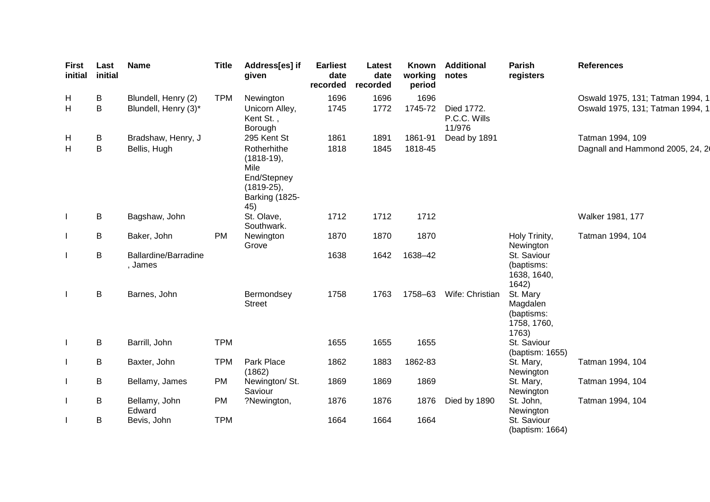| <b>First</b><br>initial | Last<br>initial | <b>Name</b>                            | <b>Title</b> | Address[es] if<br>given                                                                     | <b>Earliest</b><br>date<br>recorded | Latest<br>date<br>recorded | <b>Known</b><br>working<br>period | <b>Additional</b><br>notes           | <b>Parish</b><br>registers                                 | <b>References</b>                |
|-------------------------|-----------------|----------------------------------------|--------------|---------------------------------------------------------------------------------------------|-------------------------------------|----------------------------|-----------------------------------|--------------------------------------|------------------------------------------------------------|----------------------------------|
| H                       | B               | Blundell, Henry (2)                    | <b>TPM</b>   | Newington                                                                                   | 1696                                | 1696                       | 1696                              |                                      |                                                            | Oswald 1975, 131; Tatman 1994, 1 |
| H                       | B               | Blundell, Henry (3)*                   |              | Unicorn Alley,<br>Kent St.,<br>Borough                                                      | 1745                                | 1772                       | 1745-72                           | Died 1772.<br>P.C.C. Wills<br>11/976 |                                                            | Oswald 1975, 131; Tatman 1994, 1 |
| H                       | B               | Bradshaw, Henry, J                     |              | 295 Kent St                                                                                 | 1861                                | 1891                       | 1861-91                           | Dead by 1891                         |                                                            | Tatman 1994, 109                 |
| H                       | B               | Bellis, Hugh                           |              | Rotherhithe<br>$(1818-19),$<br>Mile<br>End/Stepney<br>$(1819-25),$<br>Barking (1825-<br>45) | 1818                                | 1845                       | 1818-45                           |                                      |                                                            | Dagnall and Hammond 2005, 24, 2  |
|                         | B               | Bagshaw, John                          |              | St. Olave,<br>Southwark.                                                                    | 1712                                | 1712                       | 1712                              |                                      |                                                            | Walker 1981, 177                 |
|                         | B               | Baker, John                            | <b>PM</b>    | Newington<br>Grove                                                                          | 1870                                | 1870                       | 1870                              |                                      | Holy Trinity,<br>Newington                                 | Tatman 1994, 104                 |
| $\mathbf{I}$            | B               | <b>Ballardine/Barradine</b><br>, James |              |                                                                                             | 1638                                | 1642                       | 1638-42                           |                                      | St. Saviour<br>(baptisms:<br>1638, 1640,<br>1642)          |                                  |
| $\mathbf{I}$            | B               | Barnes, John                           |              | Bermondsey<br><b>Street</b>                                                                 | 1758                                | 1763                       | 1758-63                           | Wife: Christian                      | St. Mary<br>Magdalen<br>(baptisms:<br>1758, 1760,<br>1763) |                                  |
|                         | B               | Barrill, John                          | <b>TPM</b>   |                                                                                             | 1655                                | 1655                       | 1655                              |                                      | St. Saviour<br>(baptism: 1655)                             |                                  |
|                         | B               | Baxter, John                           | <b>TPM</b>   | Park Place<br>(1862)                                                                        | 1862                                | 1883                       | 1862-83                           |                                      | St. Mary,<br>Newington                                     | Tatman 1994, 104                 |
|                         | B               | Bellamy, James                         | <b>PM</b>    | Newington/ St.<br>Saviour                                                                   | 1869                                | 1869                       | 1869                              |                                      | St. Mary,<br>Newington                                     | Tatman 1994, 104                 |
|                         | B               | Bellamy, John<br>Edward                | <b>PM</b>    | ?Newington,                                                                                 | 1876                                | 1876                       | 1876                              | Died by 1890                         | St. John,<br>Newington                                     | Tatman 1994, 104                 |
|                         | B               | Bevis, John                            | <b>TPM</b>   |                                                                                             | 1664                                | 1664                       | 1664                              |                                      | St. Saviour<br>(baptism: 1664)                             |                                  |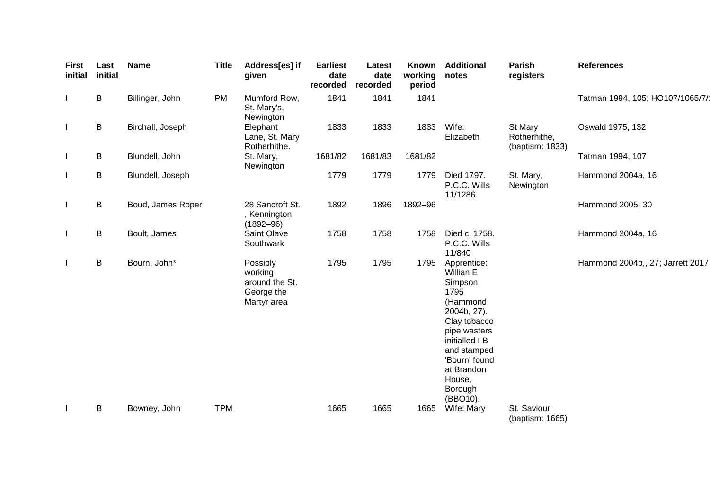| <b>First</b><br>initial | Last<br>initial | <b>Name</b>       | <b>Title</b> | Address[es] if<br>given                                            | <b>Earliest</b><br>date<br>recorded | Latest<br>date<br>recorded | Known<br>working<br>period | <b>Additional</b><br>notes                                                                                                                                                                               | Parish<br>registers                        | <b>References</b>                |
|-------------------------|-----------------|-------------------|--------------|--------------------------------------------------------------------|-------------------------------------|----------------------------|----------------------------|----------------------------------------------------------------------------------------------------------------------------------------------------------------------------------------------------------|--------------------------------------------|----------------------------------|
|                         | B               | Billinger, John   | <b>PM</b>    | Mumford Row,<br>St. Mary's,<br>Newington                           | 1841                                | 1841                       | 1841                       |                                                                                                                                                                                                          |                                            | Tatman 1994, 105; HO107/1065/7/1 |
| <sup>1</sup>            | B               | Birchall, Joseph  |              | Elephant<br>Lane, St. Mary<br>Rotherhithe.                         | 1833                                | 1833                       | 1833                       | Wife:<br>Elizabeth                                                                                                                                                                                       | St Mary<br>Rotherhithe,<br>(baptism: 1833) | Oswald 1975, 132                 |
|                         | B               | Blundell, John    |              | St. Mary,<br>Newington                                             | 1681/82                             | 1681/83                    | 1681/82                    |                                                                                                                                                                                                          |                                            | Tatman 1994, 107                 |
|                         | B               | Blundell, Joseph  |              |                                                                    | 1779                                | 1779                       | 1779                       | Died 1797.<br>P.C.C. Wills<br>11/1286                                                                                                                                                                    | St. Mary,<br>Newington                     | Hammond 2004a, 16                |
| $\mathsf{l}$            | B               | Boud, James Roper |              | 28 Sancroft St.<br>, Kennington<br>$(1892 - 96)$                   | 1892                                | 1896                       | 1892-96                    |                                                                                                                                                                                                          |                                            | Hammond 2005, 30                 |
| $\mathsf{l}$            | B               | Boult, James      |              | Saint Olave<br>Southwark                                           | 1758                                | 1758                       | 1758                       | Died c. 1758.<br>P.C.C. Wills<br>11/840                                                                                                                                                                  |                                            | Hammond 2004a, 16                |
| $\mathbf{I}$            | B               | Bourn, John*      |              | Possibly<br>working<br>around the St.<br>George the<br>Martyr area | 1795                                | 1795                       | 1795                       | Apprentice:<br>Willian E<br>Simpson,<br>1795<br>(Hammond<br>2004b, 27).<br>Clay tobacco<br>pipe wasters<br>initialled I B<br>and stamped<br>'Bourn' found<br>at Brandon<br>House,<br>Borough<br>(BBO10). |                                            | Hammond 2004b,, 27; Jarrett 2017 |
|                         | B               | Bowney, John      | <b>TPM</b>   |                                                                    | 1665                                | 1665                       | 1665                       | Wife: Mary                                                                                                                                                                                               | St. Saviour<br>(baptism: 1665)             |                                  |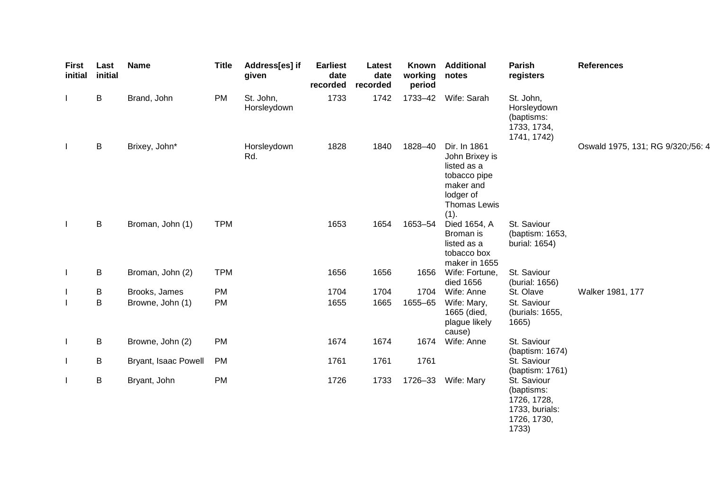| <b>First</b><br>initial | Last<br>initial | <b>Name</b>          | <b>Title</b> | Address[es] if<br>given  | <b>Earliest</b><br>date<br>recorded | Latest<br>date<br>recorded | Known<br>working<br>period | <b>Additional</b><br>notes                                                                                      | Parish<br>registers                                                                | <b>References</b>                 |
|-------------------------|-----------------|----------------------|--------------|--------------------------|-------------------------------------|----------------------------|----------------------------|-----------------------------------------------------------------------------------------------------------------|------------------------------------------------------------------------------------|-----------------------------------|
| $\mathbf{I}$            | B               | Brand, John          | <b>PM</b>    | St. John,<br>Horsleydown | 1733                                | 1742                       | 1733-42                    | Wife: Sarah                                                                                                     | St. John,<br>Horsleydown<br>(baptisms:<br>1733, 1734,<br>1741, 1742)               |                                   |
| $\mathbf{I}$            | B               | Brixey, John*        |              | Horsleydown<br>Rd.       | 1828                                | 1840                       | 1828-40                    | Dir. In 1861<br>John Brixey is<br>listed as a<br>tobacco pipe<br>maker and<br>lodger of<br>Thomas Lewis<br>(1). |                                                                                    | Oswald 1975, 131; RG 9/320;/56: 4 |
| $\mathbf{I}$            | B               | Broman, John (1)     | <b>TPM</b>   |                          | 1653                                | 1654                       | 1653-54                    | Died 1654, A<br>Broman is<br>listed as a<br>tobacco box<br>maker in 1655                                        | St. Saviour<br>(baptism: 1653,<br>burial: 1654)                                    |                                   |
| $\mathbf{I}$            | B               | Broman, John (2)     | <b>TPM</b>   |                          | 1656                                | 1656                       | 1656                       | Wife: Fortune,<br>died 1656                                                                                     | St. Saviour<br>(burial: 1656)                                                      |                                   |
| ı                       | B               | Brooks, James        | PM           |                          | 1704                                | 1704                       | 1704                       | Wife: Anne                                                                                                      | St. Olave                                                                          | Walker 1981, 177                  |
| I                       | B               | Browne, John (1)     | PM           |                          | 1655                                | 1665                       | 1655-65                    | Wife: Mary,<br>1665 (died,<br>plague likely<br>cause)                                                           | St. Saviour<br>(burials: 1655,<br>1665)                                            |                                   |
| $\mathbf{I}$            | B               | Browne, John (2)     | <b>PM</b>    |                          | 1674                                | 1674                       | 1674                       | Wife: Anne                                                                                                      | St. Saviour<br>(baptism: 1674)                                                     |                                   |
| $\mathbf{I}$            | B               | Bryant, Isaac Powell | <b>PM</b>    |                          | 1761                                | 1761                       | 1761                       |                                                                                                                 | St. Saviour<br>(baptism: 1761)                                                     |                                   |
| $\mathbf{I}$            | B               | Bryant, John         | PM           |                          | 1726                                | 1733                       | 1726-33                    | Wife: Mary                                                                                                      | St. Saviour<br>(baptisms:<br>1726, 1728,<br>1733, burials:<br>1726, 1730,<br>1733) |                                   |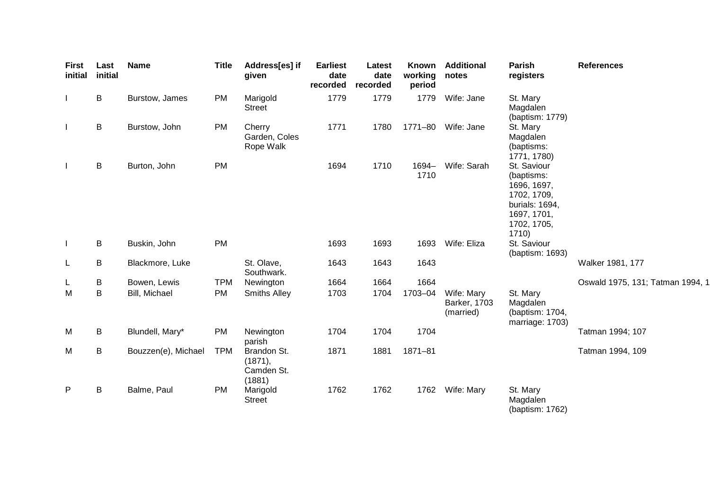| First<br>initial | Last<br>initial | <b>Name</b>         | <b>Title</b> | Address[es] if<br>given                        | <b>Earliest</b><br>date<br>recorded | Latest<br>date<br>recorded | Known<br>working<br>period | <b>Additional</b><br>notes              | Parish<br>registers                                                                                              | <b>References</b>                |
|------------------|-----------------|---------------------|--------------|------------------------------------------------|-------------------------------------|----------------------------|----------------------------|-----------------------------------------|------------------------------------------------------------------------------------------------------------------|----------------------------------|
|                  | B               | Burstow, James      | <b>PM</b>    | Marigold<br><b>Street</b>                      | 1779                                | 1779                       | 1779                       | Wife: Jane                              | St. Mary<br>Magdalen<br>(baptism: 1779)                                                                          |                                  |
|                  | $\sf B$         | Burstow, John       | <b>PM</b>    | Cherry<br>Garden, Coles<br>Rope Walk           | 1771                                | 1780                       | 1771-80                    | Wife: Jane                              | St. Mary<br>Magdalen<br>(baptisms:<br>1771, 1780)                                                                |                                  |
|                  | B               | Burton, John        | <b>PM</b>    |                                                | 1694                                | 1710                       | 1694-<br>1710              | Wife: Sarah                             | St. Saviour<br>(baptisms:<br>1696, 1697,<br>1702, 1709,<br>burials: 1694,<br>1697, 1701,<br>1702, 1705,<br>1710) |                                  |
| J.               | B               | Buskin, John        | <b>PM</b>    |                                                | 1693                                | 1693                       | 1693                       | Wife: Eliza                             | St. Saviour<br>(baptism: 1693)                                                                                   |                                  |
| L                | B               | Blackmore, Luke     |              | St. Olave,<br>Southwark.                       | 1643                                | 1643                       | 1643                       |                                         |                                                                                                                  | Walker 1981, 177                 |
| L                | B               | Bowen, Lewis        | <b>TPM</b>   | Newington                                      | 1664                                | 1664                       | 1664                       |                                         |                                                                                                                  | Oswald 1975, 131; Tatman 1994, 1 |
| M                | B               | Bill, Michael       | <b>PM</b>    | <b>Smiths Alley</b>                            | 1703                                | 1704                       | 1703-04                    | Wife: Mary<br>Barker, 1703<br>(married) | St. Mary<br>Magdalen<br>(baptism: 1704,<br>marriage: 1703)                                                       |                                  |
| M                | B               | Blundell, Mary*     | <b>PM</b>    | Newington<br>parish                            | 1704                                | 1704                       | 1704                       |                                         |                                                                                                                  | Tatman 1994; 107                 |
| M                | B               | Bouzzen(e), Michael | <b>TPM</b>   | Brandon St.<br>(1871),<br>Camden St.<br>(1881) | 1871                                | 1881                       | $1871 - 81$                |                                         |                                                                                                                  | Tatman 1994, 109                 |
| P                | $\sf B$         | Balme, Paul         | <b>PM</b>    | Marigold<br><b>Street</b>                      | 1762                                | 1762                       | 1762                       | Wife: Mary                              | St. Mary<br>Magdalen<br>(baptism: 1762)                                                                          |                                  |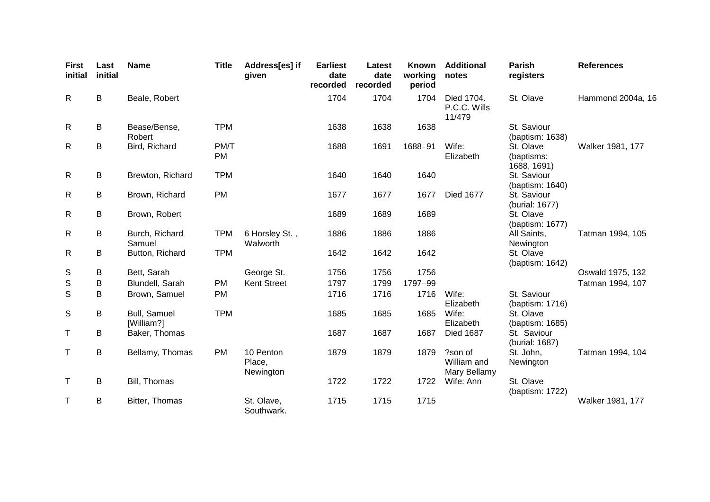| <b>First</b><br>initial | Last<br>initial | <b>Name</b>                | <b>Title</b>      | Address[es] if<br>given          | <b>Earliest</b><br>date<br>recorded | Latest<br>date<br>recorded | <b>Known</b><br>working<br>period | <b>Additional</b><br>notes             | Parish<br>registers                    | <b>References</b> |
|-------------------------|-----------------|----------------------------|-------------------|----------------------------------|-------------------------------------|----------------------------|-----------------------------------|----------------------------------------|----------------------------------------|-------------------|
| $\mathsf{R}$            | B               | Beale, Robert              |                   |                                  | 1704                                | 1704                       | 1704                              | Died 1704.<br>P.C.C. Wills<br>11/479   | St. Olave                              | Hammond 2004a, 16 |
| $\mathsf{R}$            | B               | Bease/Bense,<br>Robert     | <b>TPM</b>        |                                  | 1638                                | 1638                       | 1638                              |                                        | St. Saviour<br>(baptism: 1638)         |                   |
| R                       | B               | Bird, Richard              | PM/T<br><b>PM</b> |                                  | 1688                                | 1691                       | 1688-91                           | Wife:<br>Elizabeth                     | St. Olave<br>(baptisms:<br>1688, 1691) | Walker 1981, 177  |
| $\mathsf{R}$            | B               | Brewton, Richard           | <b>TPM</b>        |                                  | 1640                                | 1640                       | 1640                              |                                        | St. Saviour<br>(baptism: 1640)         |                   |
| $\mathsf{R}$            | B               | Brown, Richard             | PM                |                                  | 1677                                | 1677                       | 1677                              | <b>Died 1677</b>                       | St. Saviour<br>(burial: 1677)          |                   |
| $\mathsf{R}$            | B               | Brown, Robert              |                   |                                  | 1689                                | 1689                       | 1689                              |                                        | St. Olave<br>(baptism: 1677)           |                   |
| $\mathsf{R}$            | B               | Burch, Richard<br>Samuel   | <b>TPM</b>        | 6 Horsley St.,<br>Walworth       | 1886                                | 1886                       | 1886                              |                                        | All Saints,<br>Newington               | Tatman 1994, 105  |
| $\mathsf{R}$            | B               | Button, Richard            | <b>TPM</b>        |                                  | 1642                                | 1642                       | 1642                              |                                        | St. Olave<br>(baptism: 1642)           |                   |
| S                       | B               | Bett, Sarah                |                   | George St.                       | 1756                                | 1756                       | 1756                              |                                        |                                        | Oswald 1975, 132  |
| ${\mathbb S}$           | В               | Blundell, Sarah            | <b>PM</b>         | <b>Kent Street</b>               | 1797                                | 1799                       | 1797-99                           |                                        |                                        | Tatman 1994, 107  |
| $\mathsf S$             | В               | Brown, Samuel              | PM                |                                  | 1716                                | 1716                       | 1716                              | Wife:<br>Elizabeth                     | St. Saviour<br>(baptism: 1716)         |                   |
| S                       | B               | Bull, Samuel<br>[William?] | <b>TPM</b>        |                                  | 1685                                | 1685                       | 1685                              | Wife:<br>Elizabeth                     | St. Olave<br>(baptism: 1685)           |                   |
| Τ                       | B               | Baker, Thomas              |                   |                                  | 1687                                | 1687                       | 1687                              | <b>Died 1687</b>                       | St. Saviour<br>(burial: 1687)          |                   |
| Τ                       | B               | Bellamy, Thomas            | <b>PM</b>         | 10 Penton<br>Place,<br>Newington | 1879                                | 1879                       | 1879                              | ?son of<br>William and<br>Mary Bellamy | St. John,<br>Newington                 | Tatman 1994, 104  |
| Τ                       | B               | Bill, Thomas               |                   |                                  | 1722                                | 1722                       | 1722                              | Wife: Ann                              | St. Olave<br>(baptism: 1722)           |                   |
| T                       | B               | Bitter, Thomas             |                   | St. Olave,<br>Southwark.         | 1715                                | 1715                       | 1715                              |                                        |                                        | Walker 1981, 177  |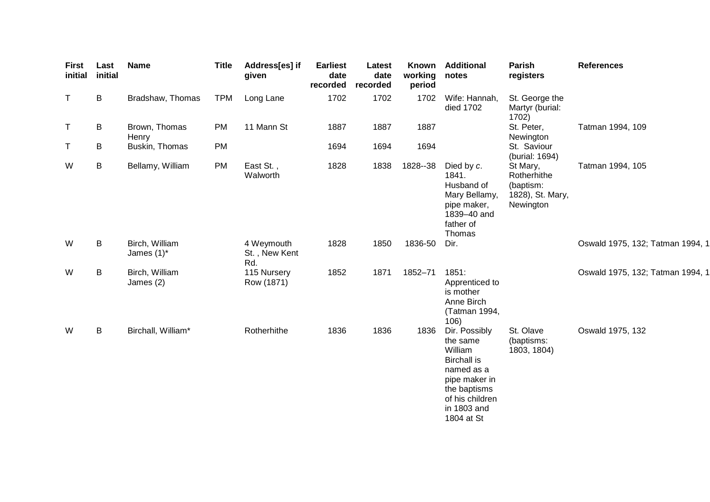| <b>First</b><br>initial | Last<br>initial | <b>Name</b>                     | <b>Title</b> | Address[es] if<br>given            | <b>Earliest</b><br>date<br>recorded | Latest<br>date<br>recorded | Known<br>working<br>period | <b>Additional</b><br>notes                                                                                                                                | Parish<br>registers                                                   | <b>References</b>                |
|-------------------------|-----------------|---------------------------------|--------------|------------------------------------|-------------------------------------|----------------------------|----------------------------|-----------------------------------------------------------------------------------------------------------------------------------------------------------|-----------------------------------------------------------------------|----------------------------------|
| T                       | B               | Bradshaw, Thomas                | <b>TPM</b>   | Long Lane                          | 1702                                | 1702                       | 1702                       | Wife: Hannah,<br>died 1702                                                                                                                                | St. George the<br>Martyr (burial:<br>1702)                            |                                  |
| T                       | B               | Brown, Thomas<br>Henry          | <b>PM</b>    | 11 Mann St                         | 1887                                | 1887                       | 1887                       |                                                                                                                                                           | St. Peter,<br>Newington                                               | Tatman 1994, 109                 |
| Τ                       | B               | Buskin, Thomas                  | PM           |                                    | 1694                                | 1694                       | 1694                       |                                                                                                                                                           | St. Saviour<br>(burial: 1694)                                         |                                  |
| W                       | B               | Bellamy, William                | <b>PM</b>    | East St.,<br>Walworth              | 1828                                | 1838                       | 1828--38                   | Died by c.<br>1841.<br>Husband of<br>Mary Bellamy,<br>pipe maker,<br>1839-40 and<br>father of<br>Thomas                                                   | St Mary,<br>Rotherhithe<br>(baptism:<br>1828), St. Mary,<br>Newington | Tatman 1994, 105                 |
| W                       | B               | Birch, William<br>James $(1)^*$ |              | 4 Weymouth<br>St., New Kent<br>Rd. | 1828                                | 1850                       | 1836-50                    | Dir.                                                                                                                                                      |                                                                       | Oswald 1975, 132; Tatman 1994, 1 |
| W                       | B               | Birch, William<br>James (2)     |              | 115 Nursery<br>Row (1871)          | 1852                                | 1871                       | 1852-71                    | 1851:<br>Apprenticed to<br>is mother<br>Anne Birch<br>(Tatman 1994,<br>106)                                                                               |                                                                       | Oswald 1975, 132; Tatman 1994, 1 |
| W                       | B               | Birchall, William*              |              | Rotherhithe                        | 1836                                | 1836                       | 1836                       | Dir. Possibly<br>the same<br>William<br><b>Birchall is</b><br>named as a<br>pipe maker in<br>the baptisms<br>of his children<br>in 1803 and<br>1804 at St | St. Olave<br>(baptisms:<br>1803, 1804)                                | Oswald 1975, 132                 |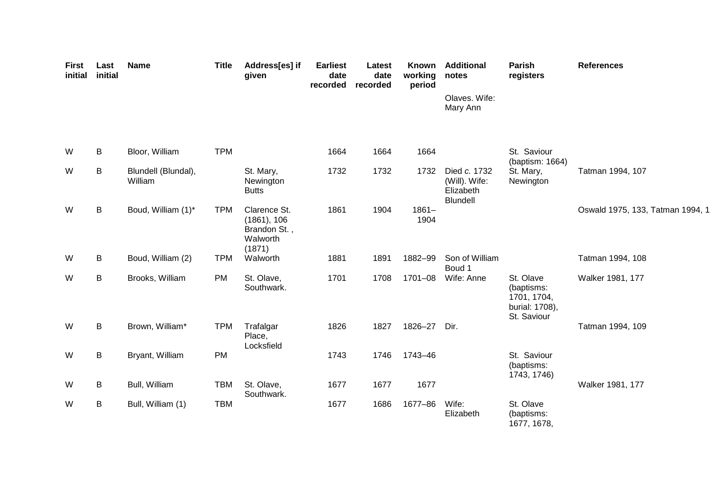| <b>First</b><br>initial | Last<br>initial | <b>Name</b>                    | <b>Title</b> | Address[es] if<br>given                                           | <b>Earliest</b><br>date<br>recorded | Latest<br>date<br>recorded | Known<br>working<br>period | <b>Additional</b><br>notes                             | Parish<br>registers                                                     | <b>References</b>                |
|-------------------------|-----------------|--------------------------------|--------------|-------------------------------------------------------------------|-------------------------------------|----------------------------|----------------------------|--------------------------------------------------------|-------------------------------------------------------------------------|----------------------------------|
|                         |                 |                                |              |                                                                   |                                     |                            |                            | Olaves. Wife:<br>Mary Ann                              |                                                                         |                                  |
| W                       | B               | Bloor, William                 | <b>TPM</b>   |                                                                   | 1664                                | 1664                       | 1664                       |                                                        | St. Saviour<br>(baptism: 1664)                                          |                                  |
| W                       | B               | Blundell (Blundal),<br>William |              | St. Mary,<br>Newington<br><b>Butts</b>                            | 1732                                | 1732                       | 1732                       | Died c. 1732<br>(Will). Wife:<br>Elizabeth<br>Blundell | St. Mary,<br>Newington                                                  | Tatman 1994, 107                 |
| W                       | B               | Boud, William (1)*             | <b>TPM</b>   | Clarence St.<br>(1861), 106<br>Brandon St.,<br>Walworth<br>(1871) | 1861                                | 1904                       | $1861 -$<br>1904           |                                                        |                                                                         | Oswald 1975, 133, Tatman 1994, 1 |
| W                       | B               | Boud, William (2)              | <b>TPM</b>   | Walworth                                                          | 1881                                | 1891                       | 1882-99                    | Son of William<br>Boud 1                               |                                                                         | Tatman 1994, 108                 |
| W                       | B               | Brooks, William                | PM           | St. Olave,<br>Southwark.                                          | 1701                                | 1708                       | 1701-08                    | Wife: Anne                                             | St. Olave<br>(baptisms:<br>1701, 1704,<br>burial: 1708),<br>St. Saviour | Walker 1981, 177                 |
| W                       | B               | Brown, William*                | <b>TPM</b>   | Trafalgar<br>Place,<br>Locksfield                                 | 1826                                | 1827                       | 1826-27                    | Dir.                                                   |                                                                         | Tatman 1994, 109                 |
| W                       | В               | Bryant, William                | PM           |                                                                   | 1743                                | 1746                       | 1743-46                    |                                                        | St. Saviour<br>(baptisms:<br>1743, 1746)                                |                                  |
| W                       | В               | Bull, William                  | <b>TBM</b>   | St. Olave,<br>Southwark.                                          | 1677                                | 1677                       | 1677                       |                                                        |                                                                         | Walker 1981, 177                 |
| W                       | В               | Bull, William (1)              | <b>TBM</b>   |                                                                   | 1677                                | 1686                       | 1677-86                    | Wife:<br>Elizabeth                                     | St. Olave<br>(baptisms:<br>1677, 1678,                                  |                                  |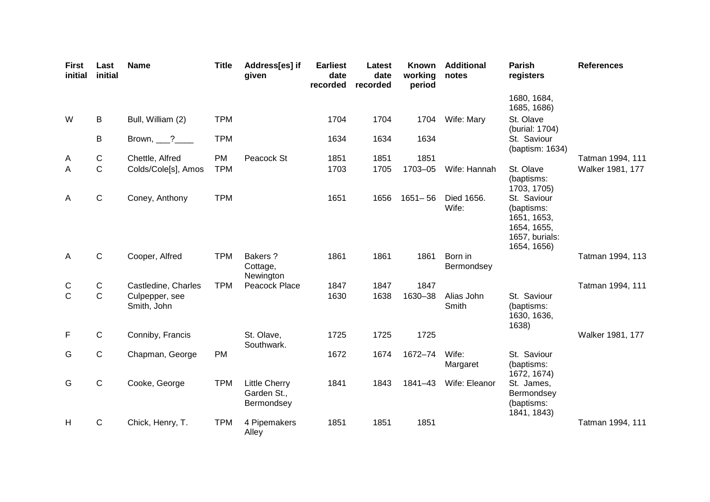| <b>First</b><br>initial | Last<br>initial | <b>Name</b>                   | <b>Title</b> | Address[es] if<br>given                           | <b>Earliest</b><br>date<br>recorded | Latest<br>date<br>recorded | Known<br>working<br>period | <b>Additional</b><br>notes | Parish<br>registers                                                                      | <b>References</b> |
|-------------------------|-----------------|-------------------------------|--------------|---------------------------------------------------|-------------------------------------|----------------------------|----------------------------|----------------------------|------------------------------------------------------------------------------------------|-------------------|
|                         |                 |                               |              |                                                   |                                     |                            |                            |                            | 1680, 1684,<br>1685, 1686)                                                               |                   |
| W                       | B               | Bull, William (2)             | <b>TPM</b>   |                                                   | 1704                                | 1704                       | 1704                       | Wife: Mary                 | St. Olave<br>(burial: 1704)                                                              |                   |
|                         | B               | Brown, $\frac{?}{?}$          | <b>TPM</b>   |                                                   | 1634                                | 1634                       | 1634                       |                            | St. Saviour<br>(baptism: 1634)                                                           |                   |
| A                       | $\mathsf C$     | Chettle, Alfred               | <b>PM</b>    | Peacock St                                        | 1851                                | 1851                       | 1851                       |                            |                                                                                          | Tatman 1994, 111  |
| $\mathsf{A}$            | $\mathbf C$     | Colds/Cole[s], Amos           | <b>TPM</b>   |                                                   | 1703                                | 1705                       | 1703-05                    | Wife: Hannah               | St. Olave<br>(baptisms:<br>1703, 1705)                                                   | Walker 1981, 177  |
| A                       | $\mathsf C$     | Coney, Anthony                | <b>TPM</b>   |                                                   | 1651                                | 1656                       | $1651 - 56$                | Died 1656.<br>Wife:        | St. Saviour<br>(baptisms:<br>1651, 1653,<br>1654, 1655,<br>1657, burials:<br>1654, 1656) |                   |
| A                       | $\mathsf{C}$    | Cooper, Alfred                | <b>TPM</b>   | Bakers?<br>Cottage,<br>Newington                  | 1861                                | 1861                       | 1861                       | Born in<br>Bermondsey      |                                                                                          | Tatman 1994, 113  |
| C                       | ${\bf C}$       | Castledine, Charles           | <b>TPM</b>   | Peacock Place                                     | 1847                                | 1847                       | 1847                       |                            |                                                                                          | Tatman 1994, 111  |
| $\mathsf{C}$            | $\mathsf{C}$    | Culpepper, see<br>Smith, John |              |                                                   | 1630                                | 1638                       | 1630-38                    | Alias John<br>Smith        | St. Saviour<br>(baptisms:<br>1630, 1636,<br>1638)                                        |                   |
| F                       | $\mathsf{C}$    | Conniby, Francis              |              | St. Olave,<br>Southwark.                          | 1725                                | 1725                       | 1725                       |                            |                                                                                          | Walker 1981, 177  |
| G                       | $\mathsf C$     | Chapman, George               | <b>PM</b>    |                                                   | 1672                                | 1674                       | 1672-74                    | Wife:<br>Margaret          | St. Saviour<br>(baptisms:<br>1672, 1674)                                                 |                   |
| G                       | $\mathsf{C}$    | Cooke, George                 | <b>TPM</b>   | <b>Little Cherry</b><br>Garden St.,<br>Bermondsey | 1841                                | 1843                       | 1841-43                    | Wife: Eleanor              | St. James,<br>Bermondsey<br>(baptisms:<br>1841, 1843)                                    |                   |
| H                       | $\mathsf{C}$    | Chick, Henry, T.              | <b>TPM</b>   | 4 Pipemakers<br>Alley                             | 1851                                | 1851                       | 1851                       |                            |                                                                                          | Tatman 1994, 111  |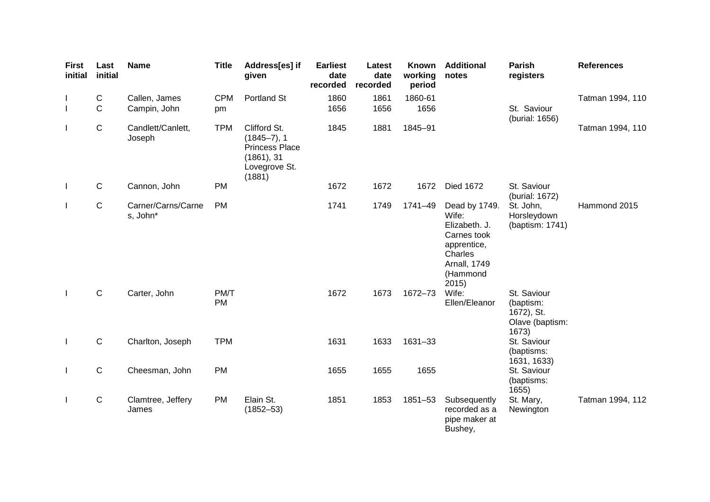| <b>First</b><br>initial  | Last<br>initial | <b>Name</b>                    | <b>Title</b> | Address[es] if<br>given                                                                           | <b>Earliest</b><br>date<br>recorded | Latest<br>date<br>recorded | Known<br>working<br>period | <b>Additional</b><br>notes                                                                                                   | <b>Parish</b><br>registers                                         | <b>References</b> |
|--------------------------|-----------------|--------------------------------|--------------|---------------------------------------------------------------------------------------------------|-------------------------------------|----------------------------|----------------------------|------------------------------------------------------------------------------------------------------------------------------|--------------------------------------------------------------------|-------------------|
|                          | C               | Callen, James                  | <b>CPM</b>   | Portland St                                                                                       | 1860                                | 1861                       | 1860-61                    |                                                                                                                              |                                                                    | Tatman 1994, 110  |
| $\overline{\phantom{a}}$ | $\mathsf C$     | Campin, John                   | pm           |                                                                                                   | 1656                                | 1656                       | 1656                       |                                                                                                                              | St. Saviour<br>(burial: 1656)                                      |                   |
| $\mathbf{I}$             | ${\bf C}$       | Candlett/Canlett,<br>Joseph    | <b>TPM</b>   | Clifford St.<br>$(1845 - 7), 1$<br><b>Princess Place</b><br>(1861), 31<br>Lovegrove St.<br>(1881) | 1845                                | 1881                       | 1845-91                    |                                                                                                                              |                                                                    | Tatman 1994, 110  |
| $\perp$                  | $\mathsf{C}$    | Cannon, John                   | <b>PM</b>    |                                                                                                   | 1672                                | 1672                       | 1672                       | <b>Died 1672</b>                                                                                                             | St. Saviour<br>(burial: 1672)                                      |                   |
| $\mathbf{I}$             | $\mathsf{C}$    | Carner/Carns/Carne<br>s, John* | PM           |                                                                                                   | 1741                                | 1749                       | 1741-49                    | Dead by 1749.<br>Wife:<br>Elizabeth. J.<br>Carnes took<br>apprentice,<br>Charles<br><b>Arnall, 1749</b><br>(Hammond<br>2015) | St. John,<br>Horsleydown<br>(baptism: 1741)                        | Hammond 2015      |
| $\perp$                  | $\mathbf C$     | Carter, John                   | PM/T<br>PM   |                                                                                                   | 1672                                | 1673                       | 1672-73                    | Wife:<br>Ellen/Eleanor                                                                                                       | St. Saviour<br>(baptism:<br>1672), St.<br>Olave (baptism:<br>1673) |                   |
| $\mathbf{I}$             | C               | Charlton, Joseph               | <b>TPM</b>   |                                                                                                   | 1631                                | 1633                       | 1631-33                    |                                                                                                                              | St. Saviour<br>(baptisms:<br>1631, 1633)                           |                   |
| $\mathbf{I}$             | $\mathsf C$     | Cheesman, John                 | <b>PM</b>    |                                                                                                   | 1655                                | 1655                       | 1655                       |                                                                                                                              | St. Saviour<br>(baptisms:<br>1655                                  |                   |
| $\mathbf{I}$             | ${\bf C}$       | Clamtree, Jeffery<br>James     | <b>PM</b>    | Elain St.<br>$(1852 - 53)$                                                                        | 1851                                | 1853                       | 1851-53                    | Subsequently<br>recorded as a<br>pipe maker at<br>Bushey,                                                                    | St. Mary,<br>Newington                                             | Tatman 1994, 112  |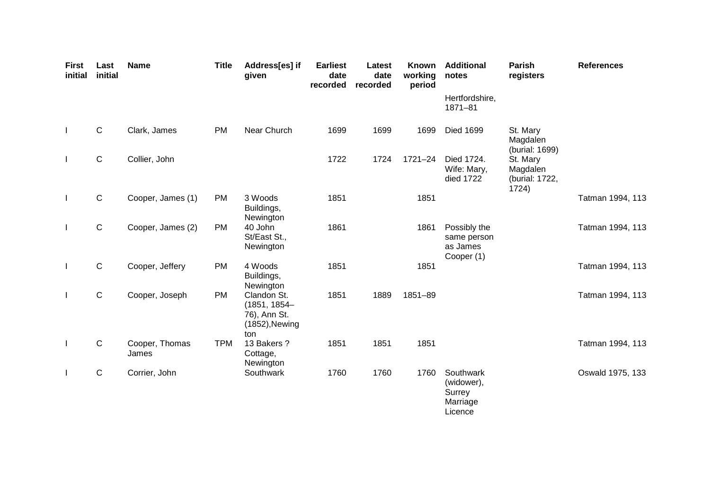| <b>First</b><br>initial | Last<br>initial | <b>Name</b>             | <b>Title</b> | Address[es] if<br>given                                                 | <b>Earliest</b><br>date<br>recorded | Latest<br>date<br>recorded | Known<br>working<br>period | <b>Additional</b><br>notes                               | <b>Parish</b><br>registers                      | <b>References</b> |
|-------------------------|-----------------|-------------------------|--------------|-------------------------------------------------------------------------|-------------------------------------|----------------------------|----------------------------|----------------------------------------------------------|-------------------------------------------------|-------------------|
|                         |                 |                         |              |                                                                         |                                     |                            |                            | Hertfordshire,<br>$1871 - 81$                            |                                                 |                   |
| $\mathbf{I}$            | $\mathsf C$     | Clark, James            | <b>PM</b>    | Near Church                                                             | 1699                                | 1699                       | 1699                       | <b>Died 1699</b>                                         | St. Mary<br>Magdalen<br>(burial: 1699)          |                   |
| $\mathbf{I}$            | $\mathsf{C}$    | Collier, John           |              |                                                                         | 1722                                | 1724                       | $1721 - 24$                | Died 1724.<br>Wife: Mary,<br>died 1722                   | St. Mary<br>Magdalen<br>(burial: 1722,<br>1724) |                   |
| $\mathbf{I}$            | $\mathsf C$     | Cooper, James (1)       | <b>PM</b>    | 3 Woods<br>Buildings,<br>Newington                                      | 1851                                |                            | 1851                       |                                                          |                                                 | Tatman 1994, 113  |
| $\mathbf{I}$            | $\mathsf{C}$    | Cooper, James (2)       | <b>PM</b>    | 40 John<br>St/East St.,<br>Newington                                    | 1861                                |                            | 1861                       | Possibly the<br>same person<br>as James<br>Cooper (1)    |                                                 | Tatman 1994, 113  |
| $\mathbf{I}$            | $\mathsf C$     | Cooper, Jeffery         | PM           | 4 Woods<br>Buildings,<br>Newington                                      | 1851                                |                            | 1851                       |                                                          |                                                 | Tatman 1994, 113  |
| $\mathbf{I}$            | $\mathbf C$     | Cooper, Joseph          | <b>PM</b>    | Clandon St.<br>$(1851, 1854 -$<br>76), Ann St.<br>(1852), Newing<br>ton | 1851                                | 1889                       | 1851-89                    |                                                          |                                                 | Tatman 1994, 113  |
| $\perp$                 | $\mathbf C$     | Cooper, Thomas<br>James | <b>TPM</b>   | 13 Bakers?<br>Cottage,<br>Newington                                     | 1851                                | 1851                       | 1851                       |                                                          |                                                 | Tatman 1994, 113  |
| $\mathbf{I}$            | $\mathsf{C}$    | Corrier, John           |              | Southwark                                                               | 1760                                | 1760                       | 1760                       | Southwark<br>(widower),<br>Surrey<br>Marriage<br>Licence |                                                 | Oswald 1975, 133  |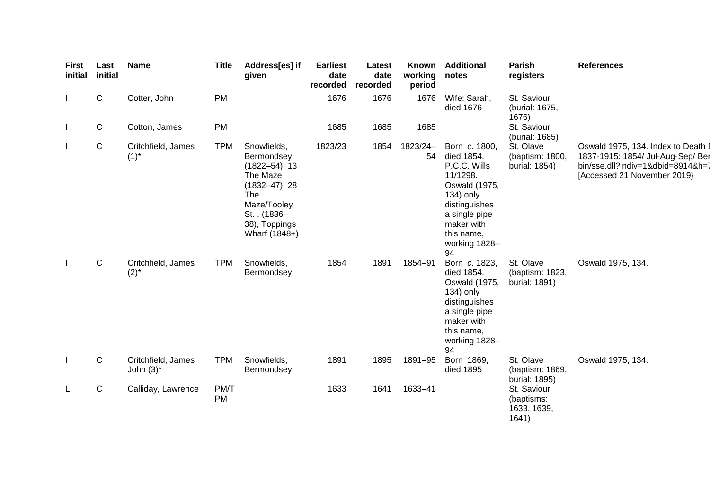| <b>First</b><br>initial | Last<br>initial | Name                               | <b>Title</b>      | Address[es] if<br>given                                                                                                                                 | <b>Earliest</b><br>date<br>recorded | Latest<br>date<br>recorded | Known<br>working<br>period | <b>Additional</b><br>notes                                                                                                                                                 | Parish<br>registers                               | <b>References</b>                                                                                                                           |
|-------------------------|-----------------|------------------------------------|-------------------|---------------------------------------------------------------------------------------------------------------------------------------------------------|-------------------------------------|----------------------------|----------------------------|----------------------------------------------------------------------------------------------------------------------------------------------------------------------------|---------------------------------------------------|---------------------------------------------------------------------------------------------------------------------------------------------|
| $\mathbf{L}$            | $\mathsf{C}$    | Cotter, John                       | <b>PM</b>         |                                                                                                                                                         | 1676                                | 1676                       | 1676                       | Wife: Sarah,<br>died 1676                                                                                                                                                  | St. Saviour<br>(burial: 1675,<br>1676)            |                                                                                                                                             |
| $\mathbf{L}$            | $\mathsf{C}$    | Cotton, James                      | <b>PM</b>         |                                                                                                                                                         | 1685                                | 1685                       | 1685                       |                                                                                                                                                                            | St. Saviour<br>(burial: 1685)                     |                                                                                                                                             |
| $\mathbf{L}$            | $\mathsf C$     | Critchfield, James<br>$(1)^{*}$    | <b>TPM</b>        | Snowfields,<br>Bermondsey<br>$(1822 - 54)$ , 13<br>The Maze<br>$(1832 - 47), 28$<br>The<br>Maze/Tooley<br>St., (1836-<br>38), Toppings<br>Wharf (1848+) | 1823/23                             | 1854                       | 1823/24-<br>54             | Born c. 1800,<br>died 1854.<br>P.C.C. Wills<br>11/1298.<br>Oswald (1975,<br>134) only<br>distinguishes<br>a single pipe<br>maker with<br>this name,<br>working 1828-<br>94 | St. Olave<br>(baptism: 1800,<br>burial: 1854)     | Oswald 1975, 134. Index to Death I<br>1837-1915: 1854/ Jul-Aug-Sep/ Ber<br>bin/sse.dll?indiv=1&dbid=8914&h=7<br>[Accessed 21 November 2019] |
| $\mathbf{L}$            | $\mathbf C$     | Critchfield, James<br>$(2)^{*}$    | <b>TPM</b>        | Snowfields,<br>Bermondsey                                                                                                                               | 1854                                | 1891                       | 1854-91                    | Born c. 1823,<br>died 1854.<br>Oswald (1975,<br>134) only<br>distinguishes<br>a single pipe<br>maker with<br>this name,<br>working 1828-<br>94                             | St. Olave<br>(baptism: 1823,<br>burial: 1891)     | Oswald 1975, 134.                                                                                                                           |
| $\mathbf{I}$            | $\mathbf C$     | Critchfield, James<br>John $(3)^*$ | <b>TPM</b>        | Snowfields,<br>Bermondsey                                                                                                                               | 1891                                | 1895                       | 1891-95                    | Born 1869,<br>died 1895                                                                                                                                                    | St. Olave<br>(baptism: 1869,<br>burial: 1895)     | Oswald 1975, 134.                                                                                                                           |
| L                       | $\mathbf C$     | Calliday, Lawrence                 | PM/T<br><b>PM</b> |                                                                                                                                                         | 1633                                | 1641                       | 1633-41                    |                                                                                                                                                                            | St. Saviour<br>(baptisms:<br>1633, 1639,<br>1641) |                                                                                                                                             |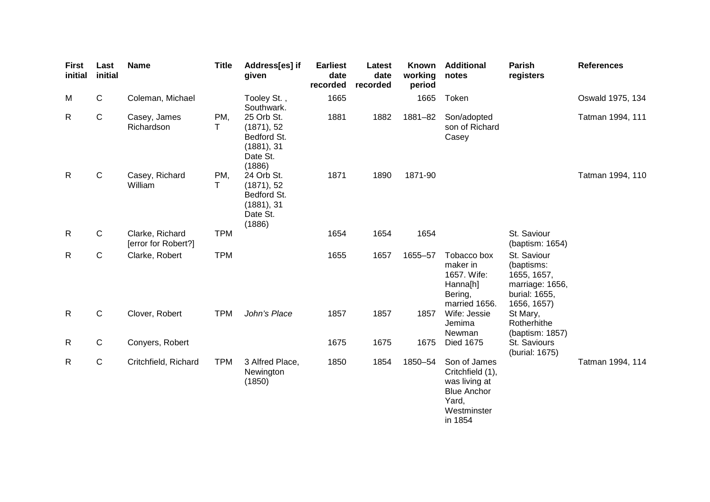| <b>First</b><br>initial | Last<br>initial | <b>Name</b>                            | <b>Title</b> | Address[es] if<br>given                                                     | <b>Earliest</b><br>date<br>recorded | Latest<br>date<br>recorded | <b>Known</b><br>working<br>period | <b>Additional</b><br>notes                                                                                 | Parish<br>registers                                                                         | <b>References</b> |
|-------------------------|-----------------|----------------------------------------|--------------|-----------------------------------------------------------------------------|-------------------------------------|----------------------------|-----------------------------------|------------------------------------------------------------------------------------------------------------|---------------------------------------------------------------------------------------------|-------------------|
| M                       | $\mathsf C$     | Coleman, Michael                       |              | Tooley St.,<br>Southwark.                                                   | 1665                                |                            | 1665                              | Token                                                                                                      |                                                                                             | Oswald 1975, 134  |
| $\mathsf{R}$            | ${\bf C}$       | Casey, James<br>Richardson             | PM,<br>Τ     | 25 Orb St.<br>(1871), 52<br>Bedford St.<br>(1881), 31<br>Date St.<br>(1886) | 1881                                | 1882                       | 1881-82                           | Son/adopted<br>son of Richard<br>Casey                                                                     |                                                                                             | Tatman 1994, 111  |
| $\mathsf{R}$            | $\mathbf C$     | Casey, Richard<br>William              | PM,<br>т     | 24 Orb St.<br>(1871), 52<br>Bedford St.<br>(1881), 31<br>Date St.<br>(1886) | 1871                                | 1890                       | 1871-90                           |                                                                                                            |                                                                                             | Tatman 1994, 110  |
| $\mathsf{R}$            | $\mathbf C$     | Clarke, Richard<br>[error for Robert?] | <b>TPM</b>   |                                                                             | 1654                                | 1654                       | 1654                              |                                                                                                            | St. Saviour<br>(baptism: 1654)                                                              |                   |
| R                       | $\mathsf{C}$    | Clarke, Robert                         | <b>TPM</b>   |                                                                             | 1655                                | 1657                       | 1655-57                           | Tobacco box<br>maker in<br>1657. Wife:<br>Hanna[h]<br>Bering,<br>married 1656.                             | St. Saviour<br>(baptisms:<br>1655, 1657,<br>marriage: 1656,<br>burial: 1655,<br>1656, 1657) |                   |
| $\mathsf{R}$            | ${\bf C}$       | Clover, Robert                         | <b>TPM</b>   | John's Place                                                                | 1857                                | 1857                       | 1857                              | Wife: Jessie<br>Jemima<br>Newman                                                                           | St Mary,<br>Rotherhithe<br>(baptism: 1857)                                                  |                   |
| R                       | $\mathsf{C}$    | Conyers, Robert                        |              |                                                                             | 1675                                | 1675                       | 1675                              | <b>Died 1675</b>                                                                                           | St. Saviours<br>(burial: 1675)                                                              |                   |
| $\mathsf{R}$            | $\mathbf C$     | Critchfield, Richard                   | <b>TPM</b>   | 3 Alfred Place,<br>Newington<br>(1850)                                      | 1850                                | 1854                       | 1850-54                           | Son of James<br>Critchfield (1),<br>was living at<br><b>Blue Anchor</b><br>Yard,<br>Westminster<br>in 1854 |                                                                                             | Tatman 1994, 114  |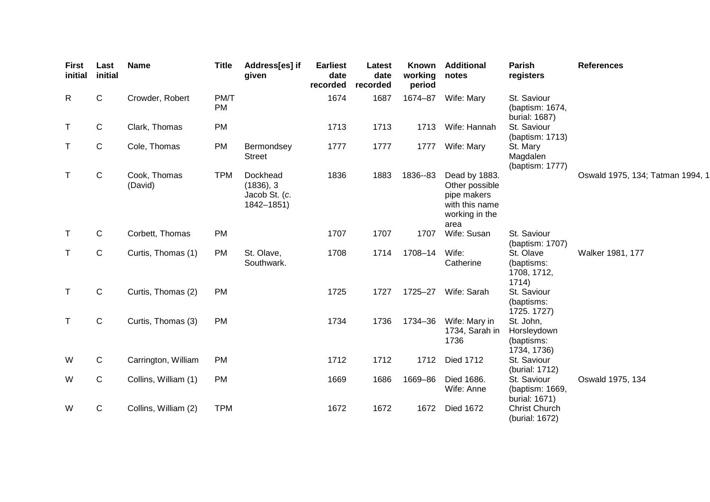| <b>First</b><br>initial | Last<br>initial | <b>Name</b>             | <b>Title</b>      | Address[es] if<br>given                              | <b>Earliest</b><br>date<br>recorded | Latest<br>date<br>recorded | Known<br>working<br>period | <b>Additional</b><br>notes                                                                 | Parish<br>registers                                   | <b>References</b>                |
|-------------------------|-----------------|-------------------------|-------------------|------------------------------------------------------|-------------------------------------|----------------------------|----------------------------|--------------------------------------------------------------------------------------------|-------------------------------------------------------|----------------------------------|
| R                       | $\mathsf C$     | Crowder, Robert         | PM/T<br><b>PM</b> |                                                      | 1674                                | 1687                       | 1674-87                    | Wife: Mary                                                                                 | St. Saviour<br>(baptism: 1674,<br>burial: 1687)       |                                  |
| $\top$                  | C               | Clark, Thomas           | PM                |                                                      | 1713                                | 1713                       | 1713                       | Wife: Hannah                                                                               | St. Saviour<br>(baptism: 1713)                        |                                  |
| $\mathsf{T}$            | $\mathbf C$     | Cole, Thomas            | <b>PM</b>         | Bermondsey<br><b>Street</b>                          | 1777                                | 1777                       | 1777                       | Wife: Mary                                                                                 | St. Mary<br>Magdalen<br>(baptism: 1777)               |                                  |
| T                       | $\mathbf C$     | Cook, Thomas<br>(David) | <b>TPM</b>        | Dockhead<br>(1836), 3<br>Jacob St. (c.<br>1842-1851) | 1836                                | 1883                       | 1836--83                   | Dead by 1883.<br>Other possible<br>pipe makers<br>with this name<br>working in the<br>area |                                                       | Oswald 1975, 134; Tatman 1994, 1 |
| T                       | C               | Corbett, Thomas         | <b>PM</b>         |                                                      | 1707                                | 1707                       | 1707                       | Wife: Susan                                                                                | St. Saviour<br>(baptism: 1707)                        |                                  |
| T                       | $\mathbf C$     | Curtis, Thomas (1)      | <b>PM</b>         | St. Olave,<br>Southwark.                             | 1708                                | 1714                       | 1708-14                    | Wife:<br>Catherine                                                                         | St. Olave<br>(baptisms:<br>1708, 1712,<br>1714)       | Walker 1981, 177                 |
| $\top$                  | C               | Curtis, Thomas (2)      | <b>PM</b>         |                                                      | 1725                                | 1727                       | 1725-27                    | Wife: Sarah                                                                                | St. Saviour<br>(baptisms:<br>1725. 1727)              |                                  |
| $\top$                  | $\mathbf C$     | Curtis, Thomas (3)      | <b>PM</b>         |                                                      | 1734                                | 1736                       | 1734-36                    | Wife: Mary in<br>1734, Sarah in<br>1736                                                    | St. John,<br>Horsleydown<br>(baptisms:<br>1734, 1736) |                                  |
| W                       | C               | Carrington, William     | <b>PM</b>         |                                                      | 1712                                | 1712                       | 1712                       | <b>Died 1712</b>                                                                           | St. Saviour<br>(burial: 1712)                         |                                  |
| W                       | C               | Collins, William (1)    | <b>PM</b>         |                                                      | 1669                                | 1686                       | 1669-86                    | Died 1686.<br>Wife: Anne                                                                   | St. Saviour<br>(baptism: 1669,<br>burial: 1671)       | Oswald 1975, 134                 |
| W                       | $\mathbf C$     | Collins, William (2)    | <b>TPM</b>        |                                                      | 1672                                | 1672                       | 1672                       | <b>Died 1672</b>                                                                           | <b>Christ Church</b><br>(burial: 1672)                |                                  |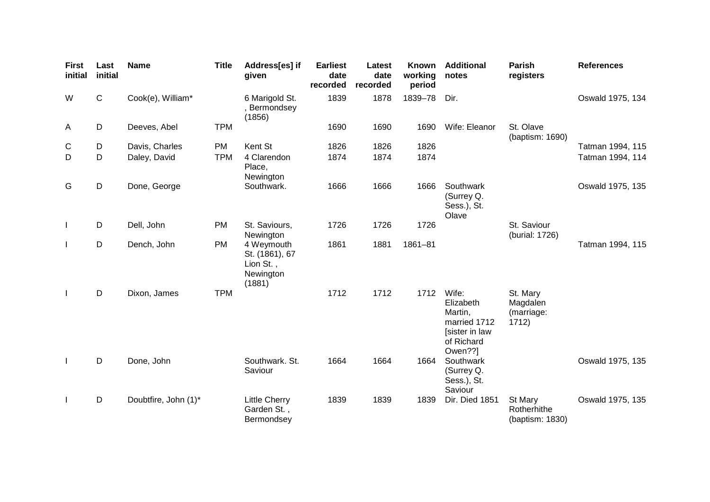| <b>First</b><br>initial | Last<br>initial | <b>Name</b>          | <b>Title</b> | Address[es] if<br>given                                          | <b>Earliest</b><br>date<br>recorded | Latest<br>date<br>recorded | Known<br>working<br>period | <b>Additional</b><br>notes                                                               | <b>Parish</b><br>registers                  | <b>References</b> |
|-------------------------|-----------------|----------------------|--------------|------------------------------------------------------------------|-------------------------------------|----------------------------|----------------------------|------------------------------------------------------------------------------------------|---------------------------------------------|-------------------|
| W                       | $\mathsf{C}$    | Cook(e), William*    |              | 6 Marigold St.<br>Bermondsey<br>(1856)                           | 1839                                | 1878                       | 1839-78                    | Dir.                                                                                     |                                             | Oswald 1975, 134  |
| $\mathsf{A}$            | D               | Deeves, Abel         | <b>TPM</b>   |                                                                  | 1690                                | 1690                       | 1690                       | Wife: Eleanor                                                                            | St. Olave<br>(baptism: 1690)                |                   |
| $\mathbf C$             | D               | Davis, Charles       | PM           | Kent St                                                          | 1826                                | 1826                       | 1826                       |                                                                                          |                                             | Tatman 1994, 115  |
| D                       | D               | Daley, David         | <b>TPM</b>   | 4 Clarendon<br>Place,<br>Newington                               | 1874                                | 1874                       | 1874                       |                                                                                          |                                             | Tatman 1994, 114  |
| G                       | D               | Done, George         |              | Southwark.                                                       | 1666                                | 1666                       | 1666                       | Southwark<br>(Surrey Q.<br>Sess.), St.<br>Olave                                          |                                             | Oswald 1975, 135  |
| $\mathbf{I}$            | D               | Dell, John           | <b>PM</b>    | St. Saviours,<br>Newington                                       | 1726                                | 1726                       | 1726                       |                                                                                          | St. Saviour<br>(burial: 1726)               |                   |
| $\mathbf{I}$            | D               | Dench, John          | <b>PM</b>    | 4 Weymouth<br>St. (1861), 67<br>Lion St.,<br>Newington<br>(1881) | 1861                                | 1881                       | $1861 - 81$                |                                                                                          |                                             | Tatman 1994, 115  |
| $\perp$                 | D               | Dixon, James         | <b>TPM</b>   |                                                                  | 1712                                | 1712                       | 1712                       | Wife:<br>Elizabeth<br>Martin,<br>married 1712<br>[sister in law<br>of Richard<br>Owen??] | St. Mary<br>Magdalen<br>(marriage:<br>1712) |                   |
| $\mathbf{L}$            | D               | Done, John           |              | Southwark. St.<br>Saviour                                        | 1664                                | 1664                       | 1664                       | Southwark<br>(Surrey Q.<br>Sess.), St.<br>Saviour                                        |                                             | Oswald 1975, 135  |
| $\mathbf{I}$            | D               | Doubtfire, John (1)* |              | <b>Little Cherry</b><br>Garden St.,<br>Bermondsey                | 1839                                | 1839                       | 1839                       | Dir. Died 1851                                                                           | St Mary<br>Rotherhithe<br>(baptism: 1830)   | Oswald 1975, 135  |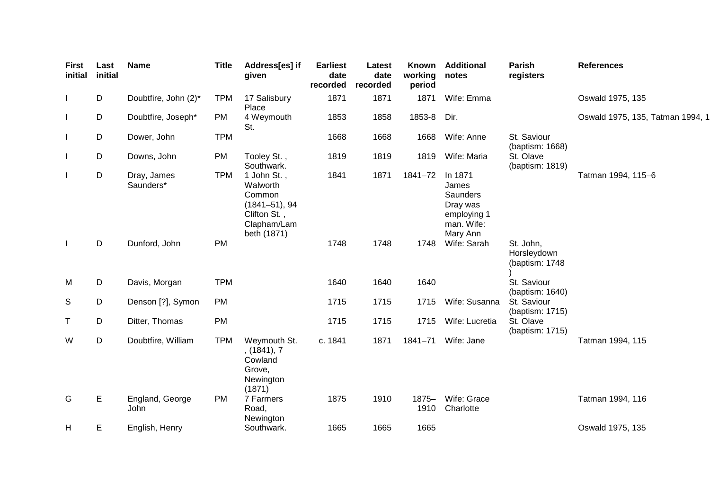| First<br>initial | Last<br>initial | <b>Name</b>              | <b>Title</b> | Address[es] if<br>given                                                                              | <b>Earliest</b><br>date<br>recorded | Latest<br>date<br>recorded | Known<br>working<br>period | <b>Additional</b><br>notes                                                        | <b>Parish</b><br>registers                 | <b>References</b>                |
|------------------|-----------------|--------------------------|--------------|------------------------------------------------------------------------------------------------------|-------------------------------------|----------------------------|----------------------------|-----------------------------------------------------------------------------------|--------------------------------------------|----------------------------------|
|                  | D               | Doubtfire, John (2)*     | <b>TPM</b>   | 17 Salisbury<br>Place                                                                                | 1871                                | 1871                       | 1871                       | Wife: Emma                                                                        |                                            | Oswald 1975, 135                 |
|                  | D               | Doubtfire, Joseph*       | <b>PM</b>    | 4 Weymouth<br>St.                                                                                    | 1853                                | 1858                       | 1853-8                     | Dir.                                                                              |                                            | Oswald 1975, 135, Tatman 1994, 1 |
|                  | D               | Dower, John              | <b>TPM</b>   |                                                                                                      | 1668                                | 1668                       | 1668                       | Wife: Anne                                                                        | St. Saviour<br>(baptism: 1668)             |                                  |
|                  | D               | Downs, John              | <b>PM</b>    | Tooley St.,<br>Southwark.                                                                            | 1819                                | 1819                       | 1819                       | Wife: Maria                                                                       | St. Olave<br>(baptism: 1819)               |                                  |
| $\mathbf{I}$     | $\mathsf D$     | Dray, James<br>Saunders* | <b>TPM</b>   | 1 John St.,<br>Walworth<br>Common<br>$(1841 - 51), 94$<br>Clifton St.,<br>Clapham/Lam<br>beth (1871) | 1841                                | 1871                       | 1841-72                    | In 1871<br>James<br>Saunders<br>Dray was<br>employing 1<br>man. Wife:<br>Mary Ann |                                            | Tatman 1994, 115-6               |
| $\perp$          | $\mathsf D$     | Dunford, John            | <b>PM</b>    |                                                                                                      | 1748                                | 1748                       | 1748                       | Wife: Sarah                                                                       | St. John,<br>Horsleydown<br>(baptism: 1748 |                                  |
| M                | D               | Davis, Morgan            | <b>TPM</b>   |                                                                                                      | 1640                                | 1640                       | 1640                       |                                                                                   | St. Saviour<br>(baptism: 1640)             |                                  |
| S                | D               | Denson [?], Symon        | <b>PM</b>    |                                                                                                      | 1715                                | 1715                       | 1715                       | Wife: Susanna                                                                     | St. Saviour<br>(baptism: 1715)             |                                  |
| Τ                | D               | Ditter, Thomas           | <b>PM</b>    |                                                                                                      | 1715                                | 1715                       | 1715                       | Wife: Lucretia                                                                    | St. Olave<br>(baptism: 1715)               |                                  |
| W                | $\mathsf D$     | Doubtfire, William       | <b>TPM</b>   | Weymouth St.<br>, (1841), 7<br>Cowland<br>Grove,<br>Newington<br>(1871)                              | c. 1841                             | 1871                       | 1841-71                    | Wife: Jane                                                                        |                                            | Tatman 1994, 115                 |
| G                | E               | England, George<br>John  | <b>PM</b>    | 7 Farmers<br>Road,<br>Newington                                                                      | 1875                                | 1910                       | $1875 -$<br>1910           | Wife: Grace<br>Charlotte                                                          |                                            | Tatman 1994, 116                 |
| Н                | E               | English, Henry           |              | Southwark.                                                                                           | 1665                                | 1665                       | 1665                       |                                                                                   |                                            | Oswald 1975, 135                 |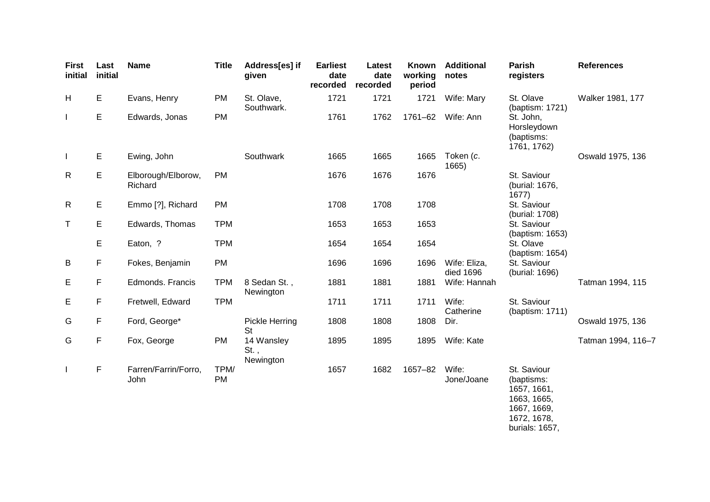| <b>First</b><br>initial  | Last<br>initial | <b>Name</b>                   | <b>Title</b> | Address[es] if<br>given         | <b>Earliest</b><br>date<br>recorded | Latest<br>date<br>recorded | Known<br>working<br>period | <b>Additional</b><br>notes | Parish<br>registers                                                                 | <b>References</b>  |
|--------------------------|-----------------|-------------------------------|--------------|---------------------------------|-------------------------------------|----------------------------|----------------------------|----------------------------|-------------------------------------------------------------------------------------|--------------------|
| H                        | E               | Evans, Henry                  | PM           | St. Olave,<br>Southwark.        | 1721                                | 1721                       | 1721                       | Wife: Mary                 | St. Olave<br>(baptism: 1721)                                                        | Walker 1981, 177   |
|                          | E               | Edwards, Jonas                | PM           |                                 | 1761                                | 1762                       | 1761-62                    | Wife: Ann                  | St. John,<br>Horsleydown<br>(baptisms:<br>1761, 1762)                               |                    |
| $\overline{\phantom{a}}$ | Е               | Ewing, John                   |              | Southwark                       | 1665                                | 1665                       | 1665                       | Token (c.<br>1665)         |                                                                                     | Oswald 1975, 136   |
| $\mathsf{R}$             | Е               | Elborough/Elborow,<br>Richard | <b>PM</b>    |                                 | 1676                                | 1676                       | 1676                       |                            | St. Saviour<br>(burial: 1676,<br>1677)                                              |                    |
| R                        | Е               | Emmo [?], Richard             | <b>PM</b>    |                                 | 1708                                | 1708                       | 1708                       |                            | St. Saviour<br>(burial: 1708)                                                       |                    |
| T                        | Е               | Edwards, Thomas               | <b>TPM</b>   |                                 | 1653                                | 1653                       | 1653                       |                            | St. Saviour<br>(baptism: 1653)                                                      |                    |
|                          | Е               | Eaton, ?                      | <b>TPM</b>   |                                 | 1654                                | 1654                       | 1654                       |                            | St. Olave<br>(baptism: 1654)                                                        |                    |
| B                        | F               | Fokes, Benjamin               | <b>PM</b>    |                                 | 1696                                | 1696                       | 1696                       | Wife: Eliza,<br>died 1696  | St. Saviour<br>(burial: 1696)                                                       |                    |
| Е                        | F               | Edmonds. Francis              | <b>TPM</b>   | 8 Sedan St.,<br>Newington       | 1881                                | 1881                       | 1881                       | Wife: Hannah               |                                                                                     | Tatman 1994, 115   |
| Е                        | F               | Fretwell, Edward              | <b>TPM</b>   |                                 | 1711                                | 1711                       | 1711                       | Wife:<br>Catherine         | St. Saviour<br>(baptism: 1711)                                                      |                    |
| G                        | F               | Ford, George*                 |              | Pickle Herring<br><b>St</b>     | 1808                                | 1808                       | 1808                       | Dir.                       |                                                                                     | Oswald 1975, 136   |
| G                        | $\mathsf F$     | Fox, George                   | PM           | 14 Wansley<br>St.,<br>Newington | 1895                                | 1895                       | 1895                       | Wife: Kate                 |                                                                                     | Tatman 1994, 116-7 |
| $\mathbf{I}$             | F               | Farren/Farrin/Forro,<br>John  | TPM/<br>PM   |                                 | 1657                                | 1682                       | 1657-82                    | Wife:<br>Jone/Joane        | St. Saviour<br>(baptisms:<br>1657, 1661,<br>1663, 1665,<br>1667, 1669,<br>1672 1678 |                    |

1672, 1678, burials: 1657,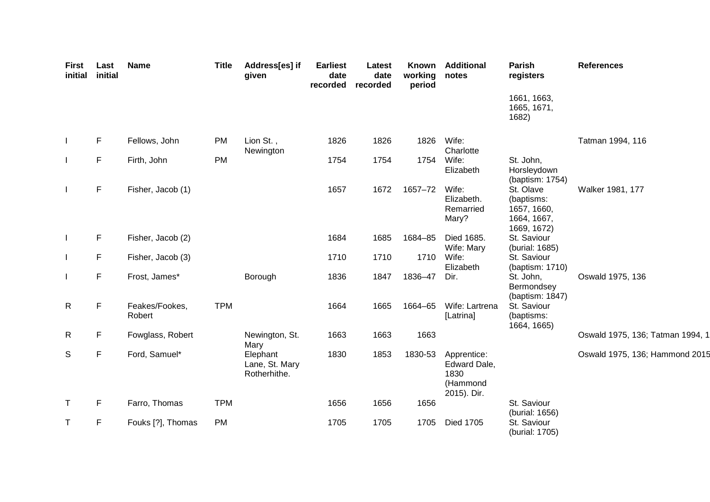| First<br>initial | Last<br>initial | <b>Name</b>              | <b>Title</b> | Address[es] if<br>given                    | <b>Earliest</b><br>date<br>recorded | Latest<br>date<br>recorded | Known<br>working<br>period | <b>Additional</b><br>notes                                     | <b>Parish</b><br>registers                                           | <b>References</b>                |
|------------------|-----------------|--------------------------|--------------|--------------------------------------------|-------------------------------------|----------------------------|----------------------------|----------------------------------------------------------------|----------------------------------------------------------------------|----------------------------------|
|                  |                 |                          |              |                                            |                                     |                            |                            |                                                                | 1661, 1663,<br>1665, 1671,<br>1682)                                  |                                  |
|                  | $\mathsf F$     | Fellows, John            | <b>PM</b>    | Lion St.,<br>Newington                     | 1826                                | 1826                       | 1826                       | Wife:<br>Charlotte                                             |                                                                      | Tatman 1994, 116                 |
|                  | $\mathsf F$     | Firth, John              | <b>PM</b>    |                                            | 1754                                | 1754                       | 1754                       | Wife:<br>Elizabeth                                             | St. John,<br>Horsleydown<br>(baptism: 1754)                          |                                  |
|                  | $\mathsf F$     | Fisher, Jacob (1)        |              |                                            | 1657                                | 1672                       | 1657-72                    | Wife:<br>Elizabeth.<br>Remarried<br>Mary?                      | St. Olave<br>(baptisms:<br>1657, 1660,<br>1664, 1667,<br>1669, 1672) | Walker 1981, 177                 |
|                  | F               | Fisher, Jacob (2)        |              |                                            | 1684                                | 1685                       | 1684-85                    | Died 1685.<br>Wife: Mary                                       | St. Saviour<br>(burial: 1685)                                        |                                  |
|                  | F               | Fisher, Jacob (3)        |              |                                            | 1710                                | 1710                       | 1710                       | Wife:<br>Elizabeth                                             | St. Saviour<br>(baptism: 1710)                                       |                                  |
|                  | $\mathsf F$     | Frost, James*            |              | Borough                                    | 1836                                | 1847                       | 1836-47                    | Dir.                                                           | St. John,<br>Bermondsey<br>(baptism: 1847)                           | Oswald 1975, 136                 |
| $\mathsf{R}$     | $\mathsf F$     | Feakes/Fookes,<br>Robert | <b>TPM</b>   |                                            | 1664                                | 1665                       | 1664-65                    | Wife: Lartrena<br>[Latrina]                                    | St. Saviour<br>(baptisms:<br>1664, 1665)                             |                                  |
| $\mathsf{R}$     | F               | Fowglass, Robert         |              | Newington, St.<br>Mary                     | 1663                                | 1663                       | 1663                       |                                                                |                                                                      | Oswald 1975, 136; Tatman 1994, 1 |
| S                | $\mathsf F$     | Ford, Samuel*            |              | Elephant<br>Lane, St. Mary<br>Rotherhithe. | 1830                                | 1853                       | 1830-53                    | Apprentice:<br>Edward Dale,<br>1830<br>(Hammond<br>2015). Dir. |                                                                      | Oswald 1975, 136; Hammond 2015   |
| T                | F               | Farro, Thomas            | <b>TPM</b>   |                                            | 1656                                | 1656                       | 1656                       |                                                                | St. Saviour<br>(burial: 1656)                                        |                                  |
| T                | F               | Fouks [?], Thomas        | <b>PM</b>    |                                            | 1705                                | 1705                       | 1705                       | <b>Died 1705</b>                                               | St. Saviour<br>(burial: 1705)                                        |                                  |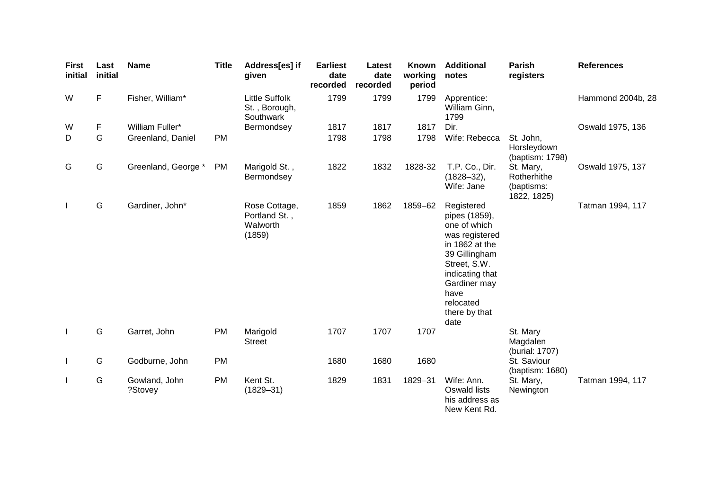| <b>First</b><br>initial | Last<br>initial | <b>Name</b>              | <b>Title</b> | Address[es] if<br>given                              | <b>Earliest</b><br>date<br>recorded | Latest<br>date<br>recorded | Known<br>working<br>period | <b>Additional</b><br>notes                                                                                                                                                                        | Parish<br>registers                                   | <b>References</b> |
|-------------------------|-----------------|--------------------------|--------------|------------------------------------------------------|-------------------------------------|----------------------------|----------------------------|---------------------------------------------------------------------------------------------------------------------------------------------------------------------------------------------------|-------------------------------------------------------|-------------------|
| W                       | F               | Fisher, William*         |              | <b>Little Suffolk</b><br>St., Borough,<br>Southwark  | 1799                                | 1799                       | 1799                       | Apprentice:<br>William Ginn,<br>1799                                                                                                                                                              |                                                       | Hammond 2004b, 28 |
| W                       | F               | William Fuller*          |              | Bermondsey                                           | 1817                                | 1817                       | 1817                       | Dir.                                                                                                                                                                                              |                                                       | Oswald 1975, 136  |
| D                       | G               | Greenland, Daniel        | <b>PM</b>    |                                                      | 1798                                | 1798                       | 1798                       | Wife: Rebecca                                                                                                                                                                                     | St. John,<br>Horsleydown<br>(baptism: 1798)           |                   |
| G                       | G               | Greenland, George *      | <b>PM</b>    | Marigold St.,<br>Bermondsey                          | 1822                                | 1832                       | 1828-32                    | T.P. Co., Dir.<br>$(1828 - 32),$<br>Wife: Jane                                                                                                                                                    | St. Mary,<br>Rotherhithe<br>(baptisms:<br>1822, 1825) | Oswald 1975, 137  |
| $\mathbf{I}$            | G               | Gardiner, John*          |              | Rose Cottage,<br>Portland St.,<br>Walworth<br>(1859) | 1859                                | 1862                       | 1859-62                    | Registered<br>pipes (1859),<br>one of which<br>was registered<br>in 1862 at the<br>39 Gillingham<br>Street, S.W.<br>indicating that<br>Gardiner may<br>have<br>relocated<br>there by that<br>date |                                                       | Tatman 1994, 117  |
|                         | G               | Garret, John             | <b>PM</b>    | Marigold<br><b>Street</b>                            | 1707                                | 1707                       | 1707                       |                                                                                                                                                                                                   | St. Mary<br>Magdalen<br>(burial: 1707)                |                   |
| $\mathbf{I}$            | G               | Godburne, John           | <b>PM</b>    |                                                      | 1680                                | 1680                       | 1680                       |                                                                                                                                                                                                   | St. Saviour<br>(baptism: 1680)                        |                   |
| $\mathbf{I}$            | G               | Gowland, John<br>?Stovey | <b>PM</b>    | Kent St.<br>$(1829 - 31)$                            | 1829                                | 1831                       | 1829-31                    | Wife: Ann.<br>Oswald lists<br>his address as<br>New Kent Rd.                                                                                                                                      | St. Mary,<br>Newington                                | Tatman 1994, 117  |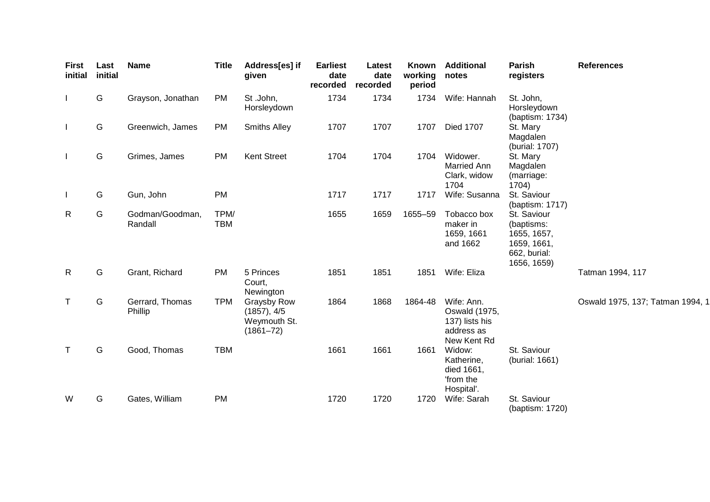| <b>First</b><br>initial  | Last<br>initial | <b>Name</b>                | <b>Title</b>       | Address[es] if<br>given                                     | <b>Earliest</b><br>date<br>recorded | Latest<br>date<br>recorded | Known<br>working<br>period | <b>Additional</b><br>notes                                                        | Parish<br>registers                                                                    | <b>References</b>                |
|--------------------------|-----------------|----------------------------|--------------------|-------------------------------------------------------------|-------------------------------------|----------------------------|----------------------------|-----------------------------------------------------------------------------------|----------------------------------------------------------------------------------------|----------------------------------|
| $\overline{\phantom{a}}$ | G               | Grayson, Jonathan          | <b>PM</b>          | St.John,<br>Horsleydown                                     | 1734                                | 1734                       | 1734                       | Wife: Hannah                                                                      | St. John,<br>Horsleydown<br>(baptism: 1734)                                            |                                  |
| $\mathbf{I}$             | G               | Greenwich, James           | <b>PM</b>          | <b>Smiths Alley</b>                                         | 1707                                | 1707                       | 1707                       | Died 1707                                                                         | St. Mary<br>Magdalen<br>(burial: 1707)                                                 |                                  |
| $\mathbf{I}$             | G               | Grimes, James              | <b>PM</b>          | <b>Kent Street</b>                                          | 1704                                | 1704                       | 1704                       | Widower.<br>Married Ann<br>Clark, widow<br>1704                                   | St. Mary<br>Magdalen<br>(marriage:<br>1704)                                            |                                  |
| $\mathbf{I}$             | G               | Gun, John                  | <b>PM</b>          |                                                             | 1717                                | 1717                       | 1717                       | Wife: Susanna                                                                     | St. Saviour<br>(baptism: 1717)                                                         |                                  |
| $\mathsf{R}$             | G               | Godman/Goodman,<br>Randall | TPM/<br><b>TBM</b> |                                                             | 1655                                | 1659                       | 1655-59                    | Tobacco box<br>maker in<br>1659, 1661<br>and 1662                                 | St. Saviour<br>(baptisms:<br>1655, 1657,<br>1659, 1661,<br>662, burial:<br>1656, 1659) |                                  |
| $\mathsf{R}$             | G               | Grant, Richard             | <b>PM</b>          | 5 Princes<br>Court,<br>Newington                            | 1851                                | 1851                       | 1851                       | Wife: Eliza                                                                       |                                                                                        | Tatman 1994, 117                 |
| T                        | G               | Gerrard, Thomas<br>Phillip | <b>TPM</b>         | Graysby Row<br>(1857), 4/5<br>Weymouth St.<br>$(1861 - 72)$ | 1864                                | 1868                       | 1864-48                    | Wife: Ann.<br><b>Oswald</b> (1975,<br>137) lists his<br>address as<br>New Kent Rd |                                                                                        | Oswald 1975, 137; Tatman 1994, 1 |
| $\top$                   | G               | Good, Thomas               | <b>TBM</b>         |                                                             | 1661                                | 1661                       | 1661                       | Widow:<br>Katherine,<br>died 1661,<br>'from the<br>Hospital'.                     | St. Saviour<br>(burial: 1661)                                                          |                                  |
| W                        | G               | Gates, William             | <b>PM</b>          |                                                             | 1720                                | 1720                       | 1720                       | Wife: Sarah                                                                       | St. Saviour<br>(baptism: 1720)                                                         |                                  |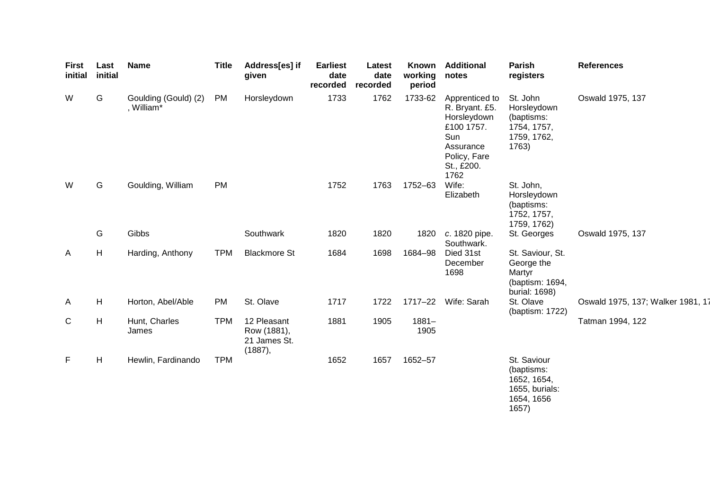| <b>First</b><br>initial | Last<br>initial           | <b>Name</b>                        | <b>Title</b> | Address[es] if<br>given                               | <b>Earliest</b><br>date<br>recorded | Latest<br>date<br>recorded | Known<br>working<br>period | <b>Additional</b><br>notes                                                                                              | Parish<br>registers                                                               | <b>References</b>                 |
|-------------------------|---------------------------|------------------------------------|--------------|-------------------------------------------------------|-------------------------------------|----------------------------|----------------------------|-------------------------------------------------------------------------------------------------------------------------|-----------------------------------------------------------------------------------|-----------------------------------|
| W                       | G                         | Goulding (Gould) (2)<br>, William* | PM           | Horsleydown                                           | 1733                                | 1762                       | 1733-62                    | Apprenticed to<br>R. Bryant. £5.<br>Horsleydown<br>£100 1757.<br>Sun<br>Assurance<br>Policy, Fare<br>St., £200.<br>1762 | St. John<br>Horsleydown<br>(baptisms:<br>1754, 1757,<br>1759, 1762,<br>1763)      | Oswald 1975, 137                  |
| W                       | G                         | Goulding, William                  | PM           |                                                       | 1752                                | 1763                       | 1752-63                    | Wife:<br>Elizabeth                                                                                                      | St. John,<br>Horsleydown<br>(baptisms:<br>1752, 1757,<br>1759, 1762)              |                                   |
|                         | G                         | Gibbs                              |              | Southwark                                             | 1820                                | 1820                       | 1820                       | c. 1820 pipe.<br>Southwark.                                                                                             | St. Georges                                                                       | Oswald 1975, 137                  |
| A                       | H                         | Harding, Anthony                   | <b>TPM</b>   | <b>Blackmore St</b>                                   | 1684                                | 1698                       | 1684-98                    | Died 31st<br>December<br>1698                                                                                           | St. Saviour, St.<br>George the<br>Martyr<br>(baptism: 1694,<br>burial: 1698)      |                                   |
| A                       | H                         | Horton, Abel/Able                  | <b>PM</b>    | St. Olave                                             | 1717                                | 1722                       |                            | 1717-22 Wife: Sarah                                                                                                     | St. Olave<br>(baptism: 1722)                                                      | Oswald 1975, 137; Walker 1981, 17 |
| $\mathsf{C}$            | $\boldsymbol{\mathsf{H}}$ | Hunt, Charles<br>James             | <b>TPM</b>   | 12 Pleasant<br>Row (1881),<br>21 James St.<br>(1887), | 1881                                | 1905                       | $1881 -$<br>1905           |                                                                                                                         |                                                                                   | Tatman 1994, 122                  |
| F                       | H                         | Hewlin, Fardinando                 | <b>TPM</b>   |                                                       | 1652                                | 1657                       | 1652-57                    |                                                                                                                         | St. Saviour<br>(baptisms:<br>1652, 1654,<br>1655, burials:<br>1654, 1656<br>1657) |                                   |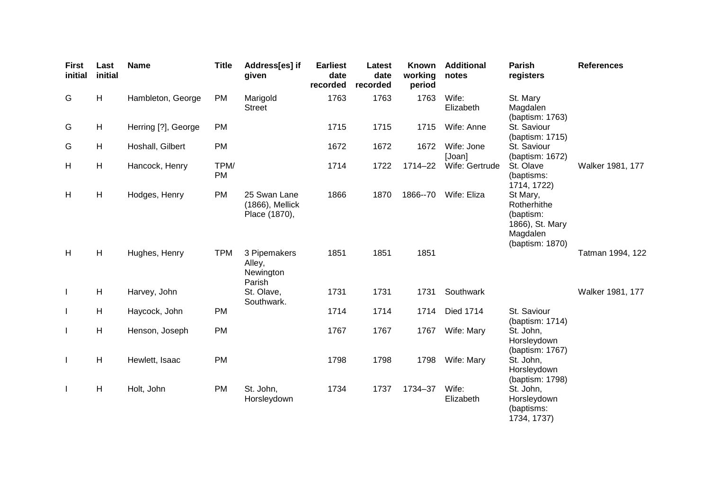| <b>First</b><br>initial | Last<br>initial | <b>Name</b>         | <b>Title</b> | Address[es] if<br>given                          | <b>Earliest</b><br>date<br>recorded | Latest<br>date<br>recorded | Known<br>working<br>period | <b>Additional</b><br>notes | <b>Parish</b><br>registers                                                             | <b>References</b> |
|-------------------------|-----------------|---------------------|--------------|--------------------------------------------------|-------------------------------------|----------------------------|----------------------------|----------------------------|----------------------------------------------------------------------------------------|-------------------|
| G                       | H               | Hambleton, George   | <b>PM</b>    | Marigold<br><b>Street</b>                        | 1763                                | 1763                       | 1763                       | Wife:<br>Elizabeth         | St. Mary<br>Magdalen<br>(baptism: 1763)                                                |                   |
| G                       | H               | Herring [?], George | <b>PM</b>    |                                                  | 1715                                | 1715                       | 1715                       | Wife: Anne                 | St. Saviour<br>(baptism: 1715)                                                         |                   |
| G                       | H               | Hoshall, Gilbert    | <b>PM</b>    |                                                  | 1672                                | 1672                       | 1672                       | Wife: Jone<br>[Joan]       | St. Saviour<br>(baptism: 1672)                                                         |                   |
| H                       | H               | Hancock, Henry      | TPM/<br>PM   |                                                  | 1714                                | 1722                       | 1714-22                    | Wife: Gertrude             | St. Olave<br>(baptisms:<br>1714, 1722)                                                 | Walker 1981, 177  |
| H                       | H               | Hodges, Henry       | <b>PM</b>    | 25 Swan Lane<br>(1866), Mellick<br>Place (1870), | 1866                                | 1870                       | 1866--70                   | Wife: Eliza                | St Mary,<br>Rotherhithe<br>(baptism:<br>1866), St. Mary<br>Magdalen<br>(baptism: 1870) |                   |
| H                       | H               | Hughes, Henry       | <b>TPM</b>   | 3 Pipemakers<br>Alley,<br>Newington<br>Parish    | 1851                                | 1851                       | 1851                       |                            |                                                                                        | Tatman 1994, 122  |
| $\mathbf{I}$            | H               | Harvey, John        |              | St. Olave,<br>Southwark.                         | 1731                                | 1731                       | 1731                       | Southwark                  |                                                                                        | Walker 1981, 177  |
| $\mathbf{I}$            | H               | Haycock, John       | <b>PM</b>    |                                                  | 1714                                | 1714                       | 1714                       | <b>Died 1714</b>           | St. Saviour<br>(baptism: 1714)                                                         |                   |
| $\mathbf{I}$            | H               | Henson, Joseph      | <b>PM</b>    |                                                  | 1767                                | 1767                       | 1767                       | Wife: Mary                 | St. John,<br>Horsleydown<br>(baptism: 1767)                                            |                   |
| $\mathbf{I}$            | H               | Hewlett, Isaac      | <b>PM</b>    |                                                  | 1798                                | 1798                       | 1798                       | Wife: Mary                 | St. John,<br>Horsleydown<br>(baptism: 1798)                                            |                   |
| $\mathbf{I}$            | H               | Holt, John          | <b>PM</b>    | St. John,<br>Horsleydown                         | 1734                                | 1737                       | 1734-37                    | Wife:<br>Elizabeth         | St. John,<br>Horsleydown<br>(baptisms:<br>1734, 1737)                                  |                   |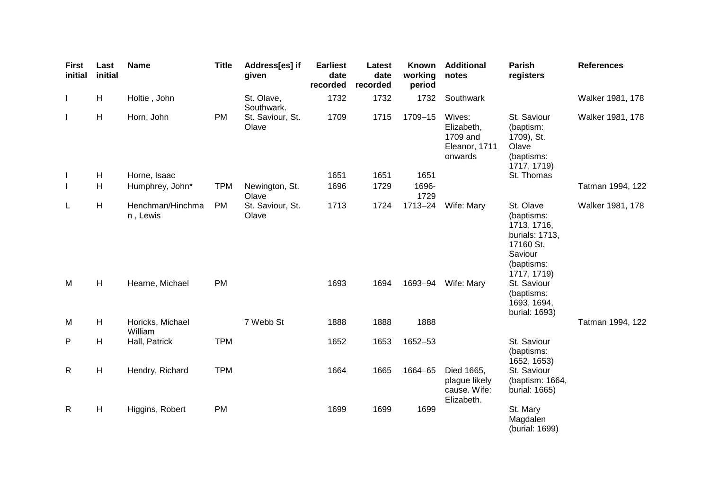| <b>First</b><br>initial | Last<br>initial | <b>Name</b>                                     | <b>Title</b>           | Address[es] if<br>given   | <b>Earliest</b><br>date<br>recorded | Latest<br>date<br>recorded | <b>Known</b><br>working<br>period | <b>Additional</b><br>notes                                   | Parish<br>registers                                                                                                          | <b>References</b> |
|-------------------------|-----------------|-------------------------------------------------|------------------------|---------------------------|-------------------------------------|----------------------------|-----------------------------------|--------------------------------------------------------------|------------------------------------------------------------------------------------------------------------------------------|-------------------|
| $\mathbf{I}$            | H               | Holtie, John                                    |                        | St. Olave,<br>Southwark.  | 1732                                | 1732                       | 1732                              | Southwark                                                    |                                                                                                                              | Walker 1981, 178  |
| $\mathbf{I}$            | H               | Horn, John                                      | PM                     | St. Saviour, St.<br>Olave | 1709                                | 1715                       | 1709-15                           | Wives:<br>Elizabeth,<br>1709 and<br>Eleanor, 1711<br>onwards | St. Saviour<br>(baptism:<br>1709), St.<br>Olave<br>(baptisms:<br>1717, 1719)                                                 | Walker 1981, 178  |
| $\mathbf{I}$            | H               | Horne, Isaac                                    |                        |                           | 1651                                | 1651                       | 1651                              |                                                              | St. Thomas                                                                                                                   |                   |
| $\mathbf{I}$            | H               | Humphrey, John*                                 | <b>TPM</b>             | Newington, St.<br>Olave   | 1696                                | 1729                       | 1696-<br>1729                     |                                                              |                                                                                                                              | Tatman 1994, 122  |
| L<br>M                  | H<br>H          | Henchman/Hinchma<br>n, Lewis<br>Hearne, Michael | <b>PM</b><br><b>PM</b> | St. Saviour, St.<br>Olave | 1713<br>1693                        | 1724<br>1694               | 1713-24<br>1693-94                | Wife: Mary<br>Wife: Mary                                     | St. Olave<br>(baptisms:<br>1713, 1716,<br>burials: 1713,<br>17160 St.<br>Saviour<br>(baptisms:<br>1717, 1719)<br>St. Saviour | Walker 1981, 178  |
|                         |                 |                                                 |                        |                           |                                     |                            |                                   |                                                              | (baptisms:<br>1693, 1694,<br>burial: 1693)                                                                                   |                   |
| M                       | H               | Horicks, Michael<br>William                     |                        | 7 Webb St                 | 1888                                | 1888                       | 1888                              |                                                              |                                                                                                                              | Tatman 1994, 122  |
| P                       | H               | Hall, Patrick                                   | <b>TPM</b>             |                           | 1652                                | 1653                       | 1652-53                           |                                                              | St. Saviour<br>(baptisms:<br>1652, 1653)                                                                                     |                   |
| $\mathsf{R}$            | H               | Hendry, Richard                                 | <b>TPM</b>             |                           | 1664                                | 1665                       | 1664-65                           | Died 1665,<br>plague likely<br>cause. Wife:<br>Elizabeth.    | St. Saviour<br>(baptism: 1664,<br>burial: 1665)                                                                              |                   |
| $\mathsf{R}$            | H               | Higgins, Robert                                 | PM                     |                           | 1699                                | 1699                       | 1699                              |                                                              | St. Mary<br>Magdalen<br>(burial: 1699)                                                                                       |                   |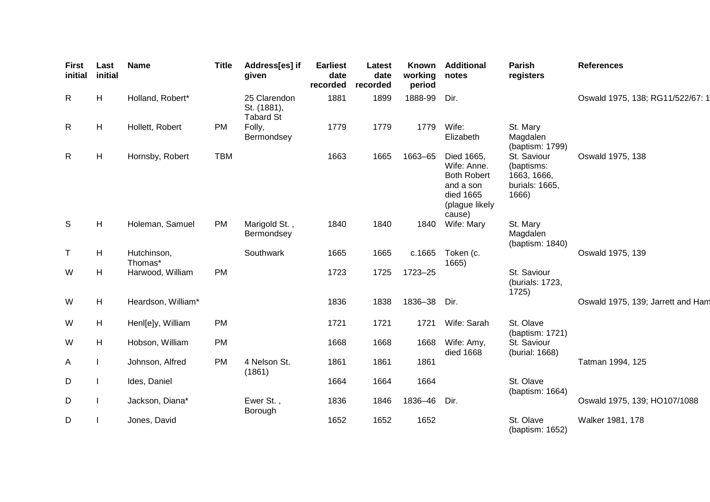| <b>First</b><br>initial | Last<br>initial | <b>Name</b>            | <b>Title</b> | Address[es] if<br>given                         | <b>Earliest</b><br>date<br>recorded | <b>Latest</b><br>date<br>recorded | Known<br>working<br>period | <b>Additional</b><br>notes                                                                            | <b>Parish</b><br>registers                                          | <b>References</b>                 |
|-------------------------|-----------------|------------------------|--------------|-------------------------------------------------|-------------------------------------|-----------------------------------|----------------------------|-------------------------------------------------------------------------------------------------------|---------------------------------------------------------------------|-----------------------------------|
| R                       | H               | Holland, Robert*       |              | 25 Clarendon<br>St. (1881),<br><b>Tabard St</b> | 1881                                | 1899                              | 1888-99                    | Dir.                                                                                                  |                                                                     | Oswald 1975, 138; RG11/522/67: 1  |
| $\mathsf{R}$            | H               | Hollett, Robert        | <b>PM</b>    | Folly,<br>Bermondsey                            | 1779                                | 1779                              | 1779                       | Wife:<br>Elizabeth                                                                                    | St. Mary<br>Magdalen<br>(baptism: 1799)                             |                                   |
| R                       | Н               | Hornsby, Robert        | <b>TBM</b>   |                                                 | 1663                                | 1665                              | 1663-65                    | Died 1665,<br>Wife: Anne.<br><b>Both Robert</b><br>and a son<br>died 1665<br>(plague likely<br>cause) | St. Saviour<br>(baptisms:<br>1663, 1666,<br>burials: 1665,<br>1666) | Oswald 1975, 138                  |
| S                       | H               | Holeman, Samuel        | <b>PM</b>    | Marigold St.,<br>Bermondsey                     | 1840                                | 1840                              | 1840                       | Wife: Mary                                                                                            | St. Mary<br>Magdalen<br>(baptism: 1840)                             |                                   |
| $\top$                  | H               | Hutchinson,<br>Thomas* |              | Southwark                                       | 1665                                | 1665                              | c.1665                     | Token (c.<br>1665)                                                                                    |                                                                     | Oswald 1975, 139                  |
| W                       | H               | Harwood, William       | <b>PM</b>    |                                                 | 1723                                | 1725                              | 1723-25                    |                                                                                                       | St. Saviour<br>(burials: 1723,<br>1725)                             |                                   |
| W                       | H               | Heardson, William*     |              |                                                 | 1836                                | 1838                              | 1836-38                    | Dir.                                                                                                  |                                                                     | Oswald 1975, 139; Jarrett and Ham |
| W                       | H               | Henl[e]y, William      | <b>PM</b>    |                                                 | 1721                                | 1721                              | 1721                       | Wife: Sarah                                                                                           | St. Olave<br>(baptism: 1721)                                        |                                   |
| W                       | H               | Hobson, William        | <b>PM</b>    |                                                 | 1668                                | 1668                              | 1668                       | Wife: Amy,<br>died 1668                                                                               | St. Saviour<br>(burial: 1668)                                       |                                   |
| A                       |                 | Johnson, Alfred        | <b>PM</b>    | 4 Nelson St.<br>(1861)                          | 1861                                | 1861                              | 1861                       |                                                                                                       |                                                                     | Tatman 1994, 125                  |
| D                       |                 | Ides, Daniel           |              |                                                 | 1664                                | 1664                              | 1664                       |                                                                                                       | St. Olave<br>(baptism: 1664)                                        |                                   |
| D                       |                 | Jackson, Diana*        |              | Ewer St.,<br>Borough                            | 1836                                | 1846                              | 1836-46                    | Dir.                                                                                                  |                                                                     | Oswald 1975, 139; HO107/1088      |
| D                       |                 | Jones, David           |              |                                                 | 1652                                | 1652                              | 1652                       |                                                                                                       | St. Olave<br>(baptism: 1652)                                        | Walker 1981, 178                  |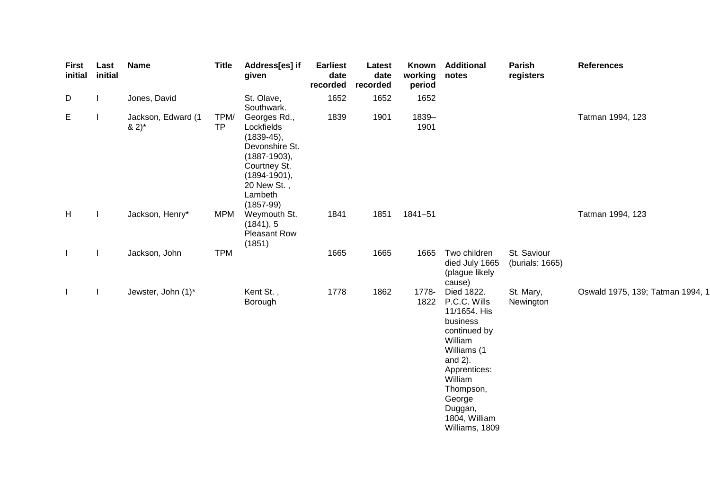| <b>First</b><br>initial | Last<br>initial | <b>Name</b>                     | <b>Title</b>      | Address[es] if<br>given                                                                                                                                       | <b>Earliest</b><br>date<br>recorded | Latest<br>date<br>recorded | Known<br>working<br>period | <b>Additional</b><br>notes                                                                                                                                                                                     | Parish<br>registers            | <b>References</b>                |
|-------------------------|-----------------|---------------------------------|-------------------|---------------------------------------------------------------------------------------------------------------------------------------------------------------|-------------------------------------|----------------------------|----------------------------|----------------------------------------------------------------------------------------------------------------------------------------------------------------------------------------------------------------|--------------------------------|----------------------------------|
| D                       |                 | Jones, David                    |                   | St. Olave,<br>Southwark.                                                                                                                                      | 1652                                | 1652                       | 1652                       |                                                                                                                                                                                                                |                                |                                  |
| E                       |                 | Jackson, Edward (1<br>$(8.2)^*$ | TPM/<br><b>TP</b> | Georges Rd.,<br>Lockfields<br>$(1839-45),$<br>Devonshire St.<br>$(1887 - 1903),$<br>Courtney St.<br>$(1894 - 1901),$<br>20 New St.,<br>Lambeth<br>$(1857-99)$ | 1839                                | 1901                       | 1839-<br>1901              |                                                                                                                                                                                                                |                                | Tatman 1994, 123                 |
| H                       |                 | Jackson, Henry*                 | <b>MPM</b>        | Weymouth St.<br>(1841), 5<br><b>Pleasant Row</b><br>(1851)                                                                                                    | 1841                                | 1851                       | 1841-51                    |                                                                                                                                                                                                                |                                | Tatman 1994, 123                 |
| $\mathbf{I}$            |                 | Jackson, John                   | <b>TPM</b>        |                                                                                                                                                               | 1665                                | 1665                       | 1665                       | Two children<br>died July 1665<br>(plague likely<br>cause)                                                                                                                                                     | St. Saviour<br>(burials: 1665) |                                  |
| $\mathbf{I}$            |                 | Jewster, John (1)*              |                   | Kent St.,<br>Borough                                                                                                                                          | 1778                                | 1862                       | 1778-<br>1822              | Died 1822.<br>P.C.C. Wills<br>11/1654. His<br>business<br>continued by<br>William<br>Williams (1<br>and $2$ ).<br>Apprentices:<br>William<br>Thompson,<br>George<br>Duggan,<br>1804, William<br>Williams, 1809 | St. Mary,<br>Newington         | Oswald 1975, 139; Tatman 1994, 1 |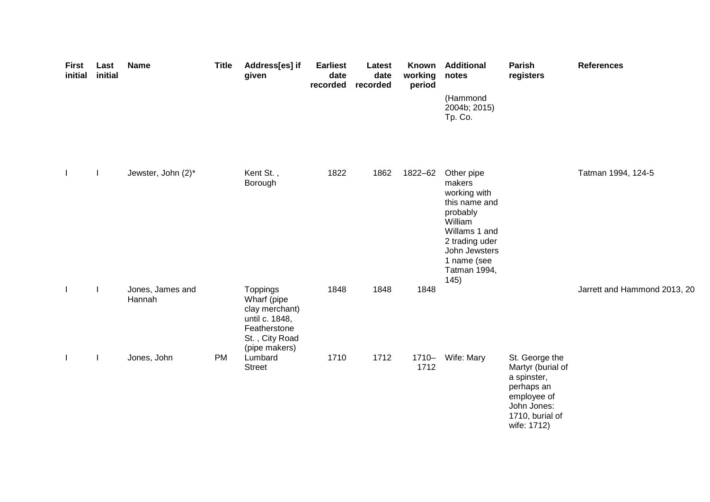| <b>First</b><br>initial | Last<br>initial | <b>Name</b>                | <b>Title</b> | Address[es] if<br>given                                                                                        | <b>Earliest</b><br>date<br>recorded | Latest<br>date<br>recorded | Known<br>working<br>period | <b>Additional</b><br>notes                                                                                                                                              | Parish<br>registers                                                                                                              | <b>References</b>            |
|-------------------------|-----------------|----------------------------|--------------|----------------------------------------------------------------------------------------------------------------|-------------------------------------|----------------------------|----------------------------|-------------------------------------------------------------------------------------------------------------------------------------------------------------------------|----------------------------------------------------------------------------------------------------------------------------------|------------------------------|
|                         |                 |                            |              |                                                                                                                |                                     |                            |                            | (Hammond<br>2004b; 2015)<br>Tp. Co.                                                                                                                                     |                                                                                                                                  |                              |
| $\mathbf{I}$            |                 | Jewster, John (2)*         |              | Kent St.,<br>Borough                                                                                           | 1822                                | 1862                       | 1822-62                    | Other pipe<br>makers<br>working with<br>this name and<br>probably<br>William<br>Willams 1 and<br>2 trading uder<br>John Jewsters<br>1 name (see<br>Tatman 1994,<br>145) |                                                                                                                                  | Tatman 1994, 124-5           |
| $\mathbf{I}$            |                 | Jones, James and<br>Hannah |              | Toppings<br>Wharf (pipe<br>clay merchant)<br>until c. 1848,<br>Featherstone<br>St., City Road<br>(pipe makers) | 1848                                | 1848                       | 1848                       |                                                                                                                                                                         |                                                                                                                                  | Jarrett and Hammond 2013, 20 |
| $\mathbf{I}$            |                 | Jones, John                | PM           | Lumbard<br><b>Street</b>                                                                                       | 1710                                | 1712                       | $1710 -$<br>1712           | Wife: Mary                                                                                                                                                              | St. George the<br>Martyr (burial of<br>a spinster,<br>perhaps an<br>employee of<br>John Jones:<br>1710, burial of<br>wife: 1712) |                              |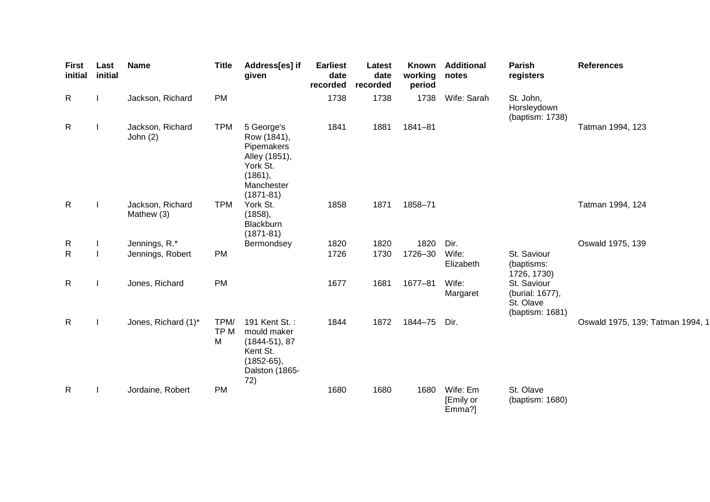| <b>First</b><br>initial | Last<br>initial | <b>Name</b>                    | <b>Title</b>                 | Address[es] if<br>given                                                                                        | <b>Earliest</b><br>date<br>recorded | Latest<br>date<br>recorded | Known<br>working<br>period | <b>Additional</b><br>notes      | Parish<br>registers                                            | <b>References</b>                |
|-------------------------|-----------------|--------------------------------|------------------------------|----------------------------------------------------------------------------------------------------------------|-------------------------------------|----------------------------|----------------------------|---------------------------------|----------------------------------------------------------------|----------------------------------|
| $\mathsf{R}$            |                 | Jackson, Richard               | PM                           |                                                                                                                | 1738                                | 1738                       | 1738                       | Wife: Sarah                     | St. John,<br>Horsleydown<br>(baptism: 1738)                    |                                  |
| $\mathsf{R}$            |                 | Jackson, Richard<br>John $(2)$ | <b>TPM</b>                   | 5 George's<br>Row (1841),<br>Pipemakers<br>Alley (1851),<br>York St.<br>(1861),<br>Manchester<br>$(1871 - 81)$ | 1841                                | 1881                       | $1841 - 81$                |                                 |                                                                | Tatman 1994, 123                 |
| $\mathsf{R}$            |                 | Jackson, Richard<br>Mathew (3) | <b>TPM</b>                   | York St.<br>(1858),<br>Blackburn<br>$(1871 - 81)$                                                              | 1858                                | 1871                       | 1858-71                    |                                 |                                                                | Tatman 1994, 124                 |
| $\mathsf{R}$            |                 | Jennings, R.*                  |                              | Bermondsey                                                                                                     | 1820                                | 1820                       | 1820                       | Dir.                            |                                                                | Oswald 1975, 139                 |
| $\mathsf{R}$            |                 | Jennings, Robert               | PM                           |                                                                                                                | 1726                                | 1730                       | 1726-30                    | Wife:<br>Elizabeth              | St. Saviour<br>(baptisms:<br>1726, 1730)                       |                                  |
| $\mathsf{R}$            |                 | Jones, Richard                 | PM                           |                                                                                                                | 1677                                | 1681                       | 1677-81                    | Wife:<br>Margaret               | St. Saviour<br>(burial: 1677),<br>St. Olave<br>(baptism: 1681) |                                  |
| $\mathsf{R}$            |                 | Jones, Richard (1)*            | TPM/<br>TP <sub>M</sub><br>M | 191 Kent St.:<br>mould maker<br>$(1844-51), 87$<br>Kent St.<br>$(1852-65),$<br>Dalston (1865-<br>72)           | 1844                                | 1872                       | 1844-75                    | Dir.                            |                                                                | Oswald 1975, 139; Tatman 1994, 1 |
| $\mathsf{R}$            |                 | Jordaine, Robert               | <b>PM</b>                    |                                                                                                                | 1680                                | 1680                       | 1680                       | Wife: Em<br>[Emily or<br>Emma?] | St. Olave<br>(baptism: 1680)                                   |                                  |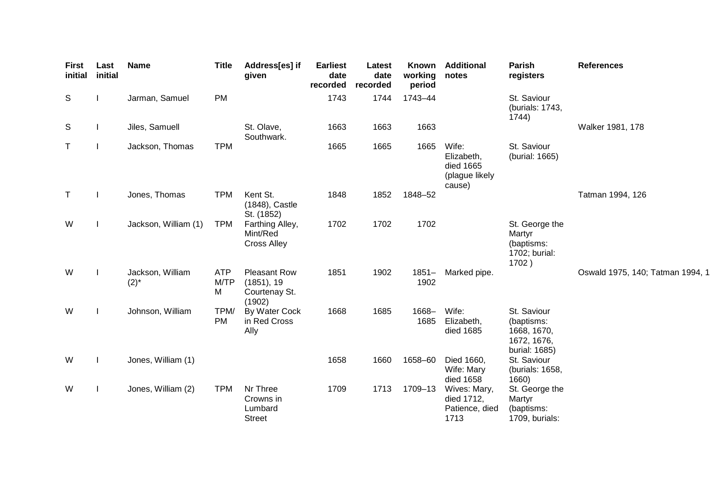| <b>First</b><br>initial | Last<br>initial | <b>Name</b>                   | <b>Title</b>            | Address[es] if<br>given                                      | <b>Earliest</b><br>date<br>recorded | Latest<br>date<br>recorded | <b>Known</b><br>working<br>period | <b>Additional</b><br>notes                                   | Parish<br>registers                                                      | <b>References</b>                |
|-------------------------|-----------------|-------------------------------|-------------------------|--------------------------------------------------------------|-------------------------------------|----------------------------|-----------------------------------|--------------------------------------------------------------|--------------------------------------------------------------------------|----------------------------------|
| S                       |                 | Jarman, Samuel                | <b>PM</b>               |                                                              | 1743                                | 1744                       | 1743-44                           |                                                              | St. Saviour<br>(burials: 1743,<br>1744)                                  |                                  |
| S                       |                 | Jiles, Samuell                |                         | St. Olave,<br>Southwark.                                     | 1663                                | 1663                       | 1663                              |                                                              |                                                                          | Walker 1981, 178                 |
| $\top$                  | L               | Jackson, Thomas               | <b>TPM</b>              |                                                              | 1665                                | 1665                       | 1665                              | Wife:<br>Elizabeth,<br>died 1665<br>(plague likely<br>cause) | St. Saviour<br>(burial: 1665)                                            |                                  |
| T                       | L               | Jones, Thomas                 | <b>TPM</b>              | Kent St.<br>(1848), Castle<br>St. (1852)                     | 1848                                | 1852                       | 1848-52                           |                                                              |                                                                          | Tatman 1994, 126                 |
| W                       |                 | Jackson, William (1)          | <b>TPM</b>              | Farthing Alley,<br>Mint/Red<br><b>Cross Alley</b>            | 1702                                | 1702                       | 1702                              |                                                              | St. George the<br>Martyr<br>(baptisms:<br>1702; burial:<br>1702)         |                                  |
| W                       |                 | Jackson, William<br>$(2)^{*}$ | <b>ATP</b><br>M/TP<br>M | <b>Pleasant Row</b><br>(1851), 19<br>Courtenay St.<br>(1902) | 1851                                | 1902                       | $1851 -$<br>1902                  | Marked pipe.                                                 |                                                                          | Oswald 1975, 140; Tatman 1994, 1 |
| W                       |                 | Johnson, William              | TPM/<br><b>PM</b>       | By Water Cock<br>in Red Cross<br>Ally                        | 1668                                | 1685                       | 1668-<br>1685                     | Wife:<br>Elizabeth,<br>died 1685                             | St. Saviour<br>(baptisms:<br>1668, 1670,<br>1672, 1676,<br>burial: 1685) |                                  |
| W                       |                 | Jones, William (1)            |                         |                                                              | 1658                                | 1660                       | 1658-60                           | Died 1660,<br>Wife: Mary<br>died 1658                        | St. Saviour<br>(burials: 1658,<br>1660)                                  |                                  |
| W                       |                 | Jones, William (2)            | <b>TPM</b>              | Nr Three<br>Crowns in<br>Lumbard<br><b>Street</b>            | 1709                                | 1713                       | 1709-13                           | Wives: Mary,<br>died 1712,<br>Patience, died<br>1713         | St. George the<br>Martyr<br>(baptisms:<br>1709, burials:                 |                                  |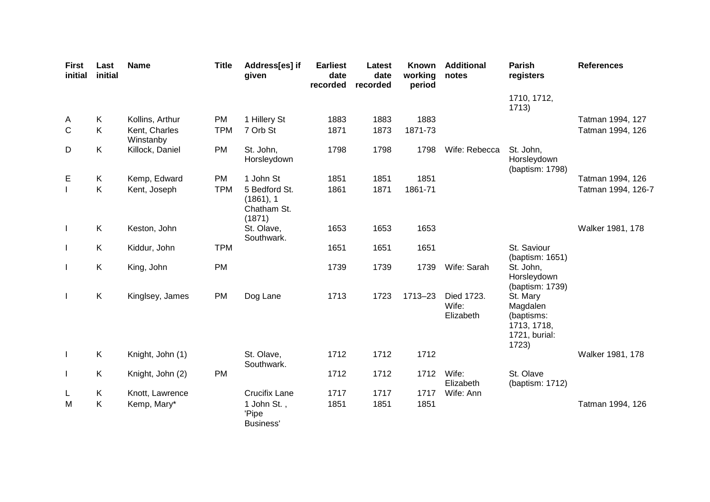| <b>First</b><br>initial  | Last<br>initial | <b>Name</b>                | <b>Title</b> | Address[es] if<br>given                             | <b>Earliest</b><br>date<br>recorded | Latest<br>date<br>recorded | Known<br>working<br>period | <b>Additional</b><br>notes       | <b>Parish</b><br>registers                                                  | <b>References</b>  |
|--------------------------|-----------------|----------------------------|--------------|-----------------------------------------------------|-------------------------------------|----------------------------|----------------------------|----------------------------------|-----------------------------------------------------------------------------|--------------------|
|                          |                 |                            |              |                                                     |                                     |                            |                            |                                  | 1710, 1712,<br>1713)                                                        |                    |
| A                        | K               | Kollins, Arthur            | <b>PM</b>    | 1 Hillery St                                        | 1883                                | 1883                       | 1883                       |                                  |                                                                             | Tatman 1994, 127   |
| $\mathsf{C}$             | Κ               | Kent, Charles<br>Winstanby | <b>TPM</b>   | 7 Orb St                                            | 1871                                | 1873                       | 1871-73                    |                                  |                                                                             | Tatman 1994, 126   |
| D                        | K               | Killock, Daniel            | <b>PM</b>    | St. John,<br>Horsleydown                            | 1798                                | 1798                       | 1798                       | Wife: Rebecca                    | St. John,<br>Horsleydown<br>(baptism: 1798)                                 |                    |
| Е                        | K               | Kemp, Edward               | PM           | 1 John St                                           | 1851                                | 1851                       | 1851                       |                                  |                                                                             | Tatman 1994, 126   |
|                          | K               | Kent, Joseph               | <b>TPM</b>   | 5 Bedford St.<br>(1861), 1<br>Chatham St.<br>(1871) | 1861                                | 1871                       | 1861-71                    |                                  |                                                                             | Tatman 1994, 126-7 |
| $\mathbf{I}$             | K               | Keston, John               |              | St. Olave,<br>Southwark.                            | 1653                                | 1653                       | 1653                       |                                  |                                                                             | Walker 1981, 178   |
|                          | K               | Kiddur, John               | <b>TPM</b>   |                                                     | 1651                                | 1651                       | 1651                       |                                  | St. Saviour<br>(baptism: 1651)                                              |                    |
| $\mathbf{I}$             | K               | King, John                 | <b>PM</b>    |                                                     | 1739                                | 1739                       | 1739                       | Wife: Sarah                      | St. John.<br>Horsleydown<br>(baptism: 1739)                                 |                    |
|                          | K               | Kinglsey, James            | <b>PM</b>    | Dog Lane                                            | 1713                                | 1723                       | 1713-23                    | Died 1723.<br>Wife:<br>Elizabeth | St. Mary<br>Magdalen<br>(baptisms:<br>1713, 1718,<br>1721, burial:<br>1723) |                    |
| $\overline{\phantom{a}}$ | K               | Knight, John (1)           |              | St. Olave,<br>Southwark.                            | 1712                                | 1712                       | 1712                       |                                  |                                                                             | Walker 1981, 178   |
| $\mathbf{I}$             | K               | Knight, John (2)           | PM           |                                                     | 1712                                | 1712                       | 1712                       | Wife:<br>Elizabeth               | St. Olave<br>(baptism: 1712)                                                |                    |
| L                        | K               | Knott, Lawrence            |              | <b>Crucifix Lane</b>                                | 1717                                | 1717                       | 1717                       | Wife: Ann                        |                                                                             |                    |
| M                        | Κ               | Kemp, Mary*                |              | 1 John St.,<br>'Pipe<br>Business'                   | 1851                                | 1851                       | 1851                       |                                  |                                                                             | Tatman 1994, 126   |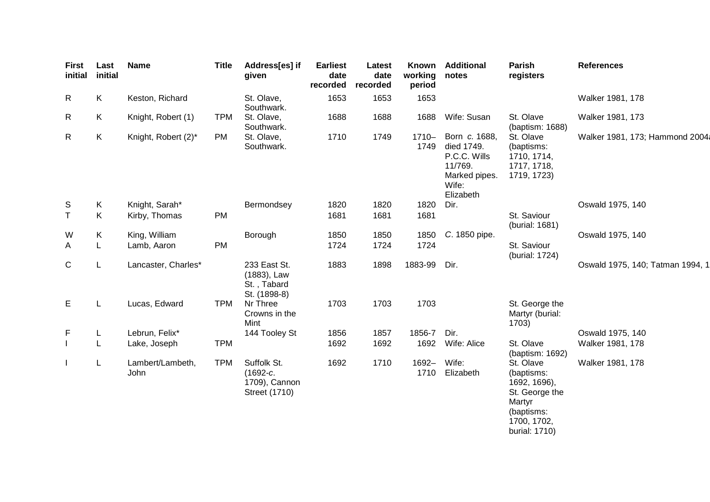| <b>First</b><br>initial | Last<br>initial | <b>Name</b>              | <b>Title</b> | Address[es] if<br>given                                     | <b>Earliest</b><br>date<br>recorded | Latest<br>date<br>recorded | <b>Known</b><br>working<br>period | <b>Additional</b><br>notes                                                                    | Parish<br>registers                                                                                               | <b>References</b>                |
|-------------------------|-----------------|--------------------------|--------------|-------------------------------------------------------------|-------------------------------------|----------------------------|-----------------------------------|-----------------------------------------------------------------------------------------------|-------------------------------------------------------------------------------------------------------------------|----------------------------------|
| R                       | K               | Keston, Richard          |              | St. Olave,<br>Southwark.                                    | 1653                                | 1653                       | 1653                              |                                                                                               |                                                                                                                   | Walker 1981, 178                 |
| R                       | K               | Knight, Robert (1)       | <b>TPM</b>   | St. Olave,<br>Southwark.                                    | 1688                                | 1688                       | 1688                              | Wife: Susan                                                                                   | St. Olave<br>(baptism: 1688)                                                                                      | Walker 1981, 173                 |
| R                       | K               | Knight, Robert (2)*      | <b>PM</b>    | St. Olave,<br>Southwark.                                    | 1710                                | 1749                       | $1710 -$<br>1749                  | Born c. 1688,<br>died 1749.<br>P.C.C. Wills<br>11/769.<br>Marked pipes.<br>Wife:<br>Elizabeth | St. Olave<br>(baptisms:<br>1710, 1714,<br>1717, 1718,<br>1719, 1723)                                              | Walker 1981, 173; Hammond 2004;  |
| S                       | $\sf K$         | Knight, Sarah*           |              | Bermondsey                                                  | 1820                                | 1820                       | 1820                              | Dir.                                                                                          |                                                                                                                   | Oswald 1975, 140                 |
| $\mathsf T$             | Κ               | Kirby, Thomas            | <b>PM</b>    |                                                             | 1681                                | 1681                       | 1681                              |                                                                                               | St. Saviour<br>(burial: 1681)                                                                                     |                                  |
| W                       | Κ               | King, William            |              | Borough                                                     | 1850                                | 1850                       | 1850                              | C. 1850 pipe.                                                                                 |                                                                                                                   | Oswald 1975, 140                 |
| A                       | L               | Lamb, Aaron              | PM           |                                                             | 1724                                | 1724                       | 1724                              |                                                                                               | St. Saviour<br>(burial: 1724)                                                                                     |                                  |
| $\mathsf C$             | L               | Lancaster, Charles*      |              | 233 East St.<br>(1883), Law<br>St., Tabard<br>St. (1898-8)  | 1883                                | 1898                       | 1883-99                           | Dir.                                                                                          |                                                                                                                   | Oswald 1975, 140; Tatman 1994, 1 |
| E                       | L               | Lucas, Edward            | <b>TPM</b>   | Nr Three<br>Crowns in the<br>Mint                           | 1703                                | 1703                       | 1703                              |                                                                                               | St. George the<br>Martyr (burial:<br>1703)                                                                        |                                  |
| F                       | L               | Lebrun, Felix*           |              | 144 Tooley St                                               | 1856                                | 1857                       | 1856-7                            | Dir.                                                                                          |                                                                                                                   | Oswald 1975, 140                 |
|                         | L               | Lake, Joseph             | <b>TPM</b>   |                                                             | 1692                                | 1692                       | 1692                              | Wife: Alice                                                                                   | St. Olave<br>(baptism: 1692)                                                                                      | Walker 1981, 178                 |
|                         | L               | Lambert/Lambeth,<br>John | <b>TPM</b>   | Suffolk St.<br>$(1692-c.$<br>1709), Cannon<br>Street (1710) | 1692                                | 1710                       | 1692-<br>1710                     | Wife:<br>Elizabeth                                                                            | St. Olave<br>(baptisms:<br>1692, 1696),<br>St. George the<br>Martyr<br>(baptisms:<br>1700, 1702,<br>burial: 1710) | Walker 1981, 178                 |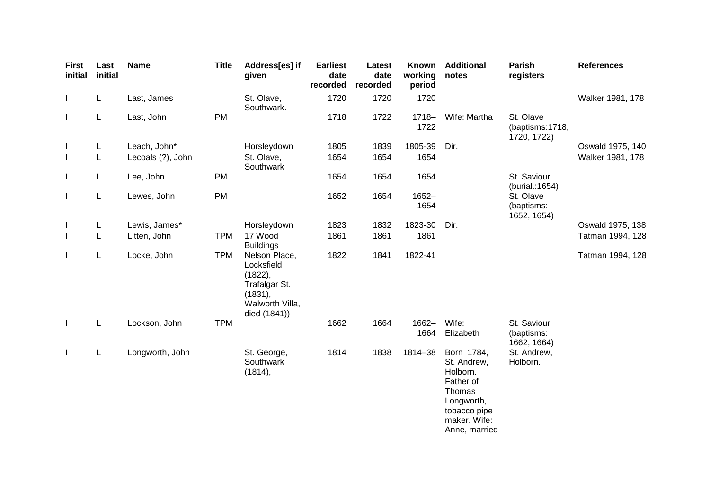| <b>First</b><br>initial | Last<br>initial | <b>Name</b>       | <b>Title</b> | Address[es] if<br>given                                                                               | <b>Earliest</b><br>date<br>recorded | Latest<br>date<br>recorded | Known<br>working<br>period | <b>Additional</b><br>notes                                                                                                  | <b>Parish</b><br>registers                  | <b>References</b> |
|-------------------------|-----------------|-------------------|--------------|-------------------------------------------------------------------------------------------------------|-------------------------------------|----------------------------|----------------------------|-----------------------------------------------------------------------------------------------------------------------------|---------------------------------------------|-------------------|
| $\mathbf{I}$            | L.              | Last, James       |              | St. Olave,<br>Southwark.                                                                              | 1720                                | 1720                       | 1720                       |                                                                                                                             |                                             | Walker 1981, 178  |
| $\mathbf{I}$            | L               | Last, John        | <b>PM</b>    |                                                                                                       | 1718                                | 1722                       | $1718 -$<br>1722           | Wife: Martha                                                                                                                | St. Olave<br>(baptisms:1718,<br>1720, 1722) |                   |
| $\mathbf{I}$            | L               | Leach, John*      |              | Horsleydown                                                                                           | 1805                                | 1839                       | 1805-39                    | Dir.                                                                                                                        |                                             | Oswald 1975, 140  |
| $\mathbf{I}$            | L               | Lecoals (?), John |              | St. Olave,<br>Southwark                                                                               | 1654                                | 1654                       | 1654                       |                                                                                                                             |                                             | Walker 1981, 178  |
| $\mathbf{I}$            | L.              | Lee, John         | <b>PM</b>    |                                                                                                       | 1654                                | 1654                       | 1654                       |                                                                                                                             | St. Saviour<br>(burial.: 1654)              |                   |
| $\mathbf{I}$            | L               | Lewes, John       | PM           |                                                                                                       | 1652                                | 1654                       | $1652 -$<br>1654           |                                                                                                                             | St. Olave<br>(baptisms:<br>1652, 1654)      |                   |
| $\mathbf{I}$            | L               | Lewis, James*     |              | Horsleydown                                                                                           | 1823                                | 1832                       | 1823-30                    | Dir.                                                                                                                        |                                             | Oswald 1975, 138  |
| $\mathbf{I}$            | L               | Litten, John      | <b>TPM</b>   | 17 Wood<br><b>Buildings</b>                                                                           | 1861                                | 1861                       | 1861                       |                                                                                                                             |                                             | Tatman 1994, 128  |
| $\mathbf{I}$            | L.              | Locke, John       | <b>TPM</b>   | Nelson Place,<br>Locksfield<br>(1822),<br>Trafalgar St.<br>(1831),<br>Walworth Villa,<br>died (1841)) | 1822                                | 1841                       | 1822-41                    |                                                                                                                             |                                             | Tatman 1994, 128  |
| $\mathbf{I}$            | L               | Lockson, John     | <b>TPM</b>   |                                                                                                       | 1662                                | 1664                       | $1662 -$<br>1664           | Wife:<br>Elizabeth                                                                                                          | St. Saviour<br>(baptisms:<br>1662, 1664)    |                   |
| $\mathbf{I}$            | L.              | Longworth, John   |              | St. George,<br>Southwark<br>(1814),                                                                   | 1814                                | 1838                       | 1814-38                    | Born 1784,<br>St. Andrew,<br>Holborn.<br>Father of<br>Thomas<br>Longworth,<br>tobacco pipe<br>maker. Wife:<br>Anne, married | St. Andrew,<br>Holborn.                     |                   |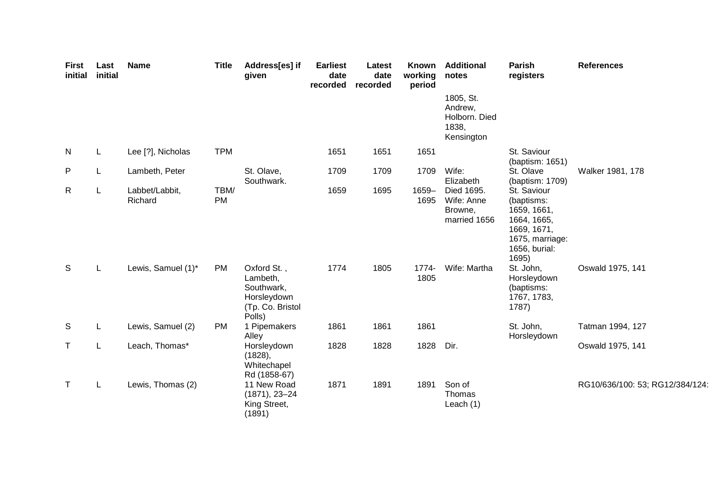| <b>First</b><br>initial | Last<br>initial | <b>Name</b>               | <b>Title</b> | Address[es] if<br>given                                                            | <b>Earliest</b><br>date<br>recorded | Latest<br>date<br>recorded | Known<br>working<br>period | <b>Additional</b><br>notes                                   | Parish<br>registers                                                                                                 | <b>References</b>               |
|-------------------------|-----------------|---------------------------|--------------|------------------------------------------------------------------------------------|-------------------------------------|----------------------------|----------------------------|--------------------------------------------------------------|---------------------------------------------------------------------------------------------------------------------|---------------------------------|
|                         |                 |                           |              |                                                                                    |                                     |                            |                            | 1805, St.<br>Andrew,<br>Holborn. Died<br>1838,<br>Kensington |                                                                                                                     |                                 |
| N                       | L               | Lee [?], Nicholas         | <b>TPM</b>   |                                                                                    | 1651                                | 1651                       | 1651                       |                                                              | St. Saviour<br>(baptism: 1651)                                                                                      |                                 |
| P                       | L               | Lambeth, Peter            |              | St. Olave,<br>Southwark.                                                           | 1709                                | 1709                       | 1709                       | Wife:<br>Elizabeth                                           | St. Olave<br>(baptism: 1709)                                                                                        | Walker 1981, 178                |
| $\mathsf{R}$            | L               | Labbet/Labbit,<br>Richard | TBM/<br>PM   |                                                                                    | 1659                                | 1695                       | 1659-<br>1695              | Died 1695.<br>Wife: Anne<br>Browne,<br>married 1656          | St. Saviour<br>(baptisms:<br>1659, 1661,<br>1664, 1665,<br>1669, 1671,<br>1675, marriage:<br>1656, burial:<br>1695) |                                 |
| S                       | L               | Lewis, Samuel (1)*        | <b>PM</b>    | Oxford St.,<br>Lambeth,<br>Southwark,<br>Horsleydown<br>(Tp. Co. Bristol<br>Polls) | 1774                                | 1805                       | 1774-<br>1805              | Wife: Martha                                                 | St. John,<br>Horsleydown<br>(baptisms:<br>1767, 1783,<br>1787)                                                      | Oswald 1975, 141                |
| S                       | L               | Lewis, Samuel (2)         | <b>PM</b>    | 1 Pipemakers<br>Alley                                                              | 1861                                | 1861                       | 1861                       |                                                              | St. John,<br>Horsleydown                                                                                            | Tatman 1994, 127                |
| Τ                       | L               | Leach, Thomas*            |              | Horsleydown<br>(1828),<br>Whitechapel<br>Rd (1858-67)                              | 1828                                | 1828                       | 1828                       | Dir.                                                         |                                                                                                                     | Oswald 1975, 141                |
| T                       | L               | Lewis, Thomas (2)         |              | 11 New Road<br>$(1871), 23 - 24$<br>King Street,<br>(1891)                         | 1871                                | 1891                       | 1891                       | Son of<br>Thomas<br>Leach $(1)$                              |                                                                                                                     | RG10/636/100: 53; RG12/384/124: |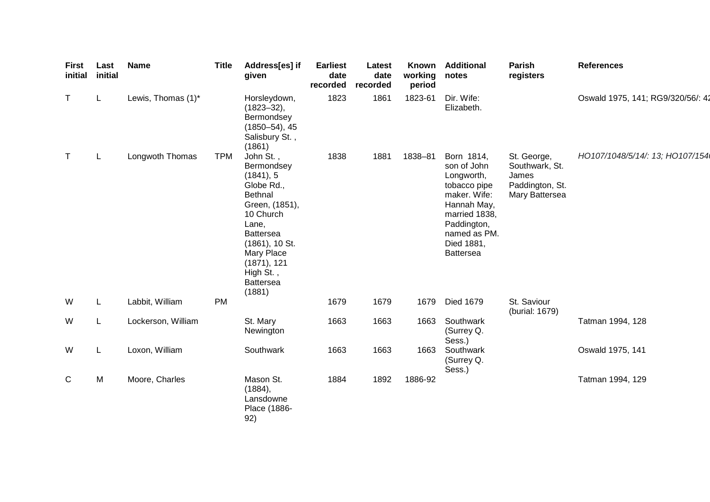| <b>First</b><br>initial | Last<br>initial | <b>Name</b>        | <b>Title</b> | Address[es] if<br>given                                                                                                                                                                                                       | <b>Earliest</b><br>date<br>recorded | Latest<br>date<br>recorded | Known<br>working<br>period | <b>Additional</b><br>notes                                                                                                                                               | <b>Parish</b><br>registers                                                  | <b>References</b>                 |
|-------------------------|-----------------|--------------------|--------------|-------------------------------------------------------------------------------------------------------------------------------------------------------------------------------------------------------------------------------|-------------------------------------|----------------------------|----------------------------|--------------------------------------------------------------------------------------------------------------------------------------------------------------------------|-----------------------------------------------------------------------------|-----------------------------------|
| $\top$                  | L.              | Lewis, Thomas (1)* |              | Horsleydown,<br>$(1823 - 32)$ ,<br>Bermondsey<br>$(1850 - 54)$ , 45<br>Salisbury St.,<br>(1861)                                                                                                                               | 1823                                | 1861                       | 1823-61                    | Dir. Wife:<br>Elizabeth.                                                                                                                                                 |                                                                             | Oswald 1975, 141; RG9/320/56/: 42 |
| $\top$                  | L               | Longwoth Thomas    | <b>TPM</b>   | John St.,<br>Bermondsey<br>(1841), 5<br>Globe Rd.,<br><b>Bethnal</b><br>Green, (1851),<br>10 Church<br>Lane,<br><b>Battersea</b><br>$(1861)$ , 10 St.<br>Mary Place<br>(1871), 121<br>High St.,<br><b>Battersea</b><br>(1881) | 1838                                | 1881                       | 1838-81                    | Born 1814,<br>son of John<br>Longworth,<br>tobacco pipe<br>maker. Wife:<br>Hannah May,<br>married 1838,<br>Paddington,<br>named as PM.<br>Died 1881,<br><b>Battersea</b> | St. George,<br>Southwark, St.<br>James<br>Paddington, St.<br>Mary Battersea | HO107/1048/5/14/: 13; HO107/154   |
| W                       | L               | Labbit, William    | <b>PM</b>    |                                                                                                                                                                                                                               | 1679                                | 1679                       | 1679                       | <b>Died 1679</b>                                                                                                                                                         | St. Saviour<br>(burial: 1679)                                               |                                   |
| W                       | L               | Lockerson, William |              | St. Mary<br>Newington                                                                                                                                                                                                         | 1663                                | 1663                       | 1663                       | Southwark<br>(Surrey Q.<br>Sess.)                                                                                                                                        |                                                                             | Tatman 1994, 128                  |
| W                       | L               | Loxon, William     |              | Southwark                                                                                                                                                                                                                     | 1663                                | 1663                       | 1663                       | Southwark<br>(Surrey Q.<br>Sess.)                                                                                                                                        |                                                                             | Oswald 1975, 141                  |
| C                       | M               | Moore, Charles     |              | Mason St.<br>(1884),<br>Lansdowne<br>Place (1886-<br>92)                                                                                                                                                                      | 1884                                | 1892                       | 1886-92                    |                                                                                                                                                                          |                                                                             | Tatman 1994, 129                  |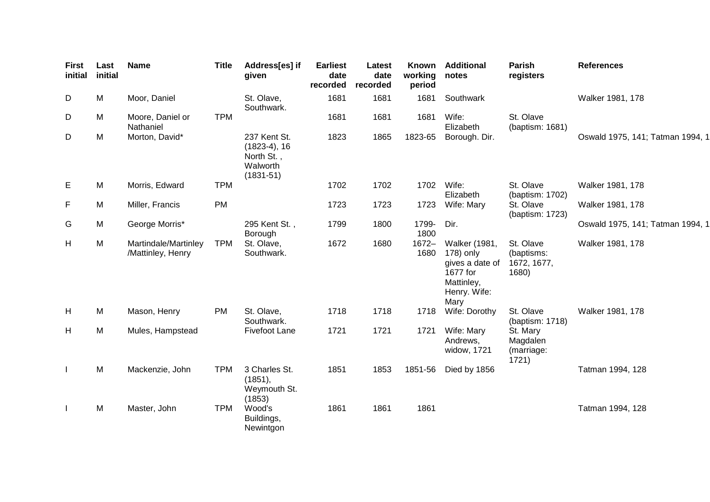| First<br>initial | Last<br>initial | <b>Name</b>                               | <b>Title</b> | Address[es] if<br>given                                                   | <b>Earliest</b><br>date<br>recorded | Latest<br>date<br>recorded | Known<br>working<br>period | <b>Additional</b><br>notes                                                                      | <b>Parish</b><br>registers                      | <b>References</b>                |
|------------------|-----------------|-------------------------------------------|--------------|---------------------------------------------------------------------------|-------------------------------------|----------------------------|----------------------------|-------------------------------------------------------------------------------------------------|-------------------------------------------------|----------------------------------|
| D                | M               | Moor, Daniel                              |              | St. Olave,<br>Southwark.                                                  | 1681                                | 1681                       | 1681                       | Southwark                                                                                       |                                                 | Walker 1981, 178                 |
| D                | M               | Moore, Daniel or<br>Nathaniel             | <b>TPM</b>   |                                                                           | 1681                                | 1681                       | 1681                       | Wife:<br>Elizabeth                                                                              | St. Olave<br>(baptism: 1681)                    |                                  |
| D                | M               | Morton, David*                            |              | 237 Kent St.<br>$(1823-4), 16$<br>North St.,<br>Walworth<br>$(1831 - 51)$ | 1823                                | 1865                       | 1823-65                    | Borough. Dir.                                                                                   |                                                 | Oswald 1975, 141; Tatman 1994, 1 |
| Е                | M               | Morris, Edward                            | <b>TPM</b>   |                                                                           | 1702                                | 1702                       | 1702                       | Wife:<br>Elizabeth                                                                              | St. Olave<br>(baptism: 1702)                    | Walker 1981, 178                 |
| F                | M               | Miller, Francis                           | <b>PM</b>    |                                                                           | 1723                                | 1723                       | 1723                       | Wife: Mary                                                                                      | St. Olave<br>(baptism: 1723)                    | Walker 1981, 178                 |
| G                | M               | George Morris*                            |              | 295 Kent St.,<br>Borough                                                  | 1799                                | 1800                       | 1799-<br>1800              | Dir.                                                                                            |                                                 | Oswald 1975, 141; Tatman 1994, 1 |
| H                | M               | Martindale/Martinley<br>/Mattinley, Henry | TPM          | St. Olave,<br>Southwark.                                                  | 1672                                | 1680                       | $1672 -$<br>1680           | Walker (1981,<br>178) only<br>gives a date of<br>1677 for<br>Mattinley,<br>Henry. Wife:<br>Mary | St. Olave<br>(baptisms:<br>1672, 1677,<br>1680) | Walker 1981, 178                 |
| H                | M               | Mason, Henry                              | <b>PM</b>    | St. Olave,<br>Southwark.                                                  | 1718                                | 1718                       | 1718                       | Wife: Dorothy                                                                                   | St. Olave<br>(baptism: 1718)                    | Walker 1981, 178                 |
| H                | M               | Mules, Hampstead                          |              | Fivefoot Lane                                                             | 1721                                | 1721                       | 1721                       | Wife: Mary<br>Andrews,<br>widow, 1721                                                           | St. Mary<br>Magdalen<br>(marriage:<br>1721)     |                                  |
| $\mathbf{I}$     | M               | Mackenzie, John                           | <b>TPM</b>   | 3 Charles St.<br>(1851),<br>Weymouth St.<br>(1853)                        | 1851                                | 1853                       | 1851-56                    | Died by 1856                                                                                    |                                                 | Tatman 1994, 128                 |
| $\mathbf{I}$     | M               | Master, John                              | <b>TPM</b>   | Wood's<br>Buildings,<br>Newintgon                                         | 1861                                | 1861                       | 1861                       |                                                                                                 |                                                 | Tatman 1994, 128                 |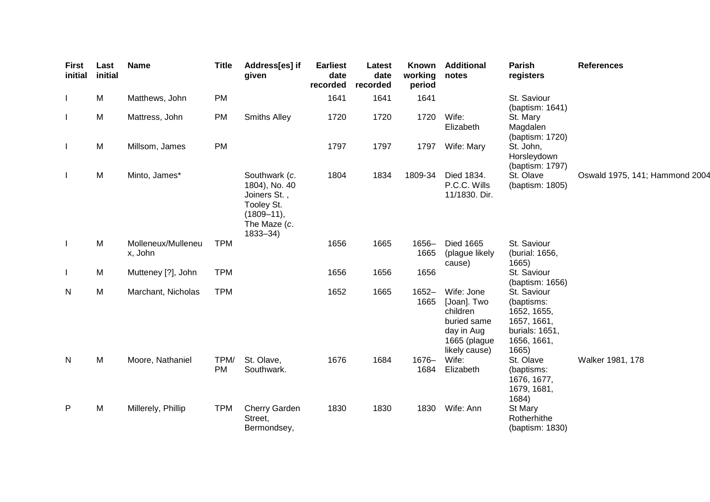| <b>First</b><br>initial | Last<br>initial | <b>Name</b>                   | <b>Title</b>      | Address[es] if<br>given                                                                                       | <b>Earliest</b><br>date<br>recorded | Latest<br>date<br>recorded | Known<br>working<br>period | <b>Additional</b><br>notes                                                                          | <b>Parish</b><br>registers                                                                        | <b>References</b>              |
|-------------------------|-----------------|-------------------------------|-------------------|---------------------------------------------------------------------------------------------------------------|-------------------------------------|----------------------------|----------------------------|-----------------------------------------------------------------------------------------------------|---------------------------------------------------------------------------------------------------|--------------------------------|
|                         | M               | Matthews, John                | <b>PM</b>         |                                                                                                               | 1641                                | 1641                       | 1641                       |                                                                                                     | St. Saviour<br>(baptism: 1641)                                                                    |                                |
|                         | M               | Mattress, John                | <b>PM</b>         | <b>Smiths Alley</b>                                                                                           | 1720                                | 1720                       | 1720                       | Wife:<br>Elizabeth                                                                                  | St. Mary<br>Magdalen<br>(baptism: 1720)                                                           |                                |
|                         | M               | Millsom, James                | PM                |                                                                                                               | 1797                                | 1797                       | 1797                       | Wife: Mary                                                                                          | St. John,<br>Horsleydown<br>(baptism: 1797)                                                       |                                |
|                         | M               | Minto, James*                 |                   | Southwark (c.<br>1804), No. 40<br>Joiners St.,<br>Tooley St.<br>$(1809 - 11),$<br>The Maze (c.<br>$1833 - 34$ | 1804                                | 1834                       | 1809-34                    | Died 1834.<br>P.C.C. Wills<br>11/1830. Dir.                                                         | St. Olave<br>(baptism: 1805)                                                                      | Oswald 1975, 141; Hammond 2004 |
| $\perp$                 | M               | Molleneux/Mulleneu<br>x, John | <b>TPM</b>        |                                                                                                               | 1656                                | 1665                       | 1656-<br>1665              | <b>Died 1665</b><br>(plague likely<br>cause)                                                        | St. Saviour<br>(burial: 1656,<br>1665)                                                            |                                |
|                         | M               | Mutteney [?], John            | <b>TPM</b>        |                                                                                                               | 1656                                | 1656                       | 1656                       |                                                                                                     | St. Saviour<br>(baptism: 1656)                                                                    |                                |
| N                       | M               | Marchant, Nicholas            | <b>TPM</b>        |                                                                                                               | 1652                                | 1665                       | $1652 -$<br>1665           | Wife: Jone<br>[Joan]. Two<br>children<br>buried same<br>day in Aug<br>1665 (plague<br>likely cause) | St. Saviour<br>(baptisms:<br>1652, 1655,<br>1657, 1661,<br>burials: 1651,<br>1656, 1661,<br>1665) |                                |
| N                       | M               | Moore, Nathaniel              | TPM/<br><b>PM</b> | St. Olave,<br>Southwark.                                                                                      | 1676                                | 1684                       | 1676-<br>1684              | Wife:<br>Elizabeth                                                                                  | St. Olave<br>(baptisms:<br>1676, 1677,<br>1679, 1681,<br>1684)                                    | Walker 1981, 178               |
| $\mathsf{P}$            | M               | Millerely, Phillip            | <b>TPM</b>        | Cherry Garden<br>Street,<br>Bermondsey,                                                                       | 1830                                | 1830                       | 1830                       | Wife: Ann                                                                                           | St Mary<br>Rotherhithe<br>(baptism: 1830)                                                         |                                |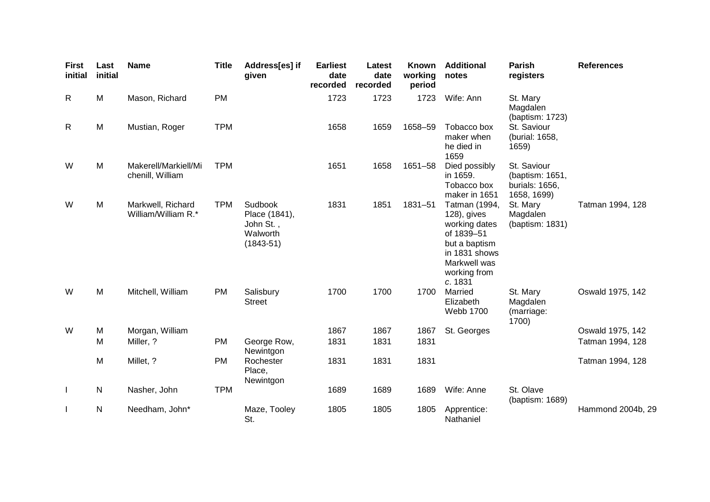| <b>First</b><br>initial | Last<br>initial | <b>Name</b>                              | <b>Title</b> | Address[es] if<br>given                                          | <b>Earliest</b><br>date<br>recorded | Latest<br>date<br>recorded | Known<br>working<br>period | <b>Additional</b><br>notes                                                                                                               | Parish<br>registers                                             | <b>References</b> |
|-------------------------|-----------------|------------------------------------------|--------------|------------------------------------------------------------------|-------------------------------------|----------------------------|----------------------------|------------------------------------------------------------------------------------------------------------------------------------------|-----------------------------------------------------------------|-------------------|
| R                       | M               | Mason, Richard                           | <b>PM</b>    |                                                                  | 1723                                | 1723                       | 1723                       | Wife: Ann                                                                                                                                | St. Mary<br>Magdalen<br>(baptism: 1723)                         |                   |
| R                       | M               | Mustian, Roger                           | <b>TPM</b>   |                                                                  | 1658                                | 1659                       | 1658-59                    | Tobacco box<br>maker when<br>he died in<br>1659                                                                                          | St. Saviour<br>(burial: 1658,<br>1659)                          |                   |
| W                       | M               | Makerell/Markiell/Mi<br>chenill, William | <b>TPM</b>   |                                                                  | 1651                                | 1658                       | 1651-58                    | Died possibly<br>in 1659.<br>Tobacco box<br>maker in 1651                                                                                | St. Saviour<br>(baptism: 1651,<br>burials: 1656,<br>1658, 1699) |                   |
| W                       | M               | Markwell, Richard<br>William/William R.* | <b>TPM</b>   | Sudbook<br>Place (1841),<br>John St.,<br>Walworth<br>$(1843-51)$ | 1831                                | 1851                       | 1831-51                    | Tatman (1994,<br>128), gives<br>working dates<br>of 1839-51<br>but a baptism<br>in 1831 shows<br>Markwell was<br>working from<br>c. 1831 | St. Mary<br>Magdalen<br>(baptism: 1831)                         | Tatman 1994, 128  |
| W                       | M               | Mitchell, William                        | <b>PM</b>    | Salisbury<br><b>Street</b>                                       | 1700                                | 1700                       | 1700                       | Married<br>Elizabeth<br><b>Webb 1700</b>                                                                                                 | St. Mary<br>Magdalen<br>(marriage:<br>1700)                     | Oswald 1975, 142  |
| W                       | M               | Morgan, William                          |              |                                                                  | 1867                                | 1867                       | 1867                       | St. Georges                                                                                                                              |                                                                 | Oswald 1975, 142  |
|                         | M               | Miller, ?                                | <b>PM</b>    | George Row,<br>Newintgon                                         | 1831                                | 1831                       | 1831                       |                                                                                                                                          |                                                                 | Tatman 1994, 128  |
|                         | M               | Millet, ?                                | PM           | Rochester<br>Place,<br>Newintgon                                 | 1831                                | 1831                       | 1831                       |                                                                                                                                          |                                                                 | Tatman 1994, 128  |
| $\mathbf{I}$            | $\mathsf{N}$    | Nasher, John                             | <b>TPM</b>   |                                                                  | 1689                                | 1689                       | 1689                       | Wife: Anne                                                                                                                               | St. Olave<br>(baptism: 1689)                                    |                   |
|                         | N               | Needham, John*                           |              | Maze, Tooley<br>St.                                              | 1805                                | 1805                       | 1805                       | Apprentice:<br>Nathaniel                                                                                                                 |                                                                 | Hammond 2004b, 29 |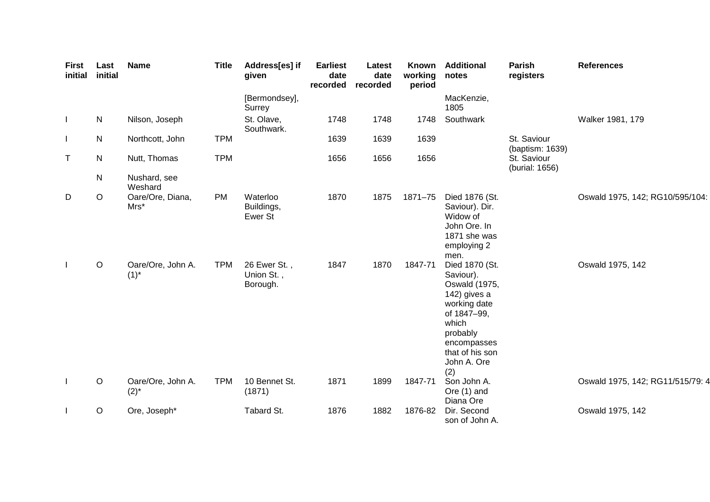| <b>First</b><br>initial | Last<br>initial | <b>Name</b>                    | <b>Title</b> | Address[es] if<br>given                | <b>Earliest</b><br>date<br>recorded | Latest<br>date<br>recorded | Known<br>working<br>period | <b>Additional</b><br>notes                                                                                                                                               | <b>Parish</b><br>registers     | <b>References</b>                |
|-------------------------|-----------------|--------------------------------|--------------|----------------------------------------|-------------------------------------|----------------------------|----------------------------|--------------------------------------------------------------------------------------------------------------------------------------------------------------------------|--------------------------------|----------------------------------|
|                         |                 |                                |              | [Bermondsey],<br>Surrey                |                                     |                            |                            | MacKenzie,<br>1805                                                                                                                                                       |                                |                                  |
| $\mathbf{I}$            | N               | Nilson, Joseph                 |              | St. Olave,<br>Southwark.               | 1748                                | 1748                       | 1748                       | Southwark                                                                                                                                                                |                                | Walker 1981, 179                 |
|                         | N               | Northcott, John                | <b>TPM</b>   |                                        | 1639                                | 1639                       | 1639                       |                                                                                                                                                                          | St. Saviour<br>(baptism: 1639) |                                  |
| T                       | N               | Nutt, Thomas                   | <b>TPM</b>   |                                        | 1656                                | 1656                       | 1656                       |                                                                                                                                                                          | St. Saviour<br>(burial: 1656)  |                                  |
|                         | ${\sf N}$       | Nushard, see<br>Weshard        |              |                                        |                                     |                            |                            |                                                                                                                                                                          |                                |                                  |
| D                       | $\mathsf O$     | Oare/Ore, Diana,<br>Mrs*       | PM           | Waterloo<br>Buildings,<br>Ewer St      | 1870                                | 1875                       | 1871-75                    | Died 1876 (St.<br>Saviour). Dir.<br>Widow of<br>John Ore. In<br>1871 she was<br>employing 2<br>men.                                                                      |                                | Oswald 1975, 142; RG10/595/104:  |
| $\mathbf{I}$            | $\mathsf O$     | Oare/Ore, John A.<br>$(1)^{*}$ | <b>TPM</b>   | 26 Ewer St.,<br>Union St.,<br>Borough. | 1847                                | 1870                       | 1847-71                    | Died 1870 (St.<br>Saviour).<br>Oswald (1975,<br>142) gives a<br>working date<br>of 1847-99,<br>which<br>probably<br>encompasses<br>that of his son<br>John A. Ore<br>(2) |                                | Oswald 1975, 142                 |
| $\perp$                 | $\mathsf O$     | Oare/Ore, John A.<br>$(2)^{*}$ | <b>TPM</b>   | 10 Bennet St.<br>(1871)                | 1871                                | 1899                       | 1847-71                    | Son John A.<br>Ore (1) and<br>Diana Ore                                                                                                                                  |                                | Oswald 1975, 142; RG11/515/79: 4 |
|                         | $\mathsf O$     | Ore, Joseph*                   |              | Tabard St.                             | 1876                                | 1882                       | 1876-82                    | Dir. Second<br>son of John A.                                                                                                                                            |                                | Oswald 1975, 142                 |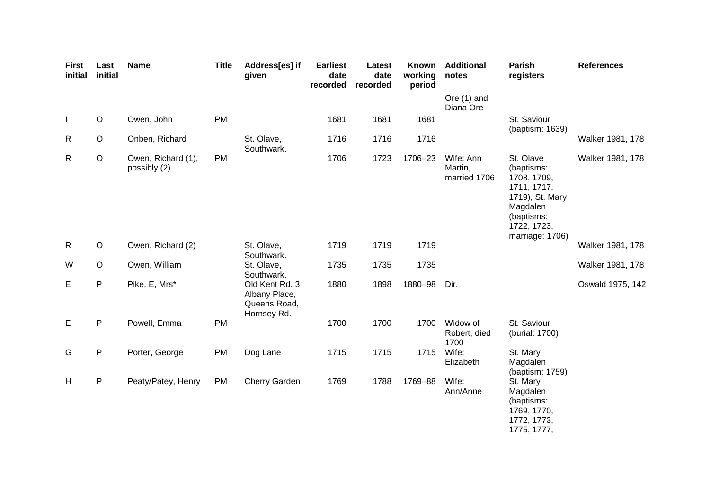| <b>First</b><br>initial | Last<br>initial | <b>Name</b>                        | <b>Title</b> | Address[es] if<br>given                                        | <b>Earliest</b><br>date<br>recorded | Latest<br>date<br>recorded | Known<br>working<br>period | <b>Additional</b><br>notes           | <b>Parish</b><br>registers                                                                                                           | <b>References</b> |
|-------------------------|-----------------|------------------------------------|--------------|----------------------------------------------------------------|-------------------------------------|----------------------------|----------------------------|--------------------------------------|--------------------------------------------------------------------------------------------------------------------------------------|-------------------|
|                         |                 |                                    |              |                                                                |                                     |                            |                            | Ore (1) and<br>Diana Ore             |                                                                                                                                      |                   |
| $\mathbf{I}$            | $\circ$         | Owen, John                         | <b>PM</b>    |                                                                | 1681                                | 1681                       | 1681                       |                                      | St. Saviour<br>(baptism: 1639)                                                                                                       |                   |
| $\mathsf{R}$            | $\circ$         | Onben, Richard                     |              | St. Olave,<br>Southwark.                                       | 1716                                | 1716                       | 1716                       |                                      |                                                                                                                                      | Walker 1981, 178  |
| $\mathsf{R}$            | $\circ$         | Owen, Richard (1),<br>possibly (2) | <b>PM</b>    |                                                                | 1706                                | 1723                       | 1706-23                    | Wife: Ann<br>Martin,<br>married 1706 | St. Olave<br>(baptisms:<br>1708, 1709,<br>1711, 1717,<br>1719), St. Mary<br>Magdalen<br>(baptisms:<br>1722, 1723,<br>marriage: 1706) | Walker 1981, 178  |
| $\mathsf{R}$            | $\circ$         | Owen, Richard (2)                  |              | St. Olave,<br>Southwark.                                       | 1719                                | 1719                       | 1719                       |                                      |                                                                                                                                      | Walker 1981, 178  |
| W                       | $\circ$         | Owen, William                      |              | St. Olave,<br>Southwark.                                       | 1735                                | 1735                       | 1735                       |                                      |                                                                                                                                      | Walker 1981, 178  |
| E                       | ${\sf P}$       | Pike, E, Mrs*                      |              | Old Kent Rd. 3<br>Albany Place,<br>Queens Road,<br>Hornsey Rd. | 1880                                | 1898                       | 1880-98                    | Dir.                                 |                                                                                                                                      | Oswald 1975, 142  |
| Е                       | $\mathsf P$     | Powell, Emma                       | PM           |                                                                | 1700                                | 1700                       | 1700                       | Widow of<br>Robert, died<br>1700     | St. Saviour<br>(burial: 1700)                                                                                                        |                   |
| G                       | P               | Porter, George                     | <b>PM</b>    | Dog Lane                                                       | 1715                                | 1715                       | 1715                       | Wife:<br>Elizabeth                   | St. Mary<br>Magdalen<br>(baptism: 1759)                                                                                              |                   |
| H                       | P               | Peaty/Patey, Henry                 | <b>PM</b>    | Cherry Garden                                                  | 1769                                | 1788                       | 1769-88                    | Wife:<br>Ann/Anne                    | St. Mary<br>Magdalen<br>(baptisms:<br>1769, 1770,<br>1772, 1773,<br>1775, 1777,                                                      |                   |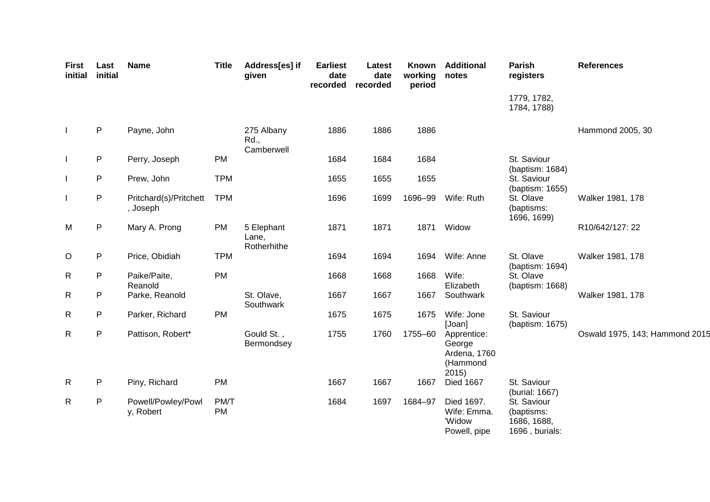| <b>First</b><br>initial | Last<br>initial | <b>Name</b>                        | <b>Title</b>      | Address[es] if<br>given            | <b>Earliest</b><br>date<br>recorded | Latest<br>date<br>recorded | Known<br>working<br>period | <b>Additional</b><br>notes                                | Parish<br>registers                                        | <b>References</b>              |
|-------------------------|-----------------|------------------------------------|-------------------|------------------------------------|-------------------------------------|----------------------------|----------------------------|-----------------------------------------------------------|------------------------------------------------------------|--------------------------------|
|                         |                 |                                    |                   |                                    |                                     |                            |                            |                                                           | 1779, 1782,<br>1784, 1788)                                 |                                |
|                         | $\mathsf{P}$    | Payne, John                        |                   | 275 Albany<br>Rd.,<br>Camberwell   | 1886                                | 1886                       | 1886                       |                                                           |                                                            | Hammond 2005, 30               |
|                         | $\sf P$         | Perry, Joseph                      | PM                |                                    | 1684                                | 1684                       | 1684                       |                                                           | St. Saviour                                                |                                |
|                         | ${\sf P}$       | Prew, John                         | <b>TPM</b>        |                                    | 1655                                | 1655                       | 1655                       |                                                           | (baptism: 1684)<br>St. Saviour<br>(baptism: 1655)          |                                |
|                         | ${\sf P}$       | Pritchard(s)/Pritchett<br>, Joseph | <b>TPM</b>        |                                    | 1696                                | 1699                       | 1696-99                    | Wife: Ruth                                                | St. Olave<br>(baptisms:<br>1696, 1699)                     | Walker 1981, 178               |
| M                       | ${\sf P}$       | Mary A. Prong                      | PM                | 5 Elephant<br>Lane,<br>Rotherhithe | 1871                                | 1871                       | 1871                       | Widow                                                     |                                                            | R10/642/127: 22                |
| O                       | P               | Price, Obidiah                     | <b>TPM</b>        |                                    | 1694                                | 1694                       | 1694                       | Wife: Anne                                                | St. Olave<br>(baptism: 1694)                               | Walker 1981, 178               |
| R                       | P               | Paike/Paite,<br>Reanold            | PM                |                                    | 1668                                | 1668                       | 1668                       | Wife:<br>Elizabeth                                        | St. Olave<br>(baptism: 1668)                               |                                |
| R                       | P               | Parke, Reanold                     |                   | St. Olave,<br>Southwark            | 1667                                | 1667                       | 1667                       | Southwark                                                 |                                                            | Walker 1981, 178               |
| R                       | ${\sf P}$       | Parker, Richard                    | PM                |                                    | 1675                                | 1675                       | 1675                       | Wife: Jone<br>[Joan]                                      | St. Saviour<br>(baptism: 1675)                             |                                |
| $\mathsf{R}$            | ${\sf P}$       | Pattison, Robert*                  |                   | Gould St.,<br>Bermondsey           | 1755                                | 1760                       | 1755-60                    | Apprentice:<br>George<br>Ardena, 1760<br>(Hammond<br>2015 |                                                            | Oswald 1975, 143; Hammond 2015 |
| R                       | P               | Piny, Richard                      | <b>PM</b>         |                                    | 1667                                | 1667                       | 1667                       | <b>Died 1667</b>                                          | St. Saviour<br>(burial: 1667)                              |                                |
| R                       | P               | Powell/Powley/Powl<br>y, Robert    | PM/T<br><b>PM</b> |                                    | 1684                                | 1697                       | 1684-97                    | Died 1697.<br>Wife: Emma.<br>'Widow<br>Powell, pipe       | St. Saviour<br>(baptisms:<br>1686, 1688,<br>1696, burials: |                                |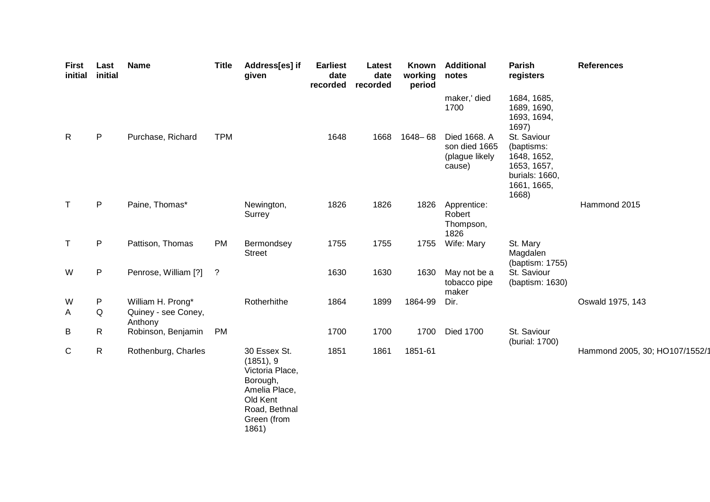| <b>First</b><br>initial | Last<br>initial | <b>Name</b>                    | <b>Title</b> | Address[es] if<br>given                                                                                                        | <b>Earliest</b><br>date<br>recorded | Latest<br>date<br>recorded | Known<br>working<br>period | <b>Additional</b><br>notes                                | Parish<br>registers                                                                               | <b>References</b>              |
|-------------------------|-----------------|--------------------------------|--------------|--------------------------------------------------------------------------------------------------------------------------------|-------------------------------------|----------------------------|----------------------------|-----------------------------------------------------------|---------------------------------------------------------------------------------------------------|--------------------------------|
|                         |                 |                                |              |                                                                                                                                |                                     |                            |                            | maker,' died<br>1700                                      | 1684, 1685,<br>1689, 1690,<br>1693, 1694,<br>1697)                                                |                                |
| R                       | P               | Purchase, Richard              | <b>TPM</b>   |                                                                                                                                | 1648                                | 1668                       | 1648-68                    | Died 1668. A<br>son died 1665<br>(plague likely<br>cause) | St. Saviour<br>(baptisms:<br>1648, 1652,<br>1653, 1657,<br>burials: 1660,<br>1661, 1665,<br>1668) |                                |
| $\mathsf{T}$            | $\mathsf{P}$    | Paine, Thomas*                 |              | Newington,<br>Surrey                                                                                                           | 1826                                | 1826                       | 1826                       | Apprentice:<br>Robert<br>Thompson,<br>1826                |                                                                                                   | Hammond 2015                   |
| $\mathsf T$             | $\mathsf{P}$    | Pattison, Thomas               | PM           | Bermondsey<br><b>Street</b>                                                                                                    | 1755                                | 1755                       | 1755                       | Wife: Mary                                                | St. Mary<br>Magdalen<br>(baptism: 1755)                                                           |                                |
| W                       | P               | Penrose, William [?]           | $\cdot$      |                                                                                                                                | 1630                                | 1630                       | 1630                       | May not be a<br>tobacco pipe<br>maker                     | St. Saviour<br>(baptism: 1630)                                                                    |                                |
| W                       | P               | William H. Prong*              |              | Rotherhithe                                                                                                                    | 1864                                | 1899                       | 1864-99                    | Dir.                                                      |                                                                                                   | Oswald 1975, 143               |
| A                       | Q               | Quiney - see Coney,<br>Anthony |              |                                                                                                                                |                                     |                            |                            |                                                           |                                                                                                   |                                |
| $\sf B$                 | $\mathsf{R}$    | Robinson, Benjamin PM          |              |                                                                                                                                | 1700                                | 1700                       | 1700                       | <b>Died 1700</b>                                          | St. Saviour<br>(burial: 1700)                                                                     |                                |
| C                       | $\mathsf{R}$    | Rothenburg, Charles            |              | 30 Essex St.<br>(1851), 9<br>Victoria Place,<br>Borough,<br>Amelia Place,<br>Old Kent<br>Road, Bethnal<br>Green (from<br>1861) | 1851                                | 1861                       | 1851-61                    |                                                           |                                                                                                   | Hammond 2005, 30; HO107/1552/1 |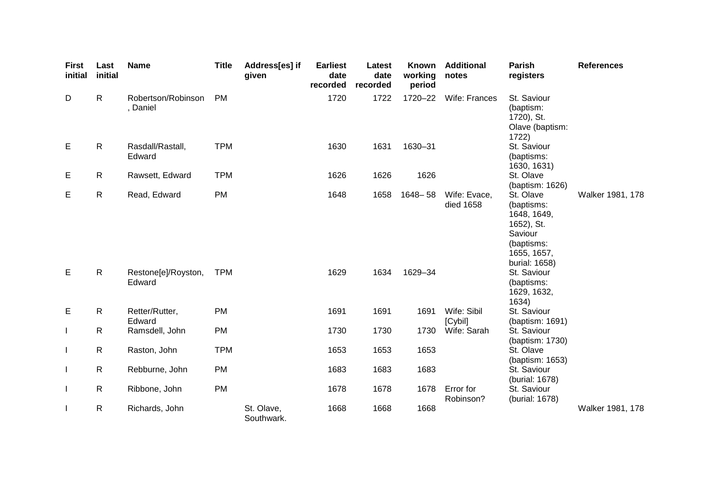| <b>First</b><br>initial | Last<br>initial | <b>Name</b>                    | <b>Title</b> | Address[es] if<br>given  | <b>Earliest</b><br>date<br>recorded | Latest<br>date<br>recorded | <b>Known</b><br>working<br>period | <b>Additional</b><br>notes | Parish<br>registers                                                                                           | <b>References</b> |
|-------------------------|-----------------|--------------------------------|--------------|--------------------------|-------------------------------------|----------------------------|-----------------------------------|----------------------------|---------------------------------------------------------------------------------------------------------------|-------------------|
| D                       | $\mathsf{R}$    | Robertson/Robinson<br>, Daniel | <b>PM</b>    |                          | 1720                                | 1722                       | 1720-22                           | Wife: Frances              | St. Saviour<br>(baptism:<br>1720), St.<br>Olave (baptism:<br>1722)                                            |                   |
| Е                       | $\mathsf{R}$    | Rasdall/Rastall,<br>Edward     | <b>TPM</b>   |                          | 1630                                | 1631                       | 1630-31                           |                            | St. Saviour<br>(baptisms:<br>1630, 1631)                                                                      |                   |
| Е                       | $\mathsf{R}$    | Rawsett, Edward                | <b>TPM</b>   |                          | 1626                                | 1626                       | 1626                              |                            | St. Olave<br>(baptism: 1626)                                                                                  |                   |
| Е                       | $\mathsf{R}$    | Read, Edward                   | <b>PM</b>    |                          | 1648                                | 1658                       | $1648 - 58$                       | Wife: Evace,<br>died 1658  | St. Olave<br>(baptisms:<br>1648, 1649,<br>1652), St.<br>Saviour<br>(baptisms:<br>1655, 1657,<br>burial: 1658) | Walker 1981, 178  |
| E                       | $\mathsf{R}$    | Restone[e]/Royston,<br>Edward  | <b>TPM</b>   |                          | 1629                                | 1634                       | 1629-34                           |                            | St. Saviour<br>(baptisms:<br>1629, 1632,<br>1634)                                                             |                   |
| E                       | $\mathsf{R}$    | Retter/Rutter,<br>Edward       | PM           |                          | 1691                                | 1691                       | 1691                              | Wife: Sibil<br>[Cybil]     | St. Saviour<br>(baptism: 1691)                                                                                |                   |
| $\mathbf{I}$            | $\mathsf{R}$    | Ramsdell, John                 | PM           |                          | 1730                                | 1730                       | 1730                              | Wife: Sarah                | St. Saviour<br>(baptism: 1730)                                                                                |                   |
| $\mathbf{I}$            | $\mathsf{R}$    | Raston, John                   | <b>TPM</b>   |                          | 1653                                | 1653                       | 1653                              |                            | St. Olave<br>(baptism: 1653)                                                                                  |                   |
| $\mathbf{I}$            | $\mathsf{R}$    | Rebburne, John                 | <b>PM</b>    |                          | 1683                                | 1683                       | 1683                              |                            | St. Saviour<br>(burial: 1678)                                                                                 |                   |
| $\mathbf{I}$            | $\mathsf{R}$    | Ribbone, John                  | PM           |                          | 1678                                | 1678                       | 1678                              | Error for<br>Robinson?     | St. Saviour<br>(burial: 1678)                                                                                 |                   |
| $\mathbf{I}$            | $\mathsf{R}$    | Richards, John                 |              | St. Olave,<br>Southwark. | 1668                                | 1668                       | 1668                              |                            |                                                                                                               | Walker 1981, 178  |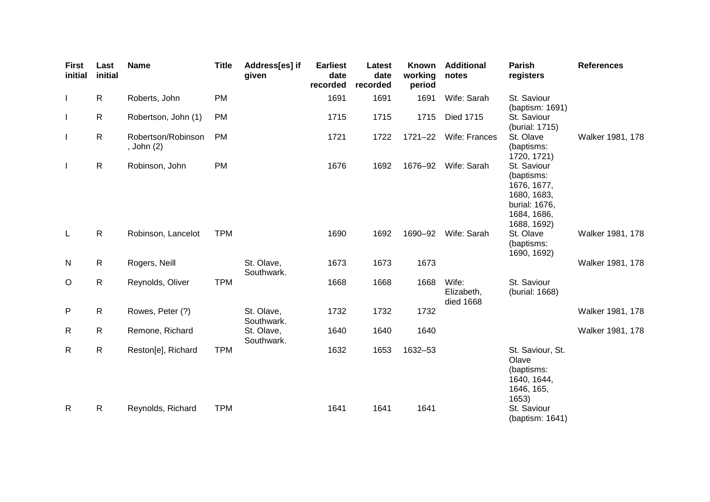| <b>First</b><br>initial | Last<br>initial | <b>Name</b>                      | <b>Title</b> | Address[es] if<br>given  | <b>Earliest</b><br>date<br>recorded | Latest<br>date<br>recorded | Known<br>working<br>period | <b>Additional</b><br>notes       | Parish<br>registers                                                                                    | <b>References</b> |
|-------------------------|-----------------|----------------------------------|--------------|--------------------------|-------------------------------------|----------------------------|----------------------------|----------------------------------|--------------------------------------------------------------------------------------------------------|-------------------|
| $\mathbf{I}$            | $\mathsf{R}$    | Roberts, John                    | <b>PM</b>    |                          | 1691                                | 1691                       | 1691                       | Wife: Sarah                      | St. Saviour<br>(baptism: 1691)                                                                         |                   |
| $\mathbf{I}$            | $\mathsf{R}$    | Robertson, John (1)              | <b>PM</b>    |                          | 1715                                | 1715                       | 1715                       | Died 1715                        | St. Saviour<br>(burial: 1715)                                                                          |                   |
| $\mathbf{I}$            | $\mathsf{R}$    | Robertson/Robinson<br>, John (2) | <b>PM</b>    |                          | 1721                                | 1722                       | $1721 - 22$                | Wife: Frances                    | St. Olave<br>(baptisms:<br>1720, 1721)                                                                 | Walker 1981, 178  |
| $\mathbf{I}$            | $\mathsf{R}$    | Robinson, John                   | <b>PM</b>    |                          | 1676                                | 1692                       | 1676-92                    | Wife: Sarah                      | St. Saviour<br>(baptisms:<br>1676, 1677,<br>1680, 1683,<br>burial: 1676,<br>1684, 1686,<br>1688, 1692) |                   |
| L                       | $\mathsf{R}$    | Robinson, Lancelot               | <b>TPM</b>   |                          | 1690                                | 1692                       | 1690-92                    | Wife: Sarah                      | St. Olave<br>(baptisms:<br>1690, 1692)                                                                 | Walker 1981, 178  |
| N                       | $\mathsf{R}$    | Rogers, Neill                    |              | St. Olave,<br>Southwark. | 1673                                | 1673                       | 1673                       |                                  |                                                                                                        | Walker 1981, 178  |
| $\circ$                 | R               | Reynolds, Oliver                 | <b>TPM</b>   |                          | 1668                                | 1668                       | 1668                       | Wife:<br>Elizabeth,<br>died 1668 | St. Saviour<br>(burial: 1668)                                                                          |                   |
| $\mathsf{P}$            | $\mathsf{R}$    | Rowes, Peter (?)                 |              | St. Olave,<br>Southwark. | 1732                                | 1732                       | 1732                       |                                  |                                                                                                        | Walker 1981, 178  |
| $\mathsf{R}$            | $\mathsf{R}$    | Remone, Richard                  |              | St. Olave,<br>Southwark. | 1640                                | 1640                       | 1640                       |                                  |                                                                                                        | Walker 1981, 178  |
| R                       | $\mathsf R$     | Reston[e], Richard               | <b>TPM</b>   |                          | 1632                                | 1653                       | 1632-53                    |                                  | St. Saviour, St.<br>Olave<br>(baptisms:<br>1640, 1644,<br>1646, 165,<br>1653)                          |                   |
| $\mathsf{R}$            | $\mathsf{R}$    | Reynolds, Richard                | <b>TPM</b>   |                          | 1641                                | 1641                       | 1641                       |                                  | St. Saviour<br>(baptism: 1641)                                                                         |                   |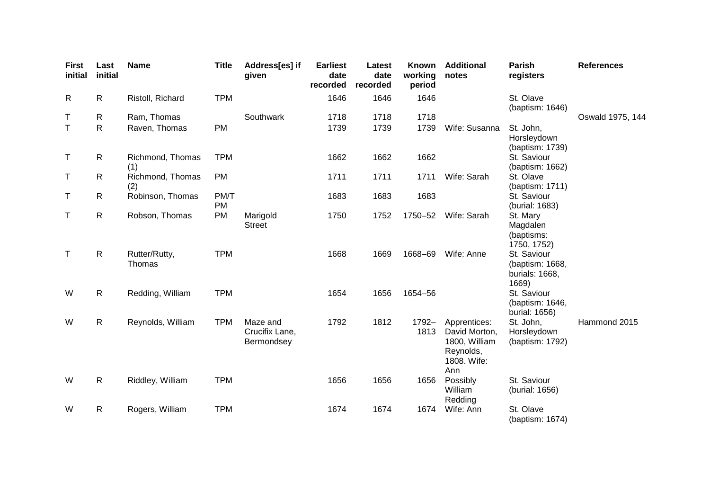| <b>First</b><br>initial | Last<br>initial | <b>Name</b>             | <b>Title</b> | Address[es] if<br>given                  | <b>Earliest</b><br>date<br>recorded | Latest<br>date<br>recorded | Known<br>working<br>period | <b>Additional</b><br>notes                                                        | <b>Parish</b><br>registers                                | <b>References</b> |
|-------------------------|-----------------|-------------------------|--------------|------------------------------------------|-------------------------------------|----------------------------|----------------------------|-----------------------------------------------------------------------------------|-----------------------------------------------------------|-------------------|
| R                       | $\mathsf{R}$    | Ristoll, Richard        | <b>TPM</b>   |                                          | 1646                                | 1646                       | 1646                       |                                                                                   | St. Olave<br>(baptism: 1646)                              |                   |
| Т                       | $\mathsf{R}$    | Ram, Thomas             |              | Southwark                                | 1718                                | 1718                       | 1718                       |                                                                                   |                                                           | Oswald 1975, 144  |
| $\mathsf{T}$            | $\mathsf{R}$    | Raven, Thomas           | PM           |                                          | 1739                                | 1739                       | 1739                       | Wife: Susanna                                                                     | St. John,<br>Horsleydown<br>(baptism: 1739)               |                   |
| T                       | $\mathsf{R}$    | Richmond, Thomas<br>(1) | <b>TPM</b>   |                                          | 1662                                | 1662                       | 1662                       |                                                                                   | St. Saviour<br>(baptism: 1662)                            |                   |
| T                       | $\mathsf{R}$    | Richmond, Thomas<br>(2) | <b>PM</b>    |                                          | 1711                                | 1711                       | 1711                       | Wife: Sarah                                                                       | St. Olave<br>(baptism: 1711)                              |                   |
| Τ                       | $\mathsf{R}$    | Robinson, Thomas        | PM/T<br>PM   |                                          | 1683                                | 1683                       | 1683                       |                                                                                   | St. Saviour<br>(burial: 1683)                             |                   |
| T                       | $\mathsf{R}$    | Robson, Thomas          | PM           | Marigold<br><b>Street</b>                | 1750                                | 1752                       | 1750-52                    | Wife: Sarah                                                                       | St. Mary<br>Magdalen<br>(baptisms:<br>1750, 1752)         |                   |
| $\mathsf{T}$            | $\mathsf{R}$    | Rutter/Rutty,<br>Thomas | <b>TPM</b>   |                                          | 1668                                | 1669                       | 1668-69                    | Wife: Anne                                                                        | St. Saviour<br>(baptism: 1668,<br>burials: 1668,<br>1669) |                   |
| W                       | $\mathsf{R}$    | Redding, William        | <b>TPM</b>   |                                          | 1654                                | 1656                       | 1654-56                    |                                                                                   | St. Saviour<br>(baptism: 1646,<br>burial: 1656)           |                   |
| W                       | $\mathsf{R}$    | Reynolds, William       | <b>TPM</b>   | Maze and<br>Crucifix Lane,<br>Bermondsey | 1792                                | 1812                       | 1792-<br>1813              | Apprentices:<br>David Morton,<br>1800, William<br>Reynolds,<br>1808. Wife:<br>Ann | St. John,<br>Horsleydown<br>(baptism: 1792)               | Hammond 2015      |
| W                       | $\mathsf{R}$    | Riddley, William        | <b>TPM</b>   |                                          | 1656                                | 1656                       | 1656                       | Possibly<br>William<br>Redding                                                    | St. Saviour<br>(burial: 1656)                             |                   |
| W                       | $\mathsf{R}$    | Rogers, William         | <b>TPM</b>   |                                          | 1674                                | 1674                       | 1674                       | Wife: Ann                                                                         | St. Olave<br>(baptism: 1674)                              |                   |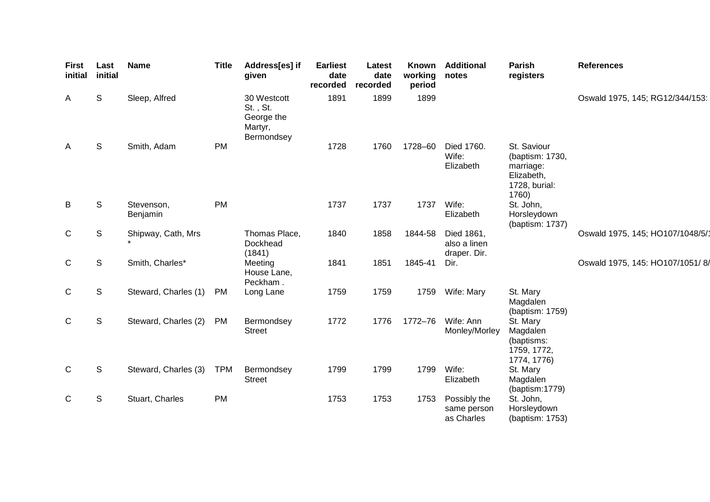| <b>First</b><br>initial | Last<br>initial | <b>Name</b>            | <b>Title</b> | Address[es] if<br>given                                        | <b>Earliest</b><br>date<br>recorded | Latest<br>date<br>recorded | <b>Known</b><br>working<br>period | <b>Additional</b><br>notes                 | Parish<br>registers                                                                 | <b>References</b>                |
|-------------------------|-----------------|------------------------|--------------|----------------------------------------------------------------|-------------------------------------|----------------------------|-----------------------------------|--------------------------------------------|-------------------------------------------------------------------------------------|----------------------------------|
| A                       | S               | Sleep, Alfred          |              | 30 Westcott<br>St., St.<br>George the<br>Martyr,<br>Bermondsey | 1891                                | 1899                       | 1899                              |                                            |                                                                                     | Oswald 1975, 145; RG12/344/153:  |
| A                       | S               | Smith, Adam            | <b>PM</b>    |                                                                | 1728                                | 1760                       | 1728-60                           | Died 1760.<br>Wife:<br>Elizabeth           | St. Saviour<br>(baptism: 1730,<br>marriage:<br>Elizabeth,<br>1728, burial:<br>1760) |                                  |
| B                       | S               | Stevenson,<br>Benjamin | PM           |                                                                | 1737                                | 1737                       | 1737                              | Wife:<br>Elizabeth                         | St. John,<br>Horsleydown<br>(baptism: 1737)                                         |                                  |
| $\mathsf{C}$            | S               | Shipway, Cath, Mrs     |              | Thomas Place,<br>Dockhead<br>(1841)                            | 1840                                | 1858                       | 1844-58                           | Died 1861,<br>also a linen<br>draper. Dir. |                                                                                     | Oswald 1975, 145; HO107/1048/5/1 |
| $\mathsf C$             | S               | Smith, Charles*        |              | Meeting<br>House Lane,<br>Peckham.                             | 1841                                | 1851                       | 1845-41                           | Dir.                                       |                                                                                     | Oswald 1975, 145: HO107/1051/8/  |
| $\mathbf C$             | S               | Steward, Charles (1)   | <b>PM</b>    | Long Lane                                                      | 1759                                | 1759                       | 1759                              | Wife: Mary                                 | St. Mary<br>Magdalen<br>(baptism: 1759)                                             |                                  |
| $\mathsf{C}$            | S               | Steward, Charles (2)   | <b>PM</b>    | Bermondsey<br><b>Street</b>                                    | 1772                                | 1776                       | 1772-76                           | Wife: Ann<br>Monley/Morley                 | St. Mary<br>Magdalen<br>(baptisms:<br>1759, 1772,<br>1774, 1776)                    |                                  |
| $\mathsf{C}$            | S               | Steward, Charles (3)   | <b>TPM</b>   | Bermondsey<br><b>Street</b>                                    | 1799                                | 1799                       | 1799                              | Wife:<br>Elizabeth                         | St. Mary<br>Magdalen<br>(baptism:1779)                                              |                                  |
| C                       | S               | Stuart, Charles        | PM           |                                                                | 1753                                | 1753                       | 1753                              | Possibly the<br>same person<br>as Charles  | St. John,<br>Horsleydown<br>(baptism: 1753)                                         |                                  |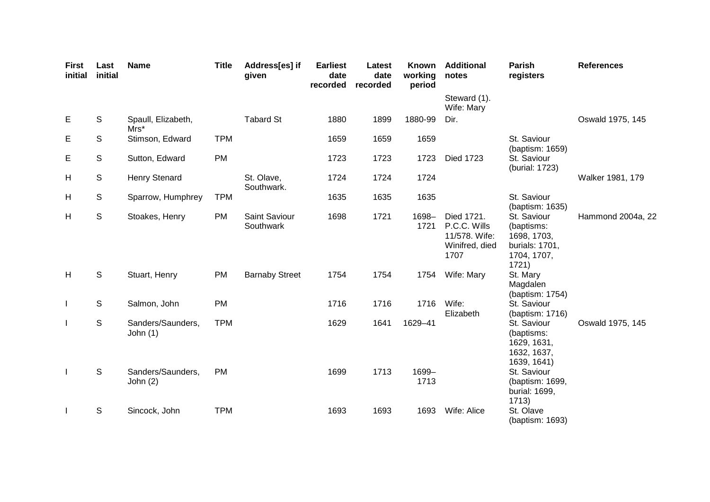| <b>First</b><br>initial | Last<br>initial | <b>Name</b>                     | <b>Title</b> | Address[es] if<br>given    | <b>Earliest</b><br>date<br>recorded | Latest<br>date<br>recorded | Known<br>working<br>period | <b>Additional</b><br>notes                                            | <b>Parish</b><br>registers                                                         | <b>References</b> |
|-------------------------|-----------------|---------------------------------|--------------|----------------------------|-------------------------------------|----------------------------|----------------------------|-----------------------------------------------------------------------|------------------------------------------------------------------------------------|-------------------|
|                         |                 |                                 |              |                            |                                     |                            |                            | Steward (1).<br>Wife: Mary                                            |                                                                                    |                   |
| Е                       | S               | Spaull, Elizabeth,<br>$Mrs*$    |              | <b>Tabard St</b>           | 1880                                | 1899                       | 1880-99                    | Dir.                                                                  |                                                                                    | Oswald 1975, 145  |
| Е                       | S               | Stimson, Edward                 | <b>TPM</b>   |                            | 1659                                | 1659                       | 1659                       |                                                                       | St. Saviour<br>(baptism: 1659)                                                     |                   |
| Е                       | S               | Sutton, Edward                  | <b>PM</b>    |                            | 1723                                | 1723                       | 1723                       | <b>Died 1723</b>                                                      | St. Saviour<br>(burial: 1723)                                                      |                   |
| H                       | S               | Henry Stenard                   |              | St. Olave,<br>Southwark.   | 1724                                | 1724                       | 1724                       |                                                                       |                                                                                    | Walker 1981, 179  |
| H                       | S               | Sparrow, Humphrey               | <b>TPM</b>   |                            | 1635                                | 1635                       | 1635                       |                                                                       | St. Saviour<br>(baptism: 1635)                                                     |                   |
| H                       | S               | Stoakes, Henry                  | <b>PM</b>    | Saint Saviour<br>Southwark | 1698                                | 1721                       | 1698-<br>1721              | Died 1721.<br>P.C.C. Wills<br>11/578. Wife:<br>Winifred, died<br>1707 | St. Saviour<br>(baptisms:<br>1698, 1703,<br>burials: 1701,<br>1704, 1707,<br>1721) | Hammond 2004a, 22 |
| H                       | $\mathsf{S}$    | Stuart, Henry                   | PM           | <b>Barnaby Street</b>      | 1754                                | 1754                       | 1754                       | Wife: Mary                                                            | St. Mary<br>Magdalen<br>(baptism: 1754)                                            |                   |
| $\mathbf{I}$            | S               | Salmon, John                    | <b>PM</b>    |                            | 1716                                | 1716                       | 1716                       | Wife:<br>Elizabeth                                                    | St. Saviour<br>(baptism: 1716)                                                     |                   |
| $\mathbf{I}$            | S               | Sanders/Saunders,<br>John $(1)$ | <b>TPM</b>   |                            | 1629                                | 1641                       | 1629-41                    |                                                                       | St. Saviour<br>(baptisms:<br>1629, 1631,<br>1632, 1637,<br>1639, 1641)             | Oswald 1975, 145  |
| $\mathbf{I}$            | S               | Sanders/Saunders,<br>John $(2)$ | PM           |                            | 1699                                | 1713                       | 1699-<br>1713              |                                                                       | St. Saviour<br>(baptism: 1699,<br>burial: 1699,<br>1713)                           |                   |
|                         | S               | Sincock, John                   | <b>TPM</b>   |                            | 1693                                | 1693                       | 1693                       | Wife: Alice                                                           | St. Olave<br>(baptism: 1693)                                                       |                   |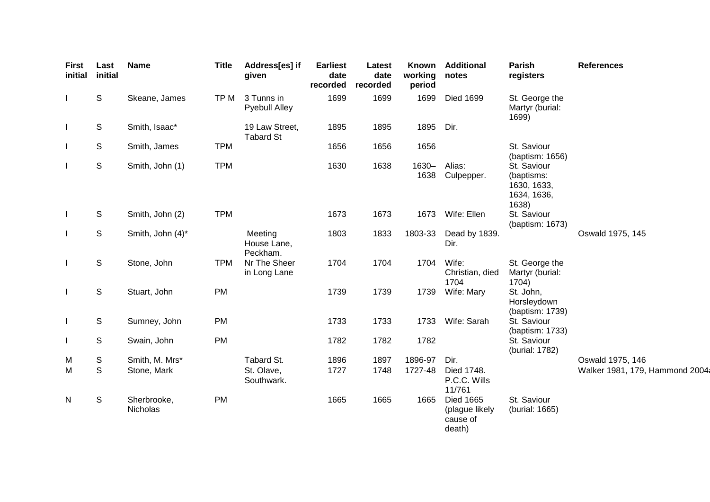| <b>First</b><br>initial  | Last<br>initial | <b>Name</b>             | <b>Title</b> | Address[es] if<br>given            | <b>Earliest</b><br>date<br>recorded | Latest<br>date<br>recorded | Known<br>working<br>period | <b>Additional</b><br>notes                               | Parish<br>registers                                              | <b>References</b>              |
|--------------------------|-----------------|-------------------------|--------------|------------------------------------|-------------------------------------|----------------------------|----------------------------|----------------------------------------------------------|------------------------------------------------------------------|--------------------------------|
|                          | S               | Skeane, James           | TP M         | 3 Tunns in<br><b>Pyebull Alley</b> | 1699                                | 1699                       | 1699                       | <b>Died 1699</b>                                         | St. George the<br>Martyr (burial:<br>1699)                       |                                |
|                          | S               | Smith, Isaac*           |              | 19 Law Street,<br><b>Tabard St</b> | 1895                                | 1895                       | 1895                       | Dir.                                                     |                                                                  |                                |
|                          | S               | Smith, James            | <b>TPM</b>   |                                    | 1656                                | 1656                       | 1656                       |                                                          | St. Saviour<br>(baptism: 1656)                                   |                                |
|                          | S               | Smith, John (1)         | <b>TPM</b>   |                                    | 1630                                | 1638                       | $1630 -$<br>1638           | Alias:<br>Culpepper.                                     | St. Saviour<br>(baptisms:<br>1630, 1633,<br>1634, 1636,<br>1638) |                                |
| $\overline{\phantom{a}}$ | S               | Smith, John (2)         | <b>TPM</b>   |                                    | 1673                                | 1673                       | 1673                       | Wife: Ellen                                              | St. Saviour<br>(baptism: 1673)                                   |                                |
|                          | S               | Smith, John (4)*        |              | Meeting<br>House Lane,<br>Peckham. | 1803                                | 1833                       | 1803-33                    | Dead by 1839.<br>Dir.                                    |                                                                  | Oswald 1975, 145               |
|                          | S               | Stone, John             | <b>TPM</b>   | Nr The Sheer<br>in Long Lane       | 1704                                | 1704                       | 1704                       | Wife:<br>Christian, died<br>1704                         | St. George the<br>Martyr (burial:<br>1704)                       |                                |
| $\mathbf{I}$             | S               | Stuart, John            | PM           |                                    | 1739                                | 1739                       | 1739                       | Wife: Mary                                               | St. John,<br>Horsleydown<br>(baptism: 1739)                      |                                |
| $\overline{\phantom{a}}$ | S               | Sumney, John            | <b>PM</b>    |                                    | 1733                                | 1733                       | 1733                       | Wife: Sarah                                              | St. Saviour<br>(baptism: 1733)                                   |                                |
|                          | S               | Swain, John             | <b>PM</b>    |                                    | 1782                                | 1782                       | 1782                       |                                                          | St. Saviour<br>(burial: 1782)                                    |                                |
| M                        | S               | Smith, M. Mrs*          |              | Tabard St.                         | 1896                                | 1897                       | 1896-97                    | Dir.                                                     |                                                                  | Oswald 1975, 146               |
| M                        | S               | Stone, Mark             |              | St. Olave,<br>Southwark.           | 1727                                | 1748                       | 1727-48                    | Died 1748.<br>P.C.C. Wills<br>11/761                     |                                                                  | Walker 1981, 179, Hammond 2004 |
| N                        | S               | Sherbrooke,<br>Nicholas | <b>PM</b>    |                                    | 1665                                | 1665                       | 1665                       | <b>Died 1665</b><br>(plague likely<br>cause of<br>death) | St. Saviour<br>(burial: 1665)                                    |                                |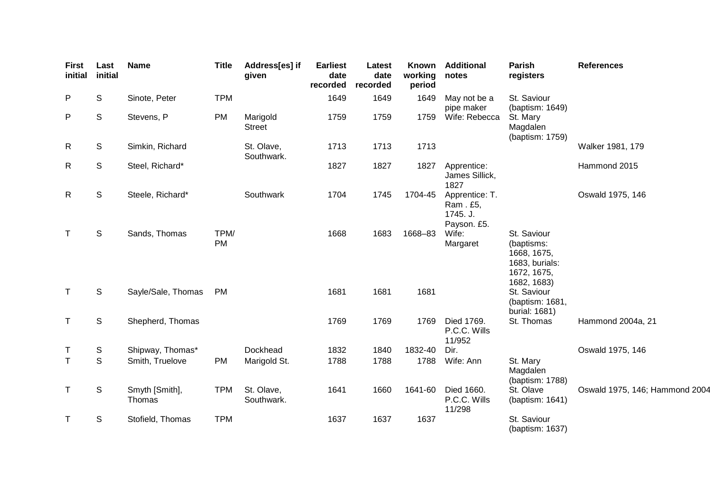| <b>First</b><br>initial | Last<br>initial | <b>Name</b>              | <b>Title</b>      | Address[es] if<br>given   | <b>Earliest</b><br>date<br>recorded | Latest<br>date<br>recorded | Known<br>working<br>period | <b>Additional</b><br>notes                            | Parish<br>registers                                                                      | <b>References</b>              |
|-------------------------|-----------------|--------------------------|-------------------|---------------------------|-------------------------------------|----------------------------|----------------------------|-------------------------------------------------------|------------------------------------------------------------------------------------------|--------------------------------|
| P                       | S               | Sinote, Peter            | <b>TPM</b>        |                           | 1649                                | 1649                       | 1649                       | May not be a<br>pipe maker                            | St. Saviour<br>(baptism: 1649)                                                           |                                |
| P                       | S               | Stevens, P               | <b>PM</b>         | Marigold<br><b>Street</b> | 1759                                | 1759                       | 1759                       | Wife: Rebecca                                         | St. Mary<br>Magdalen<br>(baptism: 1759)                                                  |                                |
| R                       | S               | Simkin, Richard          |                   | St. Olave,<br>Southwark.  | 1713                                | 1713                       | 1713                       |                                                       |                                                                                          | Walker 1981, 179               |
| R                       | S               | Steel, Richard*          |                   |                           | 1827                                | 1827                       | 1827                       | Apprentice:<br>James Sillick,<br>1827                 |                                                                                          | Hammond 2015                   |
| R                       | $\mathsf S$     | Steele, Richard*         |                   | Southwark                 | 1704                                | 1745                       | 1704-45                    | Apprentice: T.<br>Ram. £5,<br>1745. J.<br>Payson. £5. |                                                                                          | Oswald 1975, 146               |
| Τ                       | $\mathsf S$     | Sands, Thomas            | TPM/<br><b>PM</b> |                           | 1668                                | 1683                       | 1668-83                    | Wife:<br>Margaret                                     | St. Saviour<br>(baptisms:<br>1668, 1675,<br>1683, burials:<br>1672, 1675,<br>1682, 1683) |                                |
| T.                      | S               | Sayle/Sale, Thomas       | <b>PM</b>         |                           | 1681                                | 1681                       | 1681                       |                                                       | St. Saviour<br>(baptism: 1681,<br>burial: 1681)                                          |                                |
| $\mathsf T$             | ${\mathbb S}$   | Shepherd, Thomas         |                   |                           | 1769                                | 1769                       | 1769                       | Died 1769.<br>P.C.C. Wills<br>11/952                  | St. Thomas                                                                               | Hammond 2004a, 21              |
| Τ                       | S               | Shipway, Thomas*         |                   | Dockhead                  | 1832                                | 1840                       | 1832-40                    | Dir.                                                  |                                                                                          | Oswald 1975, 146               |
| T.                      | $\mathbb S$     | Smith, Truelove          | <b>PM</b>         | Marigold St.              | 1788                                | 1788                       | 1788                       | Wife: Ann                                             | St. Mary<br>Magdalen<br>(baptism: 1788)                                                  |                                |
| Τ                       | S               | Smyth [Smith],<br>Thomas | <b>TPM</b>        | St. Olave,<br>Southwark.  | 1641                                | 1660                       | 1641-60                    | Died 1660.<br>P.C.C. Wills<br>11/298                  | St. Olave<br>(baptism: 1641)                                                             | Oswald 1975, 146; Hammond 2004 |
| т                       | S               | Stofield, Thomas         | <b>TPM</b>        |                           | 1637                                | 1637                       | 1637                       |                                                       | St. Saviour<br>(baptism: 1637)                                                           |                                |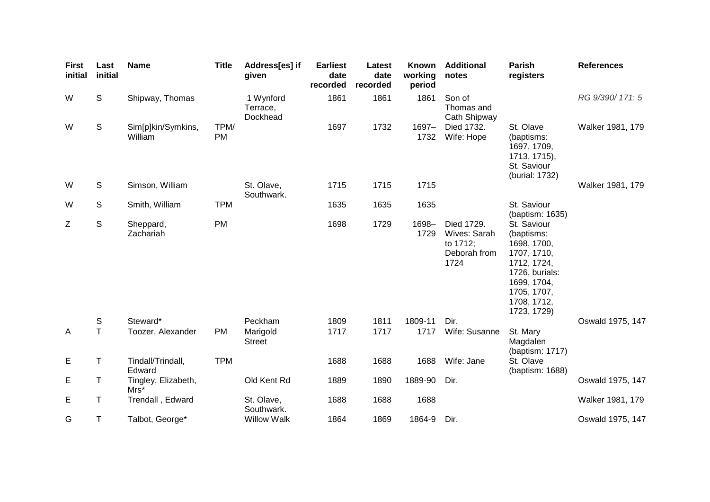| <b>First</b><br>initial | Last<br>initial | <b>Name</b>                   | <b>Title</b>      | Address[es] if<br>given           | <b>Earliest</b><br>date<br>recorded | Latest<br>date<br>recorded | <b>Known</b><br>working<br>period | <b>Additional</b><br>notes                                     | <b>Parish</b><br>registers                                                                                                                           | <b>References</b> |
|-------------------------|-----------------|-------------------------------|-------------------|-----------------------------------|-------------------------------------|----------------------------|-----------------------------------|----------------------------------------------------------------|------------------------------------------------------------------------------------------------------------------------------------------------------|-------------------|
| W                       | S               | Shipway, Thomas               |                   | 1 Wynford<br>Terrace,<br>Dockhead | 1861                                | 1861                       | 1861                              | Son of<br>Thomas and<br>Cath Shipway                           |                                                                                                                                                      | RG 9/390/171: 5   |
| W                       | $\mathsf S$     | Sim[p]kin/Symkins,<br>William | TPM/<br><b>PM</b> |                                   | 1697                                | 1732                       | $1697 -$<br>1732                  | Died 1732.<br>Wife: Hope                                       | St. Olave<br>(baptisms:<br>1697, 1709,<br>1713, 1715),<br>St. Saviour<br>(burial: 1732)                                                              | Walker 1981, 179  |
| W                       | S               | Simson, William               |                   | St. Olave,<br>Southwark.          | 1715                                | 1715                       | 1715                              |                                                                |                                                                                                                                                      | Walker 1981, 179  |
| W                       | S               | Smith, William                | <b>TPM</b>        |                                   | 1635                                | 1635                       | 1635                              |                                                                | St. Saviour<br>(baptism: 1635)                                                                                                                       |                   |
| Z                       | S               | Sheppard,<br>Zachariah        | <b>PM</b>         |                                   | 1698                                | 1729                       | $1698 -$<br>1729                  | Died 1729.<br>Wives: Sarah<br>to 1712;<br>Deborah from<br>1724 | St. Saviour<br>(baptisms:<br>1698, 1700,<br>1707, 1710,<br>1712, 1724,<br>1726, burials:<br>1699, 1704,<br>1705, 1707,<br>1708, 1712,<br>1723, 1729) |                   |
|                         | S               | Steward*                      |                   | Peckham                           | 1809                                | 1811                       | 1809-11                           | Dir.                                                           |                                                                                                                                                      | Oswald 1975, 147  |
| $\overline{A}$          | $\mathsf T$     | Toozer, Alexander             | <b>PM</b>         | Marigold<br><b>Street</b>         | 1717                                | 1717                       | 1717                              | Wife: Susanne                                                  | St. Mary<br>Magdalen<br>(baptism: 1717)                                                                                                              |                   |
| E                       | Τ               | Tindall/Trindall,<br>Edward   | <b>TPM</b>        |                                   | 1688                                | 1688                       | 1688                              | Wife: Jane                                                     | St. Olave<br>(baptism: 1688)                                                                                                                         |                   |
| Е                       | Τ               | Tingley, Elizabeth,<br>$Mrs*$ |                   | Old Kent Rd                       | 1889                                | 1890                       | 1889-90                           | Dir.                                                           |                                                                                                                                                      | Oswald 1975, 147  |
| Е                       | Τ               | Trendall, Edward              |                   | St. Olave,<br>Southwark.          | 1688                                | 1688                       | 1688                              |                                                                |                                                                                                                                                      | Walker 1981, 179  |
| G                       | Τ               | Talbot, George*               |                   | <b>Willow Walk</b>                | 1864                                | 1869                       | 1864-9                            | Dir.                                                           |                                                                                                                                                      | Oswald 1975, 147  |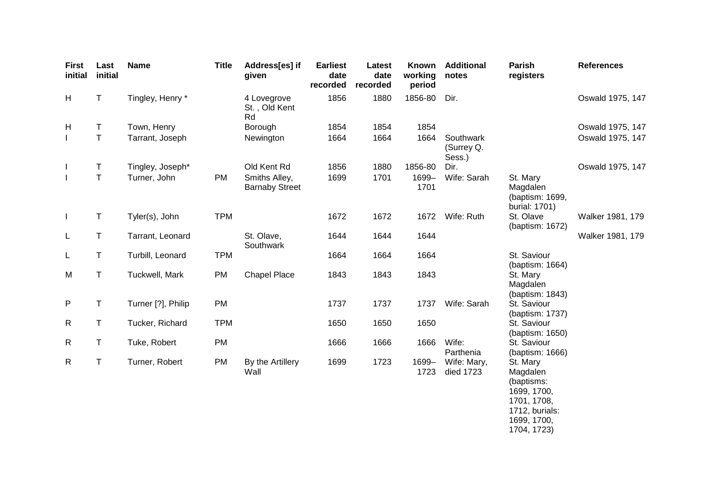| <b>First</b><br>initial | Last<br>initial | <b>Name</b>        | <b>Title</b> | Address[es] if<br>given                | <b>Earliest</b><br>date<br>recorded | Latest<br>date<br>recorded | <b>Known</b><br>working<br>period | <b>Additional</b><br>notes        | <b>Parish</b><br>registers                                                                        | <b>References</b> |
|-------------------------|-----------------|--------------------|--------------|----------------------------------------|-------------------------------------|----------------------------|-----------------------------------|-----------------------------------|---------------------------------------------------------------------------------------------------|-------------------|
| H                       | $\top$          | Tingley, Henry *   |              | 4 Lovegrove<br>St., Old Kent<br>Rd     | 1856                                | 1880                       | 1856-80                           | Dir.                              |                                                                                                   | Oswald 1975, 147  |
| H                       | T.              | Town, Henry        |              | Borough                                | 1854                                | 1854                       | 1854                              |                                   |                                                                                                   | Oswald 1975, 147  |
| $\mathbf{I}$            | $\mathsf{T}$    | Tarrant, Joseph    |              | Newington                              | 1664                                | 1664                       | 1664                              | Southwark<br>(Surrey Q.<br>Sess.) |                                                                                                   | Oswald 1975, 147  |
| $\mathbf{I}$            | Τ               | Tingley, Joseph*   |              | Old Kent Rd                            | 1856                                | 1880                       | 1856-80                           | Dir.                              |                                                                                                   | Oswald 1975, 147  |
| $\overline{1}$          | $\mathsf T$     | Turner, John       | PM           | Smiths Alley,<br><b>Barnaby Street</b> | 1699                                | 1701                       | 1699-<br>1701                     | Wife: Sarah                       | St. Mary<br>Magdalen<br>(baptism: 1699,<br>burial: 1701)                                          |                   |
| $\mathbf{I}$            | T               | Tyler(s), John     | <b>TPM</b>   |                                        | 1672                                | 1672                       | 1672                              | Wife: Ruth                        | St. Olave<br>(baptism: 1672)                                                                      | Walker 1981, 179  |
| L                       | Τ               | Tarrant, Leonard   |              | St. Olave,<br>Southwark                | 1644                                | 1644                       | 1644                              |                                   |                                                                                                   | Walker 1981, 179  |
| L                       | Τ               | Turbill, Leonard   | <b>TPM</b>   |                                        | 1664                                | 1664                       | 1664                              |                                   | St. Saviour<br>(baptism: 1664)                                                                    |                   |
| M                       | Τ               | Tuckwell, Mark     | PM           | <b>Chapel Place</b>                    | 1843                                | 1843                       | 1843                              |                                   | St. Mary<br>Magdalen<br>(baptism: 1843)                                                           |                   |
| P                       | T               | Turner [?], Philip | PM           |                                        | 1737                                | 1737                       | 1737                              | Wife: Sarah                       | St. Saviour<br>(baptism: 1737)                                                                    |                   |
| R                       | T               | Tucker, Richard    | <b>TPM</b>   |                                        | 1650                                | 1650                       | 1650                              |                                   | St. Saviour<br>(baptism: 1650)                                                                    |                   |
| $\mathsf{R}$            | T               | Tuke, Robert       | PM           |                                        | 1666                                | 1666                       | 1666                              | Wife:<br>Parthenia                | St. Saviour<br>(baptism: 1666)                                                                    |                   |
| $\mathsf{R}$            | Τ               | Turner, Robert     | PM           | By the Artillery<br>Wall               | 1699                                | 1723                       | 1699-<br>1723                     | Wife: Mary,<br>died 1723          | St. Mary<br>Magdalen<br>(baptisms:<br>1699, 1700,<br>1701, 1708,<br>1712, burials:<br>1699, 1700, |                   |

1704, 1723)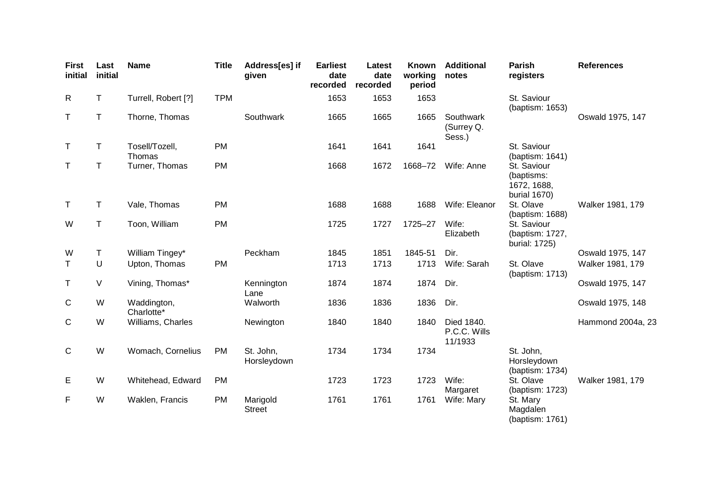| <b>First</b><br>initial | Last<br>initial | <b>Name</b>               | <b>Title</b> | Address[es] if<br>given   | <b>Earliest</b><br>date<br>recorded | Latest<br>date<br>recorded | <b>Known</b><br>working<br>period | <b>Additional</b><br>notes            | <b>Parish</b><br>registers                               | <b>References</b> |
|-------------------------|-----------------|---------------------------|--------------|---------------------------|-------------------------------------|----------------------------|-----------------------------------|---------------------------------------|----------------------------------------------------------|-------------------|
| R                       | Τ               | Turrell, Robert [?]       | <b>TPM</b>   |                           | 1653                                | 1653                       | 1653                              |                                       | St. Saviour<br>(baptism: 1653)                           |                   |
| Τ                       | Τ               | Thorne, Thomas            |              | Southwark                 | 1665                                | 1665                       | 1665                              | Southwark<br>(Surrey Q.<br>Sess.)     |                                                          | Oswald 1975, 147  |
| T                       | Τ               | Tosell/Tozell,<br>Thomas  | PM           |                           | 1641                                | 1641                       | 1641                              |                                       | St. Saviour<br>(baptism: 1641)                           |                   |
| Τ                       | Τ               | Turner, Thomas            | PM           |                           | 1668                                | 1672                       | 1668-72                           | Wife: Anne                            | St. Saviour<br>(baptisms:<br>1672, 1688,<br>burial 1670) |                   |
| $\top$                  | Τ               | Vale, Thomas              | <b>PM</b>    |                           | 1688                                | 1688                       | 1688                              | Wife: Eleanor                         | St. Olave<br>(baptism: 1688)                             | Walker 1981, 179  |
| W                       | Τ               | Toon, William             | <b>PM</b>    |                           | 1725                                | 1727                       | 1725-27                           | Wife:<br>Elizabeth                    | St. Saviour<br>(baptism: 1727,<br>burial: 1725)          |                   |
| W                       | Τ               | William Tingey*           |              | Peckham                   | 1845                                | 1851                       | 1845-51                           | Dir.                                  |                                                          | Oswald 1975, 147  |
| T.                      | U               | Upton, Thomas             | <b>PM</b>    |                           | 1713                                | 1713                       | 1713                              | Wife: Sarah                           | St. Olave<br>(baptism: 1713)                             | Walker 1981, 179  |
| Τ                       | V               | Vining, Thomas*           |              | Kennington<br>Lane        | 1874                                | 1874                       | 1874                              | Dir.                                  |                                                          | Oswald 1975, 147  |
| C                       | W               | Waddington,<br>Charlotte* |              | Walworth                  | 1836                                | 1836                       | 1836                              | Dir.                                  |                                                          | Oswald 1975, 148  |
| C                       | W               | Williams, Charles         |              | Newington                 | 1840                                | 1840                       | 1840                              | Died 1840.<br>P.C.C. Wills<br>11/1933 |                                                          | Hammond 2004a, 23 |
| $\mathsf{C}$            | W               | Womach, Cornelius         | <b>PM</b>    | St. John,<br>Horsleydown  | 1734                                | 1734                       | 1734                              |                                       | St. John,<br>Horsleydown<br>(baptism: 1734)              |                   |
| Е                       | W               | Whitehead, Edward         | <b>PM</b>    |                           | 1723                                | 1723                       | 1723                              | Wife:<br>Margaret                     | St. Olave<br>(baptism: 1723)                             | Walker 1981, 179  |
| F                       | W               | Waklen, Francis           | <b>PM</b>    | Marigold<br><b>Street</b> | 1761                                | 1761                       | 1761                              | Wife: Mary                            | St. Mary<br>Magdalen<br>(baptism: 1761)                  |                   |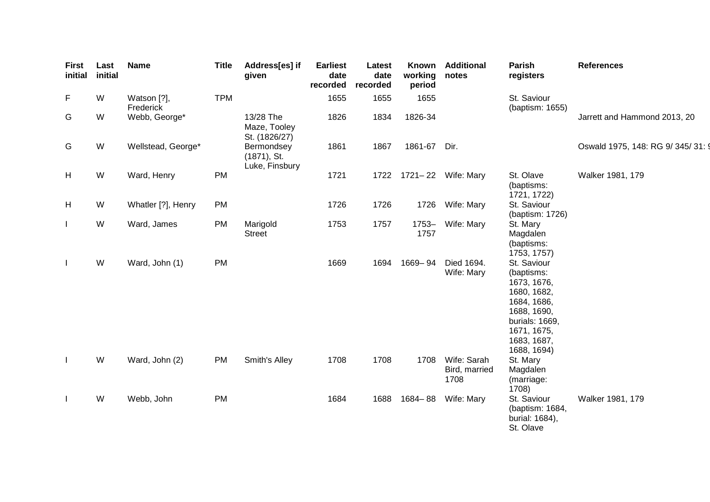| <b>First</b><br>initial | Last<br>initial | <b>Name</b>              | <b>Title</b> | Address[es] if<br>given                        | <b>Earliest</b><br>date<br>recorded | Latest<br>date<br>recorded | Known<br>working<br>period | <b>Additional</b><br>notes           | Parish<br>registers                                                                                                                                  | <b>References</b>                  |
|-------------------------|-----------------|--------------------------|--------------|------------------------------------------------|-------------------------------------|----------------------------|----------------------------|--------------------------------------|------------------------------------------------------------------------------------------------------------------------------------------------------|------------------------------------|
| F                       | W               | Watson [?],<br>Frederick | <b>TPM</b>   |                                                | 1655                                | 1655                       | 1655                       |                                      | St. Saviour<br>(baptism: 1655)                                                                                                                       |                                    |
| G                       | W               | Webb, George*            |              | 13/28 The<br>Maze, Tooley<br>St. (1826/27)     | 1826                                | 1834                       | 1826-34                    |                                      |                                                                                                                                                      | Jarrett and Hammond 2013, 20       |
| G                       | W               | Wellstead, George*       |              | Bermondsey<br>$(1871)$ , St.<br>Luke, Finsbury | 1861                                | 1867                       | 1861-67 Dir.               |                                      |                                                                                                                                                      | Oswald 1975, 148: RG 9/ 345/ 31: 9 |
| H                       | W               | Ward, Henry              | PM           |                                                | 1721                                | 1722                       |                            | 1721-22 Wife: Mary                   | St. Olave<br>(baptisms:<br>1721, 1722)                                                                                                               | Walker 1981, 179                   |
| H                       | W               | Whatler [?], Henry       | PM           |                                                | 1726                                | 1726                       | 1726                       | Wife: Mary                           | St. Saviour<br>(baptism: 1726)                                                                                                                       |                                    |
| $\mathbf{I}$            | W               | Ward, James              | PM           | Marigold<br><b>Street</b>                      | 1753                                | 1757                       | $1753 -$<br>1757           | Wife: Mary                           | St. Mary<br>Magdalen<br>(baptisms:<br>1753, 1757)                                                                                                    |                                    |
| Ι.                      | W               | Ward, John (1)           | PM           |                                                | 1669                                | 1694                       | 1669-94                    | Died 1694.<br>Wife: Mary             | St. Saviour<br>(baptisms:<br>1673, 1676,<br>1680, 1682,<br>1684, 1686,<br>1688, 1690,<br>burials: 1669,<br>1671, 1675,<br>1683, 1687,<br>1688, 1694) |                                    |
| Ι.                      | W               | Ward, John (2)           | <b>PM</b>    | Smith's Alley                                  | 1708                                | 1708                       | 1708                       | Wife: Sarah<br>Bird, married<br>1708 | St. Mary<br>Magdalen<br>(marriage:<br>1708)                                                                                                          |                                    |
| $\mathbf{I}$            | W               | Webb, John               | PM           |                                                | 1684                                | 1688                       | $1684 - 88$                | Wife: Mary                           | St. Saviour<br>(baptism: 1684,<br>burial: 1684),<br>St. Olave                                                                                        | Walker 1981, 179                   |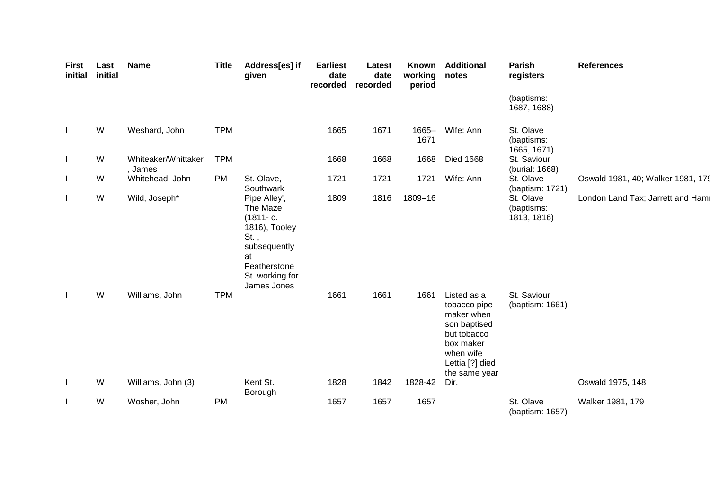| <b>First</b><br>initial | Last<br>initial | <b>Name</b>                    | <b>Title</b> | Address[es] if<br>given                                                                                                                      | <b>Earliest</b><br>date<br>recorded | Latest<br>date<br>recorded | Known<br>working<br>period | <b>Additional</b><br>notes                                                                                                             | Parish<br>registers                    | <b>References</b>                 |
|-------------------------|-----------------|--------------------------------|--------------|----------------------------------------------------------------------------------------------------------------------------------------------|-------------------------------------|----------------------------|----------------------------|----------------------------------------------------------------------------------------------------------------------------------------|----------------------------------------|-----------------------------------|
|                         |                 |                                |              |                                                                                                                                              |                                     |                            |                            |                                                                                                                                        | (baptisms:<br>1687, 1688)              |                                   |
| $\mathbf{I}$            | W               | Weshard, John                  | <b>TPM</b>   |                                                                                                                                              | 1665                                | 1671                       | $1665 -$<br>1671           | Wife: Ann                                                                                                                              | St. Olave<br>(baptisms:<br>1665, 1671) |                                   |
| L                       | W               | Whiteaker/Whittaker<br>, James | <b>TPM</b>   |                                                                                                                                              | 1668                                | 1668                       | 1668                       | <b>Died 1668</b>                                                                                                                       | St. Saviour<br>(burial: 1668)          |                                   |
| L                       | W               | Whitehead, John                | <b>PM</b>    | St. Olave,<br>Southwark                                                                                                                      | 1721                                | 1721                       | 1721                       | Wife: Ann                                                                                                                              | St. Olave<br>(baptism: 1721)           | Oswald 1981, 40; Walker 1981, 179 |
|                         | W               | Wild, Joseph*                  |              | Pipe Alley',<br>The Maze<br>$(1811 - c.$<br>1816), Tooley<br>$St.$ ,<br>subsequently<br>at<br>Featherstone<br>St. working for<br>James Jones | 1809                                | 1816                       | 1809-16                    |                                                                                                                                        | St. Olave<br>(baptisms:<br>1813, 1816) | London Land Tax; Jarrett and Hami |
|                         | W               | Williams, John                 | <b>TPM</b>   |                                                                                                                                              | 1661                                | 1661                       | 1661                       | Listed as a<br>tobacco pipe<br>maker when<br>son baptised<br>but tobacco<br>box maker<br>when wife<br>Lettia [?] died<br>the same year | St. Saviour<br>(baptism: 1661)         |                                   |
| L                       | W               | Williams, John (3)             |              | Kent St.<br>Borough                                                                                                                          | 1828                                | 1842                       | 1828-42                    | Dir.                                                                                                                                   |                                        | Oswald 1975, 148                  |
|                         | W               | Wosher, John                   | <b>PM</b>    |                                                                                                                                              | 1657                                | 1657                       | 1657                       |                                                                                                                                        | St. Olave<br>(baptism: 1657)           | Walker 1981, 179                  |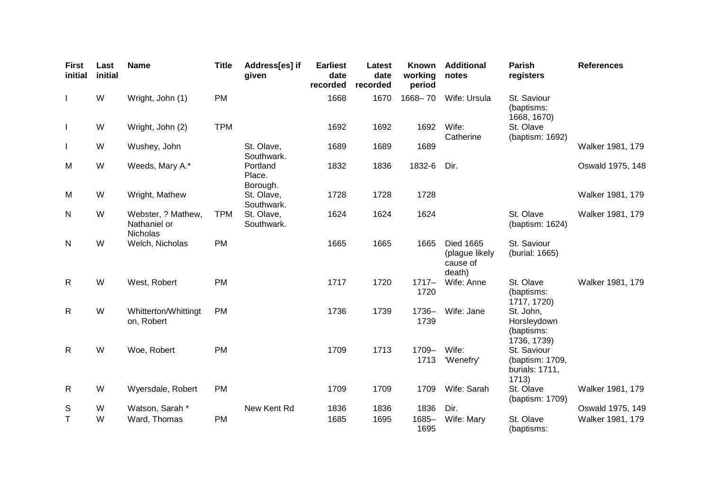| <b>First</b><br>initial | Last<br>initial | <b>Name</b>                                    | <b>Title</b> | Address[es] if<br>given        | <b>Earliest</b><br>date<br>recorded | Latest<br>date<br>recorded | Known<br>working<br>period | <b>Additional</b><br>notes                               | <b>Parish</b><br>registers                                | <b>References</b> |
|-------------------------|-----------------|------------------------------------------------|--------------|--------------------------------|-------------------------------------|----------------------------|----------------------------|----------------------------------------------------------|-----------------------------------------------------------|-------------------|
| $\perp$                 | W               | Wright, John (1)                               | <b>PM</b>    |                                | 1668                                | 1670                       | 1668-70                    | Wife: Ursula                                             | St. Saviour<br>(baptisms:<br>1668, 1670)                  |                   |
| $\mathbf{I}$            | W               | Wright, John (2)                               | <b>TPM</b>   |                                | 1692                                | 1692                       | 1692                       | Wife:<br>Catherine                                       | St. Olave<br>(baptism: 1692)                              |                   |
|                         | W               | Wushey, John                                   |              | St. Olave,<br>Southwark.       | 1689                                | 1689                       | 1689                       |                                                          |                                                           | Walker 1981, 179  |
| M                       | W               | Weeds, Mary A.*                                |              | Portland<br>Place.<br>Borough. | 1832                                | 1836                       | 1832-6                     | Dir.                                                     |                                                           | Oswald 1975, 148  |
| M                       | W               | Wright, Mathew                                 |              | St. Olave,<br>Southwark.       | 1728                                | 1728                       | 1728                       |                                                          |                                                           | Walker 1981, 179  |
| N                       | W               | Webster, ? Mathew,<br>Nathaniel or<br>Nicholas | <b>TPM</b>   | St. Olave,<br>Southwark.       | 1624                                | 1624                       | 1624                       |                                                          | St. Olave<br>(baptism: 1624)                              | Walker 1981, 179  |
| N                       | W               | Welch, Nicholas                                | <b>PM</b>    |                                | 1665                                | 1665                       | 1665                       | <b>Died 1665</b><br>(plague likely<br>cause of<br>death) | St. Saviour<br>(burial: 1665)                             |                   |
| $\mathsf{R}$            | W               | West, Robert                                   | <b>PM</b>    |                                | 1717                                | 1720                       | $1717 -$<br>1720           | Wife: Anne                                               | St. Olave<br>(baptisms:<br>1717, 1720)                    | Walker 1981, 179  |
| $\mathsf{R}$            | W               | Whitterton/Whittingt<br>on, Robert             | <b>PM</b>    |                                | 1736                                | 1739                       | 1736-<br>1739              | Wife: Jane                                               | St. John,<br>Horsleydown<br>(baptisms:<br>1736, 1739)     |                   |
| $\mathsf{R}$            | W               | Woe, Robert                                    | <b>PM</b>    |                                | 1709                                | 1713                       | 1709-<br>1713              | Wife:<br>'Wenefry'                                       | St. Saviour<br>(baptism: 1709,<br>burials: 1711,<br>1713) |                   |
| R                       | W               | Wyersdale, Robert                              | <b>PM</b>    |                                | 1709                                | 1709                       | 1709                       | Wife: Sarah                                              | St. Olave<br>(baptism: 1709)                              | Walker 1981, 179  |
| S                       | W               | Watson, Sarah *                                |              | New Kent Rd                    | 1836                                | 1836                       | 1836                       | Dir.                                                     |                                                           | Oswald 1975, 149  |
| т                       | W               | Ward, Thomas                                   | <b>PM</b>    |                                | 1685                                | 1695                       | $1685 -$<br>1695           | Wife: Mary                                               | St. Olave<br>(baptisms:                                   | Walker 1981, 179  |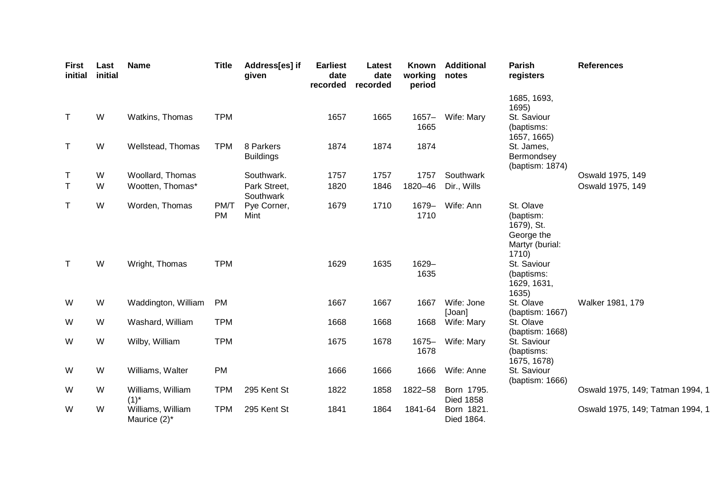| <b>First</b><br>initial | Last<br>initial | <b>Name</b>                       | <b>Title</b>      | Address[es] if<br>given       | <b>Earliest</b><br>date<br>recorded | Latest<br>date<br>recorded | <b>Known</b><br>working<br>period | <b>Additional</b><br>notes     | <b>Parish</b><br>registers                                                     | <b>References</b>                |
|-------------------------|-----------------|-----------------------------------|-------------------|-------------------------------|-------------------------------------|----------------------------|-----------------------------------|--------------------------------|--------------------------------------------------------------------------------|----------------------------------|
| $\top$                  | W               | Watkins, Thomas                   | <b>TPM</b>        |                               | 1657                                | 1665                       | $1657 -$                          | Wife: Mary                     | 1685, 1693,<br>1695)<br>St. Saviour                                            |                                  |
|                         |                 |                                   |                   |                               |                                     |                            | 1665                              |                                | (baptisms:<br>1657, 1665)                                                      |                                  |
| $\mathsf T$             | W               | Wellstead, Thomas                 | <b>TPM</b>        | 8 Parkers<br><b>Buildings</b> | 1874                                | 1874                       | 1874                              |                                | St. James,<br>Bermondsey<br>(baptism: 1874)                                    |                                  |
| Τ                       | W               | Woollard, Thomas                  |                   | Southwark.                    | 1757                                | 1757                       | 1757                              | Southwark                      |                                                                                | Oswald 1975, 149                 |
| $\mathsf{T}$            | W               | Wootten, Thomas*                  |                   | Park Street,<br>Southwark     | 1820                                | 1846                       | 1820-46                           | Dir., Wills                    |                                                                                | Oswald 1975, 149                 |
| Τ                       | W               | Worden, Thomas                    | PM/T<br><b>PM</b> | Pye Corner,<br>Mint           | 1679                                | 1710                       | 1679-<br>1710                     | Wife: Ann                      | St. Olave<br>(baptism:<br>1679), St.<br>George the<br>Martyr (burial:<br>1710) |                                  |
| $\top$                  | W               | Wright, Thomas                    | <b>TPM</b>        |                               | 1629                                | 1635                       | 1629-<br>1635                     |                                | St. Saviour<br>(baptisms:<br>1629, 1631,<br>1635)                              |                                  |
| W                       | W               | Waddington, William               | <b>PM</b>         |                               | 1667                                | 1667                       | 1667                              | Wife: Jone<br>[Joan]           | St. Olave<br>(baptism: 1667)                                                   | Walker 1981, 179                 |
| W                       | W               | Washard, William                  | <b>TPM</b>        |                               | 1668                                | 1668                       | 1668                              | Wife: Mary                     | St. Olave<br>(baptism: 1668)                                                   |                                  |
| W                       | W               | Wilby, William                    | <b>TPM</b>        |                               | 1675                                | 1678                       | $1675 -$<br>1678                  | Wife: Mary                     | St. Saviour<br>(baptisms:<br>1675, 1678)                                       |                                  |
| W                       | W               | Williams, Walter                  | <b>PM</b>         |                               | 1666                                | 1666                       | 1666                              | Wife: Anne                     | St. Saviour<br>(baptism: 1666)                                                 |                                  |
| W                       | W               | Williams, William<br>$(1)^{*}$    | <b>TPM</b>        | 295 Kent St                   | 1822                                | 1858                       | 1822-58                           | Born 1795.<br><b>Died 1858</b> |                                                                                | Oswald 1975, 149; Tatman 1994, 1 |
| W                       | W               | Williams, William<br>Maurice (2)* | <b>TPM</b>        | 295 Kent St                   | 1841                                | 1864                       | 1841-64                           | Born 1821.<br>Died 1864.       |                                                                                | Oswald 1975, 149; Tatman 1994, 1 |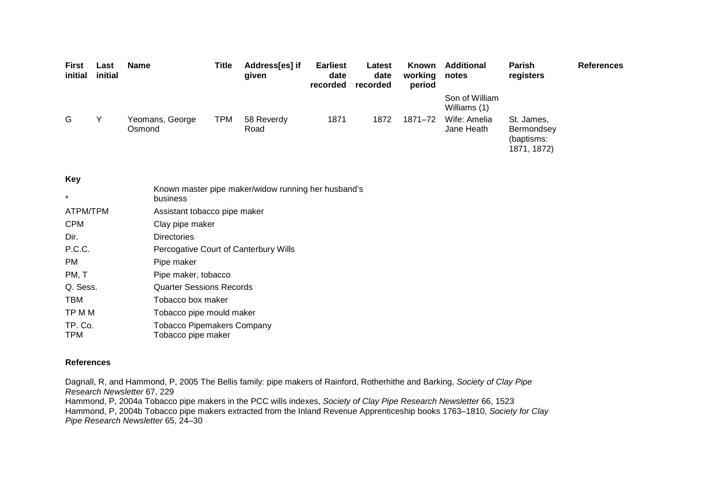| <b>First</b><br>initial | Last<br>initial | <b>Name</b>               | Title      | Address[es] if<br>qiven | <b>Earliest</b><br>date<br>recorded | Latest<br>date<br>recorded | <b>Known</b><br>working<br>period | <b>Additional</b><br>notes     | <b>Parish</b><br>registers                            | <b>References</b> |
|-------------------------|-----------------|---------------------------|------------|-------------------------|-------------------------------------|----------------------------|-----------------------------------|--------------------------------|-------------------------------------------------------|-------------------|
|                         |                 |                           |            |                         |                                     |                            |                                   | Son of William<br>Williams (1) |                                                       |                   |
| G                       | v               | Yeomans, George<br>Osmond | <b>TPM</b> | 58 Reverdy<br>Road      | 1871                                | 1872                       | 1871-72                           | Wife: Amelia<br>Jane Heath     | St. James,<br>Bermondsey<br>(baptisms:<br>1871, 1872) |                   |

# **Key** \* Known master pipe maker/widow running her husband'sbusiness ATPM/TPM Assistant tobacco pipe maker CPM Clay pipe maker Dir. Directories P.C.C. Percogative Court of Canterbury Wills PM Pipe maker PM, T Pipe maker, tobacco Q. Sess. Quarter Sessions Records TBM Tobacco box maker TP M M Tobacco pipe mould maker TP. Co. Tobacco Pipemakers Company TPM Tobacco pipe maker

### **References**

Dagnall, R, and Hammond, P, 2005 The Bellis family: pipe makers of Rainford, Rotherhithe and Barking, Society of Clay Pipe Research Newsletter 67, 229

Hammond, P, 2004a Tobacco pipe makers in the PCC wills indexes, Society of Clay Pipe Research Newsletter 66, 1523 Hammond, P, 2004b Tobacco pipe makers extracted from the Inland Revenue Apprenticeship books 1763–1810, Society for Clay Pipe Research Newsletter 65, 24–30